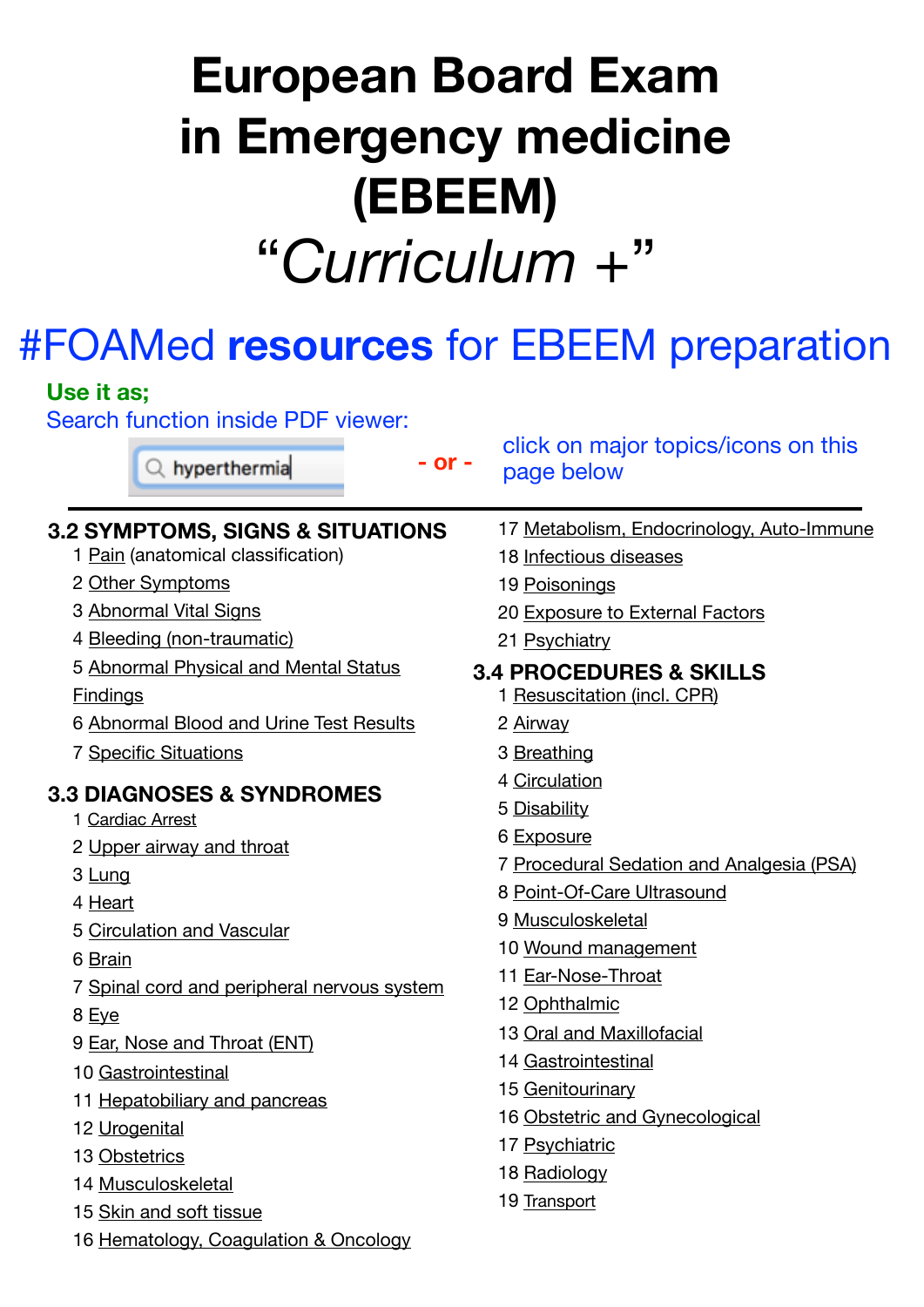# **European Board Exam in Emergency medicine (EBEEM)**  "*Curriculum +*"

# #FOAMed **resources** for EBEEM preparation

| Use it as;                                                                |                                                   |
|---------------------------------------------------------------------------|---------------------------------------------------|
| <b>Search function inside PDF viewer:</b><br>- or -<br>$Q$ , hyperthermia | click on major topics/icons on this<br>page below |
| <b>3.2 SYMPTOMS, SIGNS &amp; SITUATIONS</b>                               | 17 Metabolism, Endocrinology, Auto-Immune         |
| 1 Pain (anatomical classification)                                        | 18 Infectious diseases                            |
| 2 Other Symptoms                                                          | 19 Poisonings                                     |
| 3 Abnormal Vital Signs                                                    | 20 Exposure to External Factors                   |
| 4 Bleeding (non-traumatic)                                                | 21 Psychiatry                                     |
| 5 Abnormal Physical and Mental Status                                     | <b>3.4 PROCEDURES &amp; SKILLS</b>                |
| <b>Findings</b>                                                           | 1 Resuscitation (incl. CPR)                       |
| 6 Abnormal Blood and Urine Test Results                                   | 2 Airway                                          |
| <b>7 Specific Situations</b>                                              | 3 Breathing                                       |
| <b>3.3 DIAGNOSES &amp; SYNDROMES</b>                                      | 4 Circulation                                     |
| 1 Cardiac Arrest                                                          | 5 Disability                                      |
| 2 Upper airway and throat                                                 | 6 Exposure                                        |
| 3 Lung                                                                    | 7 Procedural Sedation and Analgesia (PSA)         |
| 4 Heart                                                                   | 8 Point-Of-Care Ultrasound                        |
| 5 Circulation and Vascular                                                | 9 Musculoskeletal                                 |
| 6 Brain                                                                   | 10 Wound management                               |
| 7 Spinal cord and peripheral nervous system                               | 11 Ear-Nose-Throat                                |
| 8 Eye                                                                     | 12 Ophthalmic                                     |
| 9 Ear, Nose and Throat (ENT)                                              | 13 Oral and Maxillofacial                         |
| 10 Gastrointestinal                                                       | 14 Gastrointestinal                               |
| 11 Hepatobiliary and pancreas                                             | 15 Genitourinary                                  |
| 12 Urogenital                                                             | 16 Obstetric and Gynecological                    |
| 13 Obstetrics                                                             | 17 Psychiatric                                    |
| 14 Musculoskeletal                                                        | 18 Radiology                                      |
| 15 Skin and soft tissue                                                   | 19 Transport                                      |
| 16 Hematology, Coagulation & Oncology                                     |                                                   |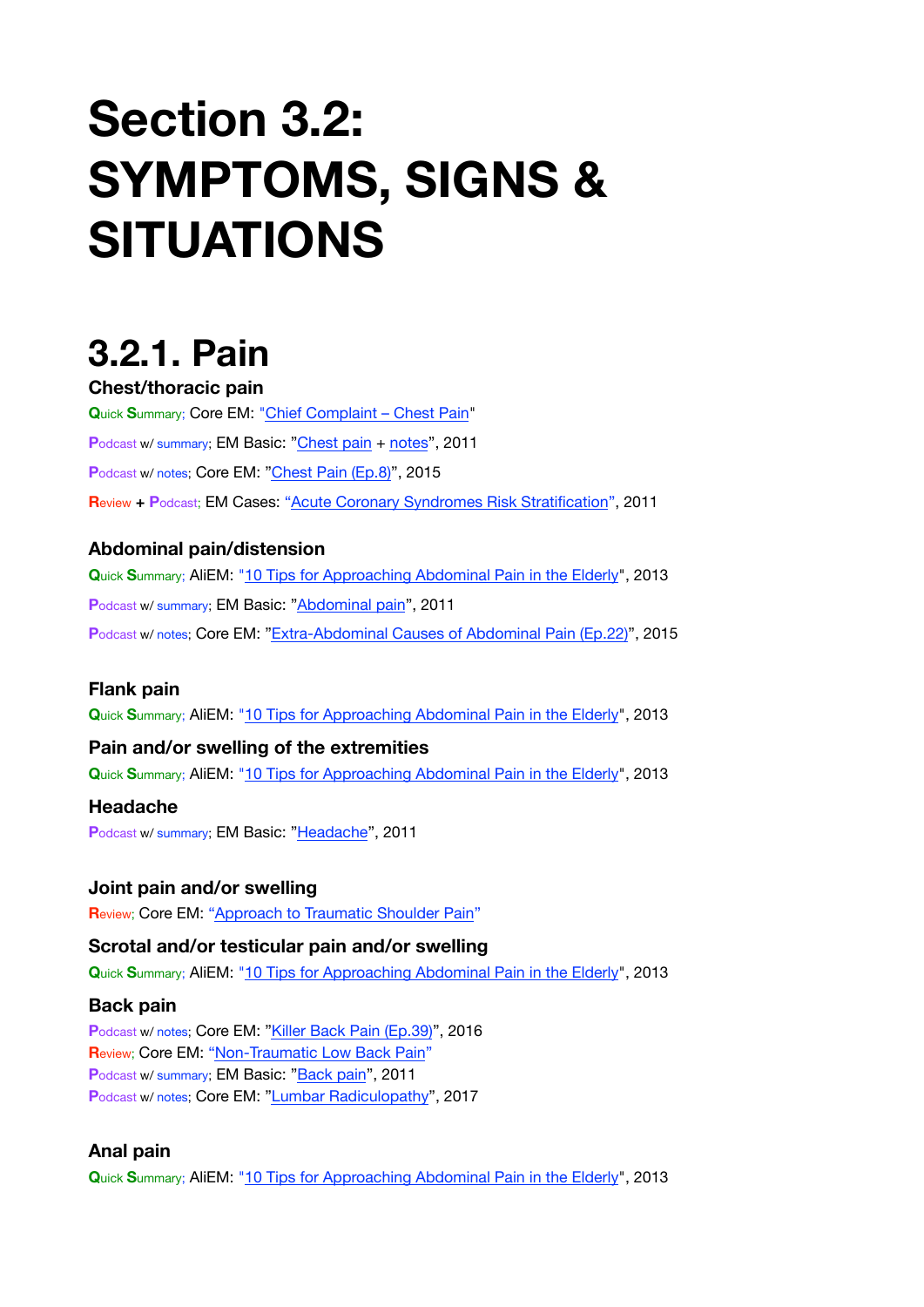# **Section 3.2: SYMPTOMS, SIGNS & SITUATIONS**

# <span id="page-1-0"></span>**3.2.1. Pain**

#### **Chest/thoracic pain**

**Q**uick **S**ummary; Core EM: ["Chief Complaint – Chest Pain](https://coreem.net/core/chief-complaint-chest-pain/)" **P**odcast w/ summary; EM Basic: ["Chest pain](http://embasic.org/chest-pain/) + [notes](http://embasic.org/chest-pain-show-notes/)", 2011 Podcast w/ notes; Core EM: ["Chest Pain \(Ep.8\)](https://coreem.net/podcast/episode-8-0-chest-pain/)", 2015 **R**eview **+ P**odcast; EM Cases: ["Acute Coronary Syndromes Risk Stratification](https://emergencymedicinecases.com/episode-15-p1-acute-coronary-syndromes-risk-stratification/)", 2011

#### **Abdominal pain/distension**

**Q**uick **S**ummary; AliEM: ["10 Tips for Approaching Abdominal Pain in the Elderly](https://www.aliem.com/2013/10/ten-tips-for-approaching-abdominal-pain-in-the-elderly/)", 2013 **P**odcast w/ summary; EM Basic: ["Abdominal pain](http://embasic.org/abdominal-pain/)", 2011 Podcast w/ notes; Core EM: ["Extra-Abdominal Causes of Abdominal Pain \(Ep.22\)"](https://coreem.net/podcast/episode-22-0/), 2015

#### **Flank pain**

**Q**uick **S**ummary; AliEM: ["10 Tips for Approaching Abdominal Pain in the Elderly](https://www.aliem.com/2013/10/ten-tips-for-approaching-abdominal-pain-in-the-elderly/)", 2013

#### **Pain and/or swelling of the extremities**

**Q**uick **S**ummary; AliEM: ["10 Tips for Approaching Abdominal Pain in the Elderly](https://www.aliem.com/2013/10/ten-tips-for-approaching-abdominal-pain-in-the-elderly/)", 2013

#### **Headache**

**P**odcast w/ summary; EM Basic: ["Headache](http://embasic.org/headache/)", 2011

#### **Joint pain and/or swelling**

**R**eview; Core EM: ["Approach to Traumatic Shoulder Pain](https://coreem.net/core/approach-shoulder-injury/)"

#### **Scrotal and/or testicular pain and/or swelling**

**Q**uick **S**ummary; AliEM: ["10 Tips for Approaching Abdominal Pain in the Elderly](https://www.aliem.com/2013/10/ten-tips-for-approaching-abdominal-pain-in-the-elderly/)", 2013

#### **Back pain**

**P**odcast w/ notes; Core EM: ["Killer Back Pain \(Ep.39\)"](https://coreem.net/podcast/episode-39-0-killer-back-pain/), 2016 **R**eview; Core EM: ["Non-Traumatic Low Back Pain](https://coreem.net/core/non-traumatic-low-back-pain/)" Podcast w/ summary; EM Basic: ["Back pain](http://embasic.org/back-pain/)", 2011 **P**odcast w/ notes; Core EM: ["Lumbar Radiculopathy](https://coreem.net/podcast/episode-83-0/)", 2017

#### **Anal pain**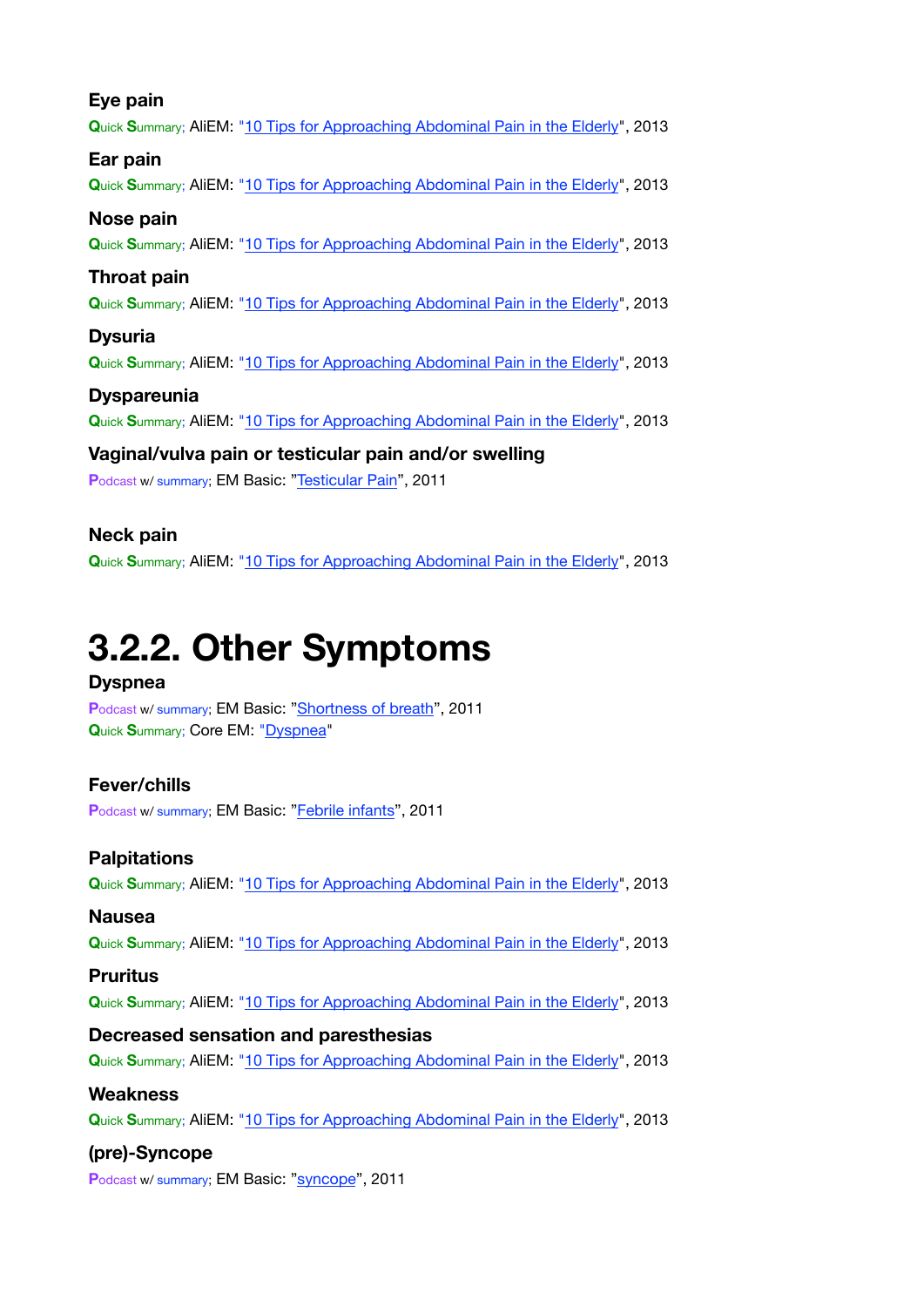#### **Eye pain**

**Q**uick **S**ummary; AliEM: ["10 Tips for Approaching Abdominal Pain in the Elderly](https://www.aliem.com/2013/10/ten-tips-for-approaching-abdominal-pain-in-the-elderly/)", 2013

#### **Ear pain**

**Q**uick **S**ummary; AliEM: ["10 Tips for Approaching Abdominal Pain in the Elderly](https://www.aliem.com/2013/10/ten-tips-for-approaching-abdominal-pain-in-the-elderly/)", 2013

#### **Nose pain**

**Q**uick **S**ummary; AliEM: ["10 Tips for Approaching Abdominal Pain in the Elderly](https://www.aliem.com/2013/10/ten-tips-for-approaching-abdominal-pain-in-the-elderly/)", 2013

#### **Throat pain**

**Q**uick **S**ummary; AliEM: ["10 Tips for Approaching Abdominal Pain in the Elderly](https://www.aliem.com/2013/10/ten-tips-for-approaching-abdominal-pain-in-the-elderly/)", 2013

#### **Dysuria**

**Q**uick **S**ummary; AliEM: ["10 Tips for Approaching Abdominal Pain in the Elderly](https://www.aliem.com/2013/10/ten-tips-for-approaching-abdominal-pain-in-the-elderly/)", 2013

#### **Dyspareunia**

**Q**uick **S**ummary; AliEM: ["10 Tips for Approaching Abdominal Pain in the Elderly](https://www.aliem.com/2013/10/ten-tips-for-approaching-abdominal-pain-in-the-elderly/)", 2013

### **Vaginal/vulva pain or testicular pain and/or swelling**

Podcast w/ summary; EM Basic: ["Testicular Pain](http://embasic.org/testicular-pain/)", 2011

#### **Neck pain**

**Q**uick **S**ummary; AliEM: ["10 Tips for Approaching Abdominal Pain in the Elderly](https://www.aliem.com/2013/10/ten-tips-for-approaching-abdominal-pain-in-the-elderly/)", 2013

# <span id="page-2-0"></span>**3.2.2. Other Symptoms**

#### **Dyspnea**

**P**odcast w/ summary; EM Basic: ["Shortness of breath](http://embasic.org/shortness-of-breath/)", 2011 **Q**uick **S**ummary; Core EM: ["Dyspnea](https://coreem.net/core/dyspnea/)"

#### **Fever/chills**

**P**odcast w/ summary; EM Basic: ["Febrile infants](http://embasic.org/febrile-infants/)", 2011

#### **Palpitations**

**Q**uick **S**ummary; AliEM: ["10 Tips for Approaching Abdominal Pain in the Elderly](https://www.aliem.com/2013/10/ten-tips-for-approaching-abdominal-pain-in-the-elderly/)", 2013

#### **Nausea**

**Q**uick **S**ummary; AliEM: ["10 Tips for Approaching Abdominal Pain in the Elderly](https://www.aliem.com/2013/10/ten-tips-for-approaching-abdominal-pain-in-the-elderly/)", 2013

#### **Pruritus**

**Q**uick **S**ummary; AliEM: ["10 Tips for Approaching Abdominal Pain in the Elderly](https://www.aliem.com/2013/10/ten-tips-for-approaching-abdominal-pain-in-the-elderly/)", 2013

#### **Decreased sensation and paresthesias**

**Q**uick **S**ummary; AliEM: ["10 Tips for Approaching Abdominal Pain in the Elderly](https://www.aliem.com/2013/10/ten-tips-for-approaching-abdominal-pain-in-the-elderly/)", 2013

#### **Weakness**

**Q**uick **S**ummary; AliEM: ["10 Tips for Approaching Abdominal Pain in the Elderly](https://www.aliem.com/2013/10/ten-tips-for-approaching-abdominal-pain-in-the-elderly/)", 2013

#### **(pre)-Syncope**

Podcast w/ summary; EM Basic: ["syncope](http://embasic.org/syncope/)", 2011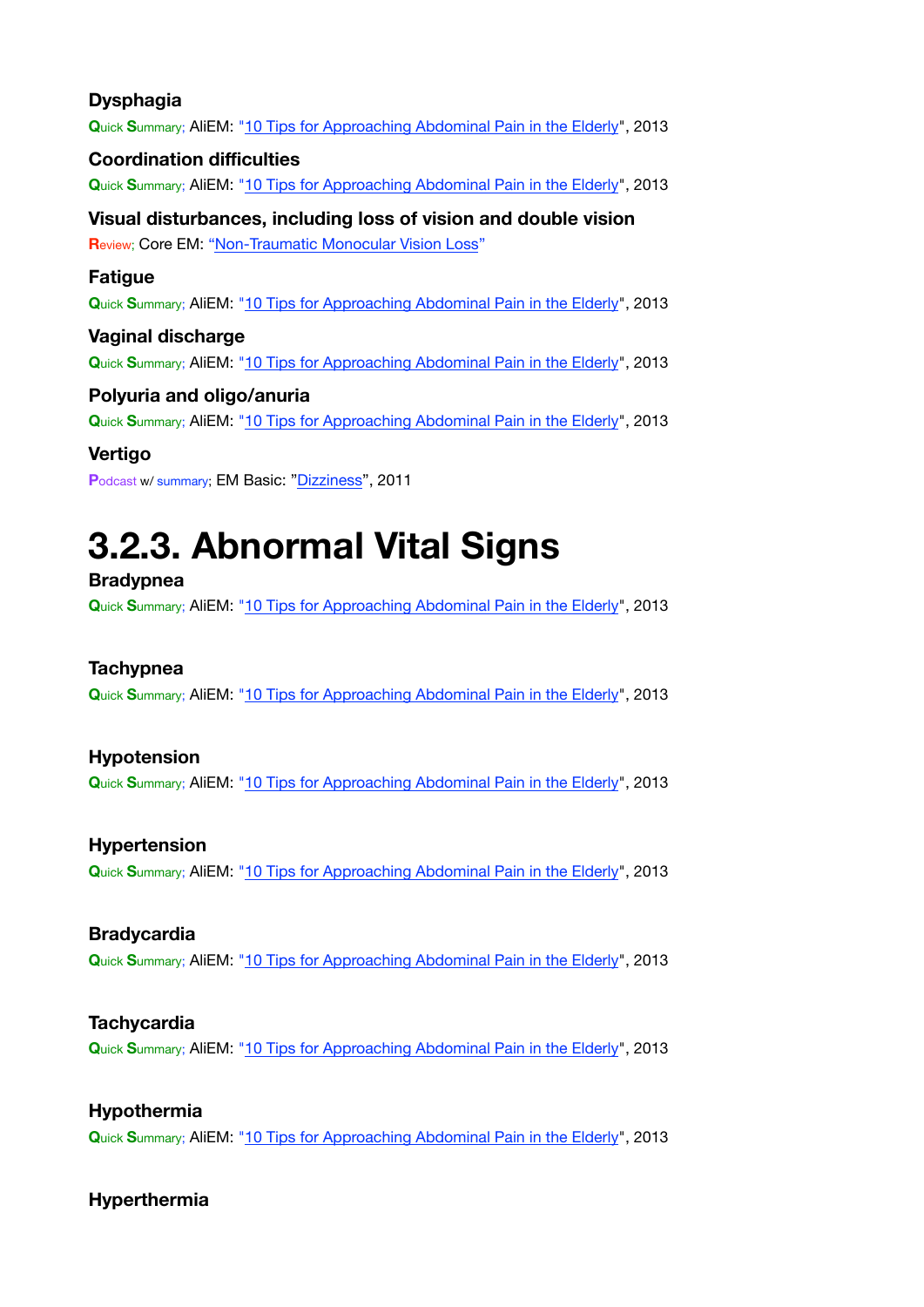#### **Dysphagia**

**Q**uick **S**ummary; AliEM: ["10 Tips for Approaching Abdominal Pain in the Elderly](https://www.aliem.com/2013/10/ten-tips-for-approaching-abdominal-pain-in-the-elderly/)", 2013

#### **Coordination difficulties**

**Q**uick **S**ummary; AliEM: ["10 Tips for Approaching Abdominal Pain in the Elderly](https://www.aliem.com/2013/10/ten-tips-for-approaching-abdominal-pain-in-the-elderly/)", 2013

### **Visual disturbances, including loss of vision and double vision**

**Review; Core EM: ["Non-Traumatic Monocular Vision Loss](https://coreem.net/core/vision-loss/)"** 

#### **Fatigue**

**Q**uick **S**ummary; AliEM: ["10 Tips for Approaching Abdominal Pain in the Elderly](https://www.aliem.com/2013/10/ten-tips-for-approaching-abdominal-pain-in-the-elderly/)", 2013

#### **Vaginal discharge**

**Q**uick **S**ummary; AliEM: ["10 Tips for Approaching Abdominal Pain in the Elderly](https://www.aliem.com/2013/10/ten-tips-for-approaching-abdominal-pain-in-the-elderly/)", 2013

#### **Polyuria and oligo/anuria**

**Q**uick **S**ummary; AliEM: ["10 Tips for Approaching Abdominal Pain in the Elderly](https://www.aliem.com/2013/10/ten-tips-for-approaching-abdominal-pain-in-the-elderly/)", 2013

#### **Vertigo**

**P**odcast w/ summary; EM Basic: ["Dizziness](http://embasic.org/dizziness/)", 2011

# <span id="page-3-0"></span>**3.2.3. Abnormal Vital Signs**

#### **Bradypnea**

**Q**uick **S**ummary; AliEM: ["10 Tips for Approaching Abdominal Pain in the Elderly](https://www.aliem.com/2013/10/ten-tips-for-approaching-abdominal-pain-in-the-elderly/)", 2013

#### **Tachypnea**

**Q**uick **S**ummary; AliEM: ["10 Tips for Approaching Abdominal Pain in the Elderly](https://www.aliem.com/2013/10/ten-tips-for-approaching-abdominal-pain-in-the-elderly/)", 2013

#### **Hypotension**

**Q**uick **S**ummary; AliEM: ["10 Tips for Approaching Abdominal Pain in the Elderly](https://www.aliem.com/2013/10/ten-tips-for-approaching-abdominal-pain-in-the-elderly/)", 2013

#### **Hypertension**

**Q**uick **S**ummary; AliEM: ["10 Tips for Approaching Abdominal Pain in the Elderly](https://www.aliem.com/2013/10/ten-tips-for-approaching-abdominal-pain-in-the-elderly/)", 2013

#### **Bradycardia**

**Q**uick **S**ummary; AliEM: ["10 Tips for Approaching Abdominal Pain in the Elderly](https://www.aliem.com/2013/10/ten-tips-for-approaching-abdominal-pain-in-the-elderly/)", 2013

#### **Tachycardia**

**Q**uick **S**ummary; AliEM: ["10 Tips for Approaching Abdominal Pain in the Elderly](https://www.aliem.com/2013/10/ten-tips-for-approaching-abdominal-pain-in-the-elderly/)", 2013

#### **Hypothermia**

**Q**uick **S**ummary; AliEM: ["10 Tips for Approaching Abdominal Pain in the Elderly](https://www.aliem.com/2013/10/ten-tips-for-approaching-abdominal-pain-in-the-elderly/)", 2013

#### **Hyperthermia**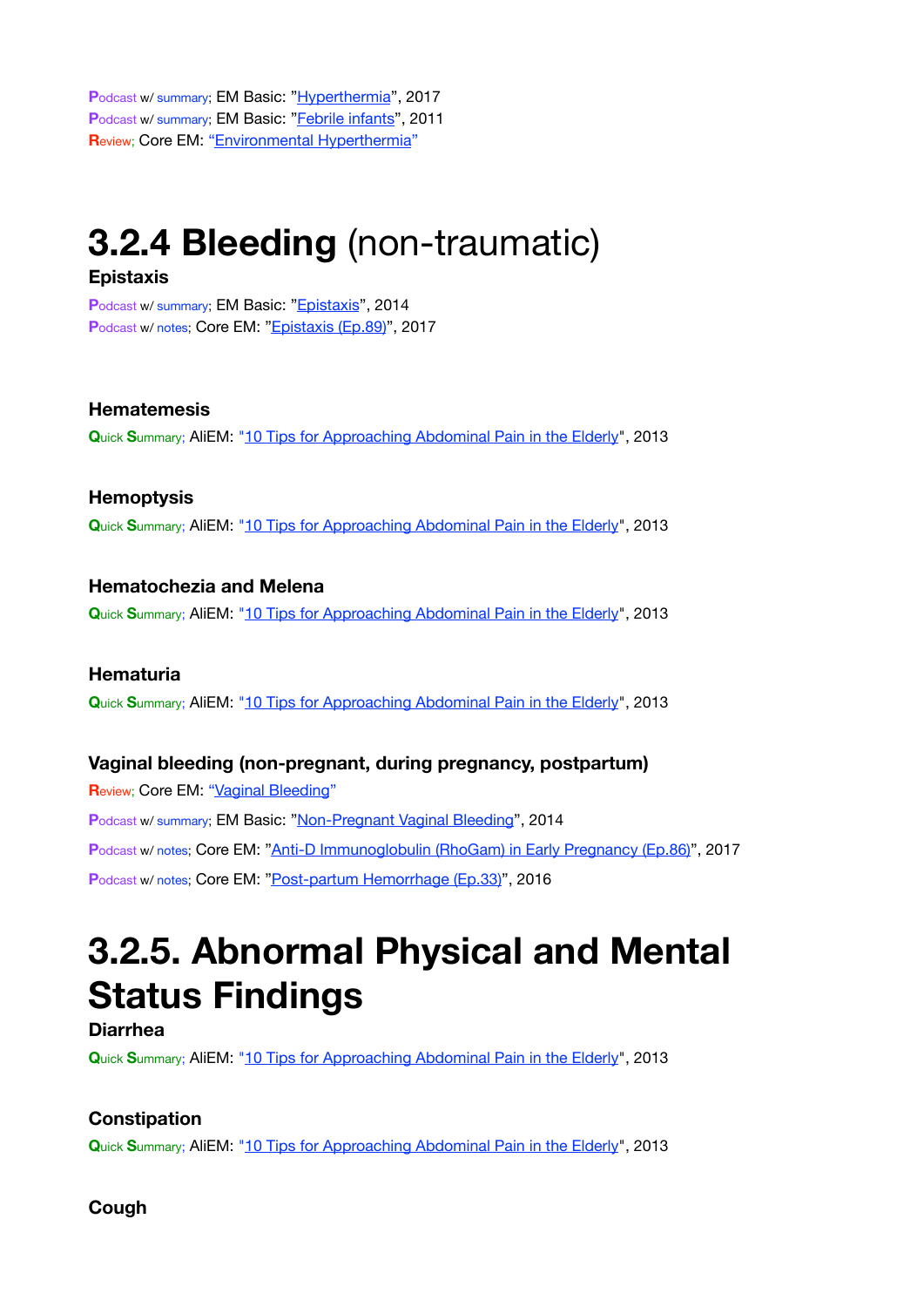**P**odcast w/ summary; EM Basic: ["Hyperthermia"](http://embasic.org/hyperthermia/), 2017 Podcast w/ summary; EM Basic: ["Febrile infants](http://embasic.org/febrile-infants/)", 2011 **R**eview; Core EM: ["Environmental Hyperthermia](https://coreem.net/core/environmental-hyperthermia/)"

## <span id="page-4-0"></span>**3.2.4 Bleeding** (non-traumatic)

#### **Epistaxis**

Podcast w/ summary; EM Basic: ["Epistaxis](http://embasic.org/epistaxis/)", 2014 Podcast w/ notes; Core EM: ["Epistaxis \(Ep.89\)](https://coreem.net/podcast/episode-89-0/)", 2017

#### **Hematemesis**

**Q**uick **S**ummary; AliEM: ["10 Tips for Approaching Abdominal Pain in the Elderly](https://www.aliem.com/2013/10/ten-tips-for-approaching-abdominal-pain-in-the-elderly/)", 2013

#### **Hemoptysis**

**Q**uick **S**ummary; AliEM: ["10 Tips for Approaching Abdominal Pain in the Elderly](https://www.aliem.com/2013/10/ten-tips-for-approaching-abdominal-pain-in-the-elderly/)", 2013

#### **Hematochezia and Melena**

**Q**uick **S**ummary; AliEM: ["10 Tips for Approaching Abdominal Pain in the Elderly](https://www.aliem.com/2013/10/ten-tips-for-approaching-abdominal-pain-in-the-elderly/)", 2013

#### **Hematuria**

**Q**uick **S**ummary; AliEM: ["10 Tips for Approaching Abdominal Pain in the Elderly](https://www.aliem.com/2013/10/ten-tips-for-approaching-abdominal-pain-in-the-elderly/)", 2013

#### **Vaginal bleeding (non-pregnant, during pregnancy, postpartum)**

**Review; Core EM: ["Vaginal Bleeding](https://coreem.net/core/vaginal-bleeding/)"** Podcast w/ summary; EM Basic: ["Non-Pregnant Vaginal Bleeding](http://embasic.org/non-pregnant-vaginal-bleeding/)", 2014 **P**odcast w/ notes; Core EM: ["Anti-D Immunoglobulin \(RhoGam\) in Early Pregnancy \(Ep.86\)](https://coreem.net/podcast/episode-86-0/)", 2017 **P**odcast w/ notes; Core EM: ["Post-partum Hemorrhage \(Ep.33\)](https://coreem.net/podcast/episode-33-0/)", 2016

# <span id="page-4-1"></span>**3.2.5. Abnormal Physical and Mental Status Findings**

#### **Diarrhea**

**Q**uick **S**ummary; AliEM: ["10 Tips for Approaching Abdominal Pain in the Elderly](https://www.aliem.com/2013/10/ten-tips-for-approaching-abdominal-pain-in-the-elderly/)", 2013

#### **Constipation**

**Q**uick **S**ummary; AliEM: ["10 Tips for Approaching Abdominal Pain in the Elderly](https://www.aliem.com/2013/10/ten-tips-for-approaching-abdominal-pain-in-the-elderly/)", 2013

**Cough**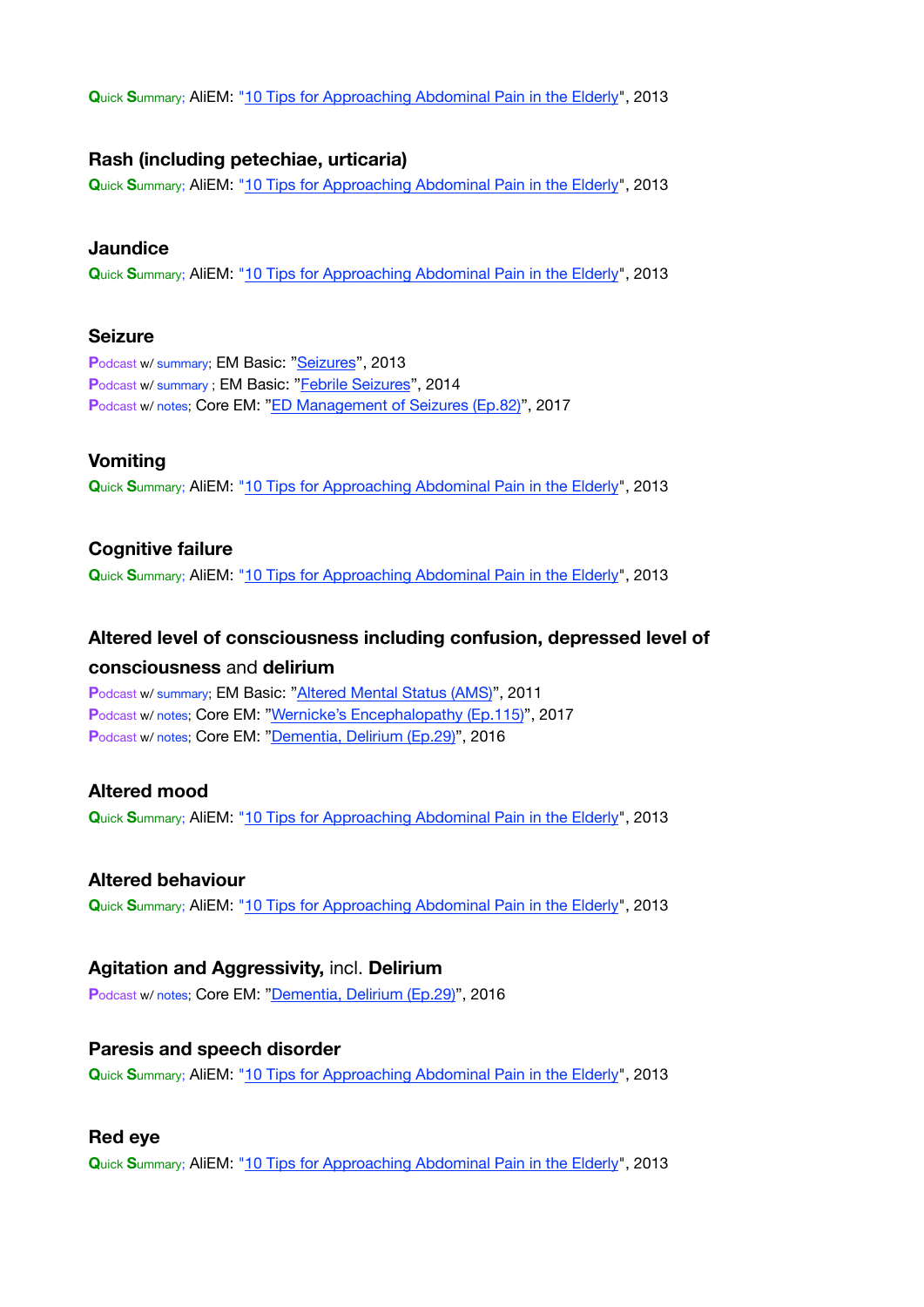**Q**uick **S**ummary; AliEM: ["10 Tips for Approaching Abdominal Pain in the Elderly](https://www.aliem.com/2013/10/ten-tips-for-approaching-abdominal-pain-in-the-elderly/)", 2013

#### **Rash (including petechiae, urticaria)**

**Q**uick **S**ummary; AliEM: ["10 Tips for Approaching Abdominal Pain in the Elderly](https://www.aliem.com/2013/10/ten-tips-for-approaching-abdominal-pain-in-the-elderly/)", 2013

#### **Jaundice**

**Q**uick **S**ummary; AliEM: ["10 Tips for Approaching Abdominal Pain in the Elderly](https://www.aliem.com/2013/10/ten-tips-for-approaching-abdominal-pain-in-the-elderly/)", 2013

#### **Seizure**

Podcast w/ summary; EM Basic: ["Seizures](http://embasic.org/seizures/)", 2013 Podcast w/ summary ; EM Basic: "[Febrile Seizures](http://embasic.org/febrile-seizures/)", 2014 Podcast w/ notes; Core EM: ["ED Management of Seizures \(Ep.82\)"](https://coreem.net/podcast/episode-82-0/), 2017

#### **Vomiting**

**Q**uick **S**ummary; AliEM: ["10 Tips for Approaching Abdominal Pain in the Elderly](https://www.aliem.com/2013/10/ten-tips-for-approaching-abdominal-pain-in-the-elderly/)", 2013

#### **Cognitive failure**

**Q**uick **S**ummary; AliEM: ["10 Tips for Approaching Abdominal Pain in the Elderly](https://www.aliem.com/2013/10/ten-tips-for-approaching-abdominal-pain-in-the-elderly/)", 2013

### **Altered level of consciousness including confusion, depressed level of**

#### **consciousness** and **delirium**

**P**odcast w/ summary; EM Basic: ["Altered Mental Status \(AMS\)](http://embasic.org/altered-mental-status-ams/)", 2011 Podcast w/ notes; Core EM: ["Wernicke's Encephalopathy \(Ep.115\)"](https://coreem.net/podcast/episode-115-0/), 2017 **P**odcast w/ notes; Core EM: ["Dementia, Delirium \(Ep.29\)](https://coreem.net/podcast/episode-29-0/)", 2016

#### **Altered mood**

**Q**uick **S**ummary; AliEM: ["10 Tips for Approaching Abdominal Pain in the Elderly](https://www.aliem.com/2013/10/ten-tips-for-approaching-abdominal-pain-in-the-elderly/)", 2013

#### **Altered behaviour**

**Q**uick **S**ummary; AliEM: ["10 Tips for Approaching Abdominal Pain in the Elderly](https://www.aliem.com/2013/10/ten-tips-for-approaching-abdominal-pain-in-the-elderly/)", 2013

#### **Agitation and Aggressivity,** incl. **Delirium**

**P**odcast w/ notes; Core EM: ["Dementia, Delirium \(Ep.29\)](https://coreem.net/podcast/episode-29-0/)", 2016

#### **Paresis and speech disorder**

**Q**uick **S**ummary; AliEM: ["10 Tips for Approaching Abdominal Pain in the Elderly](https://www.aliem.com/2013/10/ten-tips-for-approaching-abdominal-pain-in-the-elderly/)", 2013

#### **Red eye**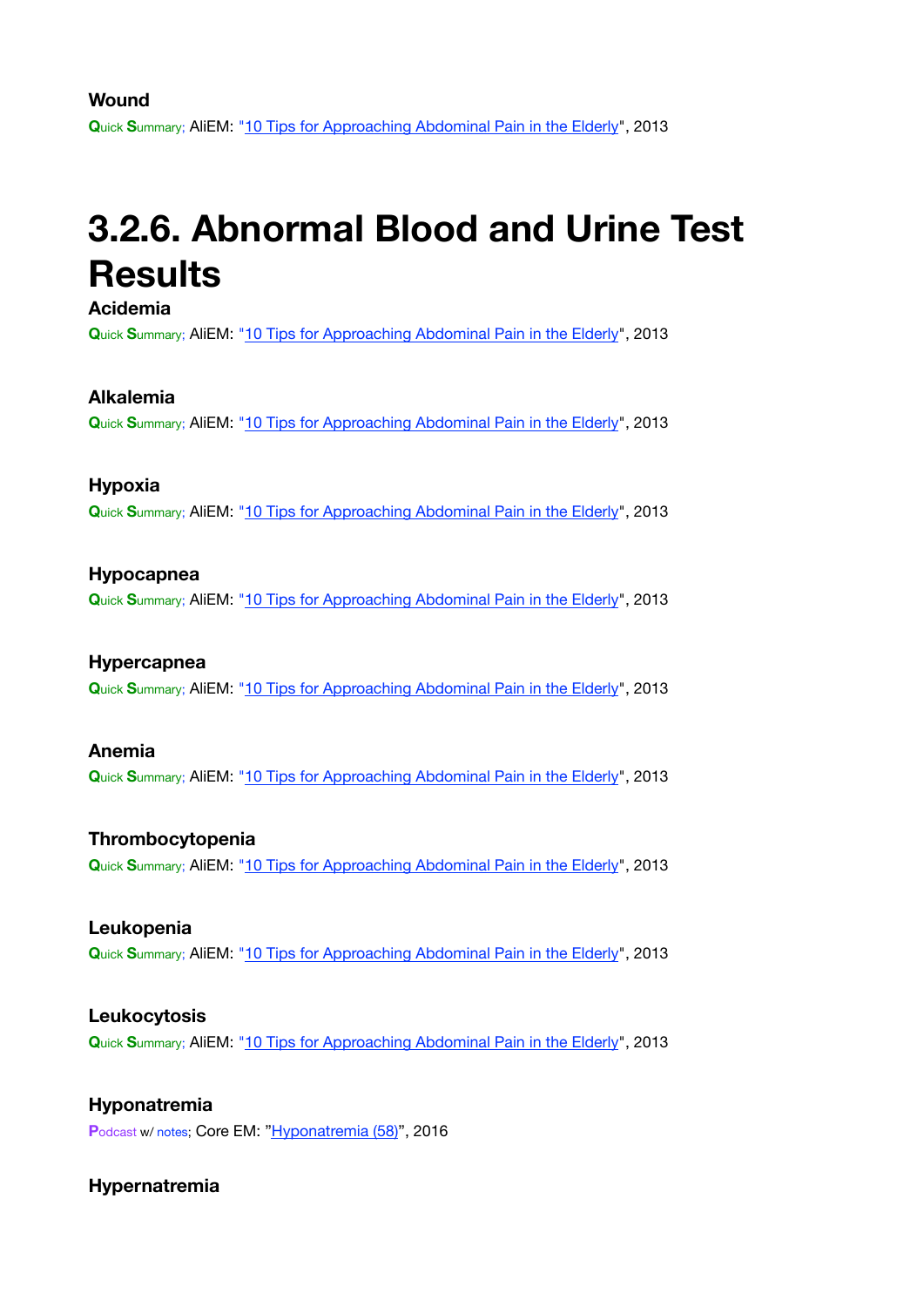#### **Wound**

**Q**uick **S**ummary; AliEM: ["10 Tips for Approaching Abdominal Pain in the Elderly](https://www.aliem.com/2013/10/ten-tips-for-approaching-abdominal-pain-in-the-elderly/)", 2013

### <span id="page-6-0"></span>**3.2.6. Abnormal Blood and Urine Test Results**

**Acidemia**

**Q**uick **S**ummary; AliEM: ["10 Tips for Approaching Abdominal Pain in the Elderly](https://www.aliem.com/2013/10/ten-tips-for-approaching-abdominal-pain-in-the-elderly/)", 2013

#### **Alkalemia**

**Q**uick **S**ummary; AliEM: ["10 Tips for Approaching Abdominal Pain in the Elderly](https://www.aliem.com/2013/10/ten-tips-for-approaching-abdominal-pain-in-the-elderly/)", 2013

#### **Hypoxia**

**Q**uick **S**ummary; AliEM: ["10 Tips for Approaching Abdominal Pain in the Elderly](https://www.aliem.com/2013/10/ten-tips-for-approaching-abdominal-pain-in-the-elderly/)", 2013

#### **Hypocapnea**

**Q**uick **S**ummary; AliEM: ["10 Tips for Approaching Abdominal Pain in the Elderly](https://www.aliem.com/2013/10/ten-tips-for-approaching-abdominal-pain-in-the-elderly/)", 2013

#### **Hypercapnea**

**Q**uick **S**ummary; AliEM: ["10 Tips for Approaching Abdominal Pain in the Elderly](https://www.aliem.com/2013/10/ten-tips-for-approaching-abdominal-pain-in-the-elderly/)", 2013

#### **Anemia**

**Q**uick **S**ummary; AliEM: ["10 Tips for Approaching Abdominal Pain in the Elderly](https://www.aliem.com/2013/10/ten-tips-for-approaching-abdominal-pain-in-the-elderly/)", 2013

#### **Thrombocytopenia**

**Q**uick **S**ummary; AliEM: ["10 Tips for Approaching Abdominal Pain in the Elderly](https://www.aliem.com/2013/10/ten-tips-for-approaching-abdominal-pain-in-the-elderly/)", 2013

#### **Leukopenia**

**Q**uick **S**ummary; AliEM: ["10 Tips for Approaching Abdominal Pain in the Elderly](https://www.aliem.com/2013/10/ten-tips-for-approaching-abdominal-pain-in-the-elderly/)", 2013

#### **Leukocytosis**

**Q**uick **S**ummary; AliEM: ["10 Tips for Approaching Abdominal Pain in the Elderly](https://www.aliem.com/2013/10/ten-tips-for-approaching-abdominal-pain-in-the-elderly/)", 2013

#### **Hyponatremia**

**P**odcast w/ notes; Core EM: ["Hyponatremia \(58\)](https://coreem.net/podcast/episode-58-0/)", 2016

#### **Hypernatremia**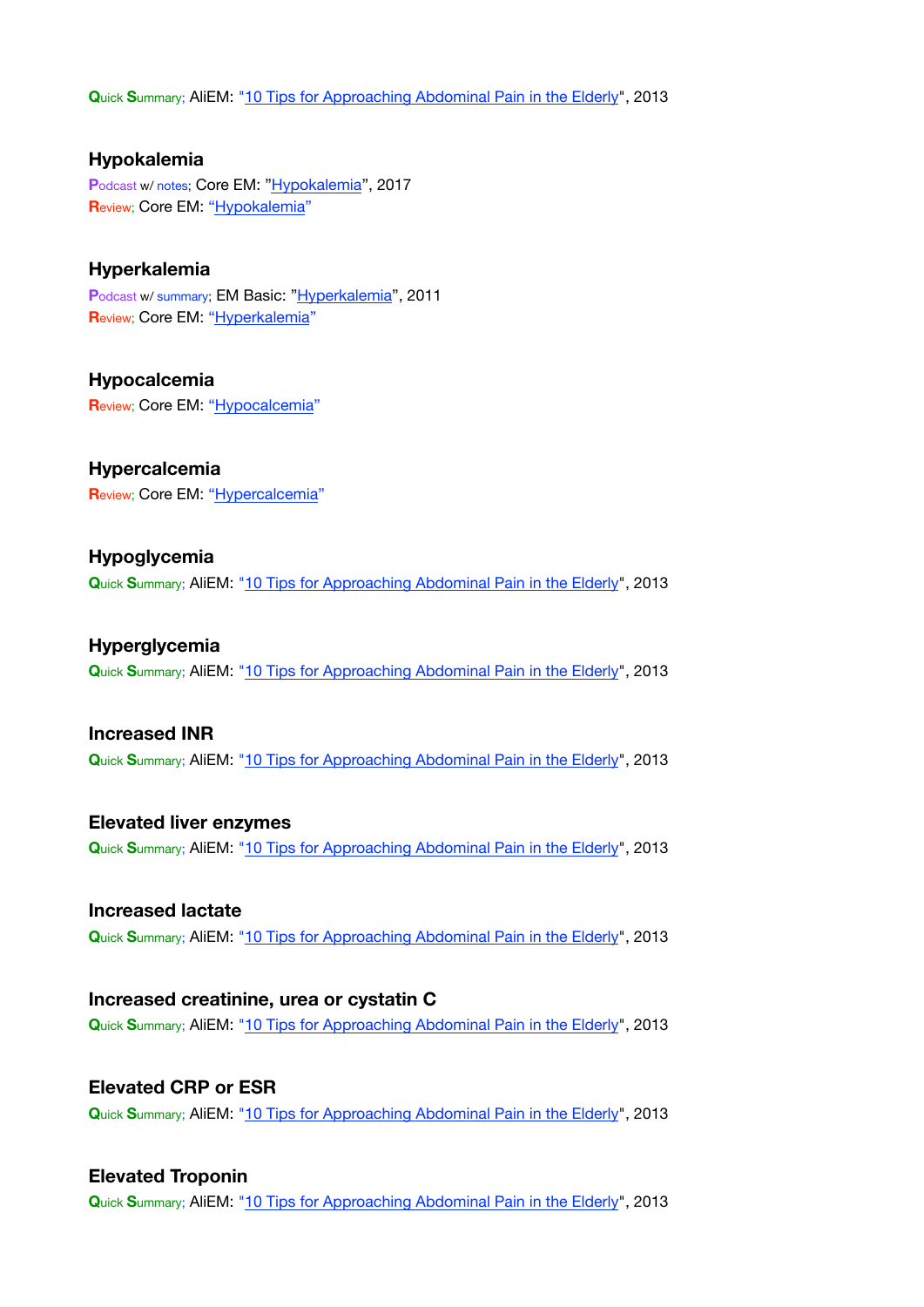**Q**uick **S**ummary; AliEM: ["10 Tips for Approaching Abdominal Pain in the Elderly](https://www.aliem.com/2013/10/ten-tips-for-approaching-abdominal-pain-in-the-elderly/)", 2013

**Hypokalemia** Podcast w/ notes; Core EM: ["Hypokalemia](https://coreem.net/podcast/episode-61-0-hypokalemia/)", 2017 **Review; Core EM: ["Hypokalemia](https://coreem.net/core/hypokalemia/)"** 

#### **Hyperkalemia**

Podcast w/ summary; EM Basic: ["Hyperkalemia](http://embasic.org/hyperkalemia/)", 2011 **R**eview; Core EM: ["Hyperkalemia](https://coreem.net/core/management-of-hyperkalemia/)"

**Hypocalcemia R**eview; Core EM: ["Hypocalcemia](https://coreem.net/core/hypocalcemia/)"

**Hypercalcemia R**eview; Core EM: ["Hypercalcemia](https://coreem.net/core/hypercalcemia/)"

**Hypoglycemia Q**uick **S**ummary; AliEM: ["10 Tips for Approaching Abdominal Pain in the Elderly](https://www.aliem.com/2013/10/ten-tips-for-approaching-abdominal-pain-in-the-elderly/)", 2013

**Hyperglycemia Q**uick **S**ummary; AliEM: ["10 Tips for Approaching Abdominal Pain in the Elderly](https://www.aliem.com/2013/10/ten-tips-for-approaching-abdominal-pain-in-the-elderly/)", 2013

#### **Increased INR**

**Q**uick **S**ummary; AliEM: ["10 Tips for Approaching Abdominal Pain in the Elderly](https://www.aliem.com/2013/10/ten-tips-for-approaching-abdominal-pain-in-the-elderly/)", 2013

**Elevated liver enzymes Q**uick **S**ummary; AliEM: ["10 Tips for Approaching Abdominal Pain in the Elderly](https://www.aliem.com/2013/10/ten-tips-for-approaching-abdominal-pain-in-the-elderly/)", 2013

**Increased lactate Q**uick **S**ummary; AliEM: ["10 Tips for Approaching Abdominal Pain in the Elderly](https://www.aliem.com/2013/10/ten-tips-for-approaching-abdominal-pain-in-the-elderly/)", 2013

**Increased creatinine, urea or cystatin C Q**uick **S**ummary; AliEM: ["10 Tips for Approaching Abdominal Pain in the Elderly](https://www.aliem.com/2013/10/ten-tips-for-approaching-abdominal-pain-in-the-elderly/)", 2013

**Elevated CRP or ESR Q**uick **S**ummary; AliEM: ["10 Tips for Approaching Abdominal Pain in the Elderly](https://www.aliem.com/2013/10/ten-tips-for-approaching-abdominal-pain-in-the-elderly/)", 2013

#### **Elevated Troponin**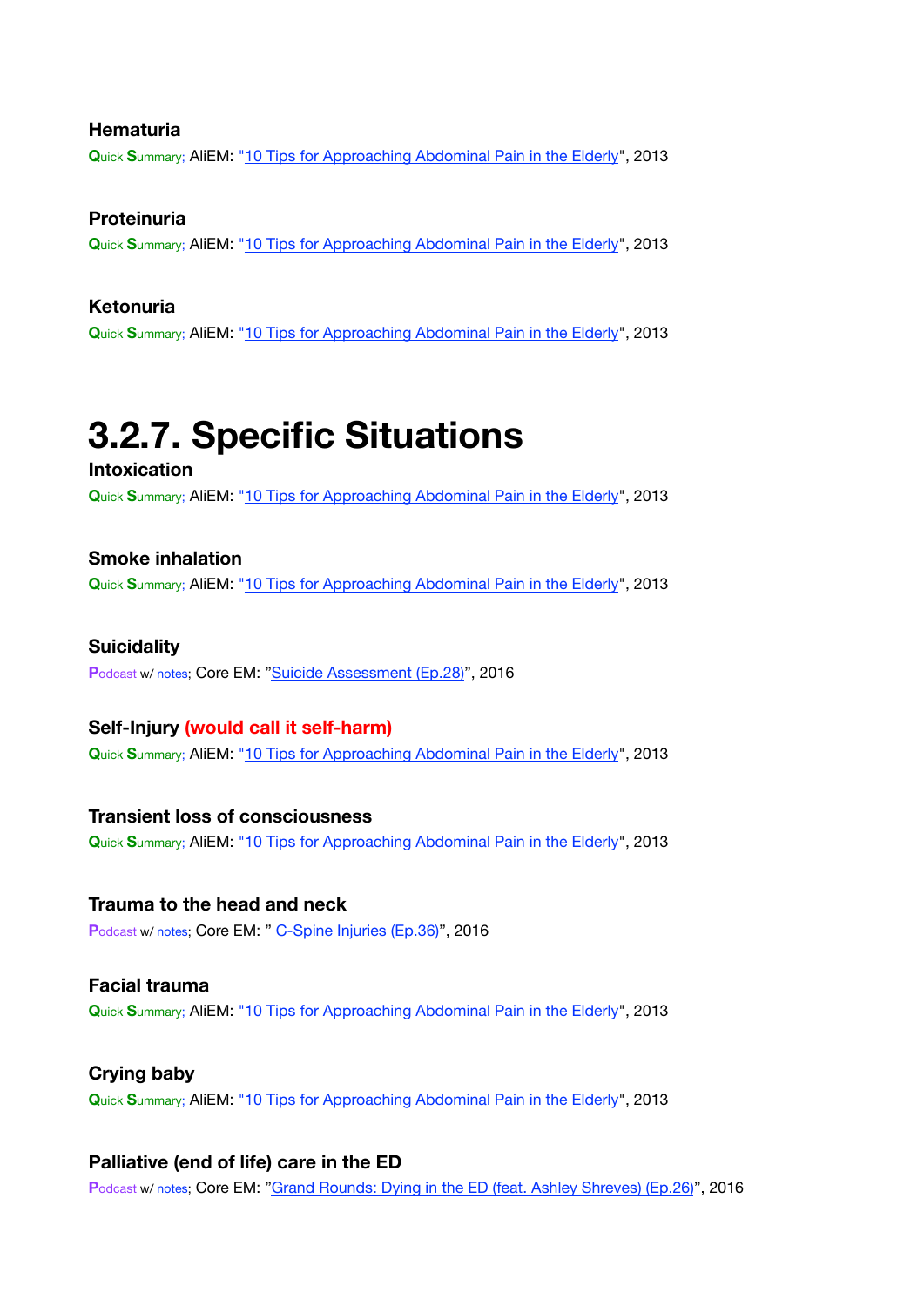#### **Hematuria**

**Q**uick **S**ummary; AliEM: ["10 Tips for Approaching Abdominal Pain in the Elderly](https://www.aliem.com/2013/10/ten-tips-for-approaching-abdominal-pain-in-the-elderly/)", 2013

#### **Proteinuria**

**Q**uick **S**ummary; AliEM: ["10 Tips for Approaching Abdominal Pain in the Elderly](https://www.aliem.com/2013/10/ten-tips-for-approaching-abdominal-pain-in-the-elderly/)", 2013

#### **Ketonuria**

**Q**uick **S**ummary; AliEM: ["10 Tips for Approaching Abdominal Pain in the Elderly](https://www.aliem.com/2013/10/ten-tips-for-approaching-abdominal-pain-in-the-elderly/)", 2013

### <span id="page-8-0"></span>**3.2.7. Specific Situations**

#### **Intoxication**

**Q**uick **S**ummary; AliEM: ["10 Tips for Approaching Abdominal Pain in the Elderly](https://www.aliem.com/2013/10/ten-tips-for-approaching-abdominal-pain-in-the-elderly/)", 2013

#### **Smoke inhalation**

**Q**uick **S**ummary; AliEM: ["10 Tips for Approaching Abdominal Pain in the Elderly](https://www.aliem.com/2013/10/ten-tips-for-approaching-abdominal-pain-in-the-elderly/)", 2013

#### **Suicidality**

Podcast w/ notes; Core EM: ["Suicide Assessment \(Ep.28\)](https://coreem.net/podcast/episode-28-0/)", 2016

#### **Self-Injury (would call it self-harm)**

**Q**uick **S**ummary; AliEM: ["10 Tips for Approaching Abdominal Pain in the Elderly](https://www.aliem.com/2013/10/ten-tips-for-approaching-abdominal-pain-in-the-elderly/)", 2013

#### **Transient loss of consciousness**

**Q**uick **S**ummary; AliEM: ["10 Tips for Approaching Abdominal Pain in the Elderly](https://www.aliem.com/2013/10/ten-tips-for-approaching-abdominal-pain-in-the-elderly/)", 2013

#### **Trauma to the head and neck**

Podcast w/ notes; Core EM: [" C-Spine Injuries \(Ep.36\)](https://coreem.net/podcast/episode-36-0/)", 2016

#### **Facial trauma Q**uick **S**ummary; AliEM: ["10 Tips for Approaching Abdominal Pain in the Elderly](https://www.aliem.com/2013/10/ten-tips-for-approaching-abdominal-pain-in-the-elderly/)", 2013

**Crying baby Q**uick **S**ummary; AliEM: ["10 Tips for Approaching Abdominal Pain in the Elderly](https://www.aliem.com/2013/10/ten-tips-for-approaching-abdominal-pain-in-the-elderly/)", 2013

#### **Palliative (end of life) care in the ED**

**P**odcast w/ notes; Core EM: ["Grand Rounds: Dying in the ED \(feat. Ashley Shreves\) \(Ep.26\)](https://coreem.net/podcast/episode-26-0/)", 2016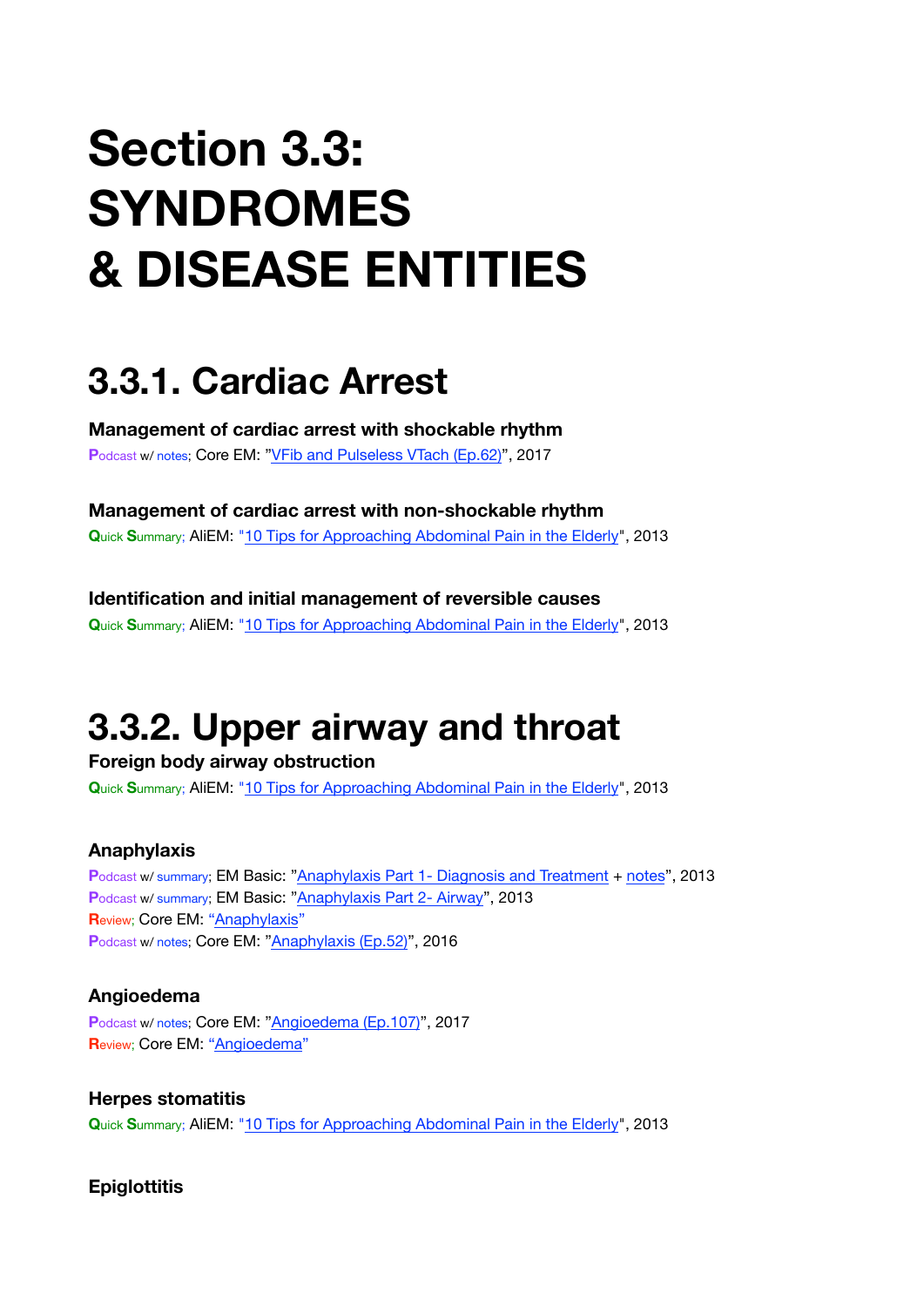# **Section 3.3: SYNDROMES & DISEASE ENTITIES**

## <span id="page-9-0"></span>**3.3.1. Cardiac Arrest**

**Management of cardiac arrest with shockable rhythm** Podcast w/ notes; Core EM: ["VFib and Pulseless VTach \(Ep.62\)](https://coreem.net/podcast/episode-62-0/)", 2017

**Management of cardiac arrest with non-shockable rhythm Q**uick **S**ummary; AliEM: ["10 Tips for Approaching Abdominal Pain in the Elderly](https://www.aliem.com/2013/10/ten-tips-for-approaching-abdominal-pain-in-the-elderly/)", 2013

**Identification and initial management of reversible causes Q**uick **S**ummary; AliEM: ["10 Tips for Approaching Abdominal Pain in the Elderly](https://www.aliem.com/2013/10/ten-tips-for-approaching-abdominal-pain-in-the-elderly/)", 2013

# <span id="page-9-1"></span>**3.3.2. Upper airway and throat**

**Foreign body airway obstruction Q**uick **S**ummary; AliEM: ["10 Tips for Approaching Abdominal Pain in the Elderly](https://www.aliem.com/2013/10/ten-tips-for-approaching-abdominal-pain-in-the-elderly/)", 2013

#### **Anaphylaxis**

**P**odcast w/ summary; EM Basic: ["Anaphylaxis Part 1- Diagnosis and Treatment](http://embasic.org/anaphylaxis-part-1-diagnosis-and-treatment/) + [notes](http://embasic.org/anaphylaxis-part-1-show-notes-posted/)", 2013 **P**odcast w/ summary; EM Basic: ["Anaphylaxis Part 2- Airway](http://embasic.org/anaphylaxis-part-2-airway/)", 2013 **R**eview; Core EM: ["Anaphylaxis](https://coreem.net/core/anaphylaxis/)" Podcast w/ notes; Core EM: ["Anaphylaxis \(Ep.52\)"](https://coreem.net/podcast/episode-52-0/), 2016

#### **Angioedema**

**P**odcast w/ notes; Core EM: ["Angioedema \(Ep.107\)"](https://coreem.net/podcast/episode-107-0/), 2017 **Review; Core EM: ["Angioedema"](https://coreem.net/core/angioedema/)** 

**Herpes stomatitis Q**uick **S**ummary; AliEM: ["10 Tips for Approaching Abdominal Pain in the Elderly](https://www.aliem.com/2013/10/ten-tips-for-approaching-abdominal-pain-in-the-elderly/)", 2013

#### **Epiglottitis**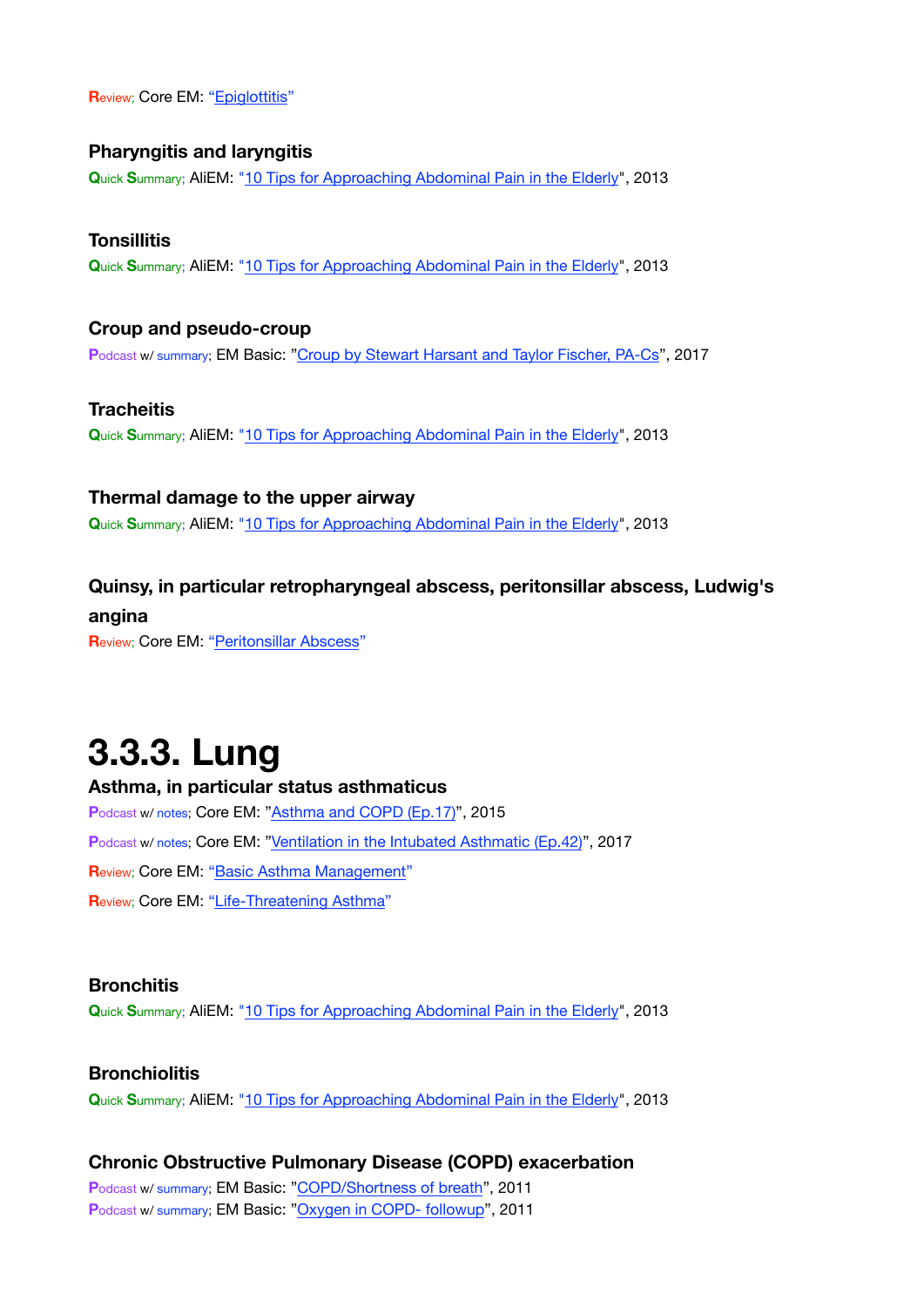**Review; Core EM: ["Epiglottitis](https://coreem.net/core/epiglottitis/)"** 

#### **Pharyngitis and laryngitis**

**Q**uick **S**ummary; AliEM: ["10 Tips for Approaching Abdominal Pain in the Elderly](https://www.aliem.com/2013/10/ten-tips-for-approaching-abdominal-pain-in-the-elderly/)", 2013

#### **Tonsillitis Q**uick **S**ummary; AliEM: ["10 Tips for Approaching Abdominal Pain in the Elderly](https://www.aliem.com/2013/10/ten-tips-for-approaching-abdominal-pain-in-the-elderly/)", 2013

**Croup and pseudo-croup** Podcast w/ summary; EM Basic: ["Croup by Stewart Harsant and Taylor Fischer, PA-Cs"](http://embasic.org/croup/), 2017

**Tracheitis Q**uick **S**ummary; AliEM: ["10 Tips for Approaching Abdominal Pain in the Elderly](https://www.aliem.com/2013/10/ten-tips-for-approaching-abdominal-pain-in-the-elderly/)", 2013

#### **Thermal damage to the upper airway**

**Q**uick **S**ummary; AliEM: ["10 Tips for Approaching Abdominal Pain in the Elderly](https://www.aliem.com/2013/10/ten-tips-for-approaching-abdominal-pain-in-the-elderly/)", 2013

#### **Quinsy, in particular retropharyngeal abscess, peritonsillar abscess, Ludwig's**

**angina**

**R**eview; Core EM: ["Peritonsillar Abscess](https://coreem.net/core/peritonsillar-abscess/)"

### <span id="page-10-0"></span>**3.3.3. Lung**

### **Asthma, in particular status asthmaticus** Podcast w/ notes; Core EM: ["Asthma and COPD \(Ep.17\)"](https://coreem.net/podcast/episode-17-0-asthma-and-copd/), 2015 Podcast w/ notes; Core EM: ["Ventilation in the Intubated Asthmatic \(Ep.42\)](https://coreem.net/podcast/episode-42-0/)", 2017 **Review; Core EM: ["Basic Asthma Management](https://coreem.net/core/basic-asthma-management/)" R**eview; Core EM: ["Life-Threatening Asthma](https://coreem.net/core/life-threatening-asthma/)"

#### **Bronchitis**

**Q**uick **S**ummary; AliEM: ["10 Tips for Approaching Abdominal Pain in the Elderly](https://www.aliem.com/2013/10/ten-tips-for-approaching-abdominal-pain-in-the-elderly/)", 2013

#### **Bronchiolitis**

**Q**uick **S**ummary; AliEM: ["10 Tips for Approaching Abdominal Pain in the Elderly](https://www.aliem.com/2013/10/ten-tips-for-approaching-abdominal-pain-in-the-elderly/)", 2013

#### **Chronic Obstructive Pulmonary Disease (COPD) exacerbation**

**P**odcast w/ summary; EM Basic: ["COPD/Shortness of breath](http://embasic.org/copdshortness-of-breath/)", 2011 **P**odcast w/ summary; EM Basic: ["Oxygen in COPD- followup](http://embasic.org/oxygen-in-copd-followup/)", 2011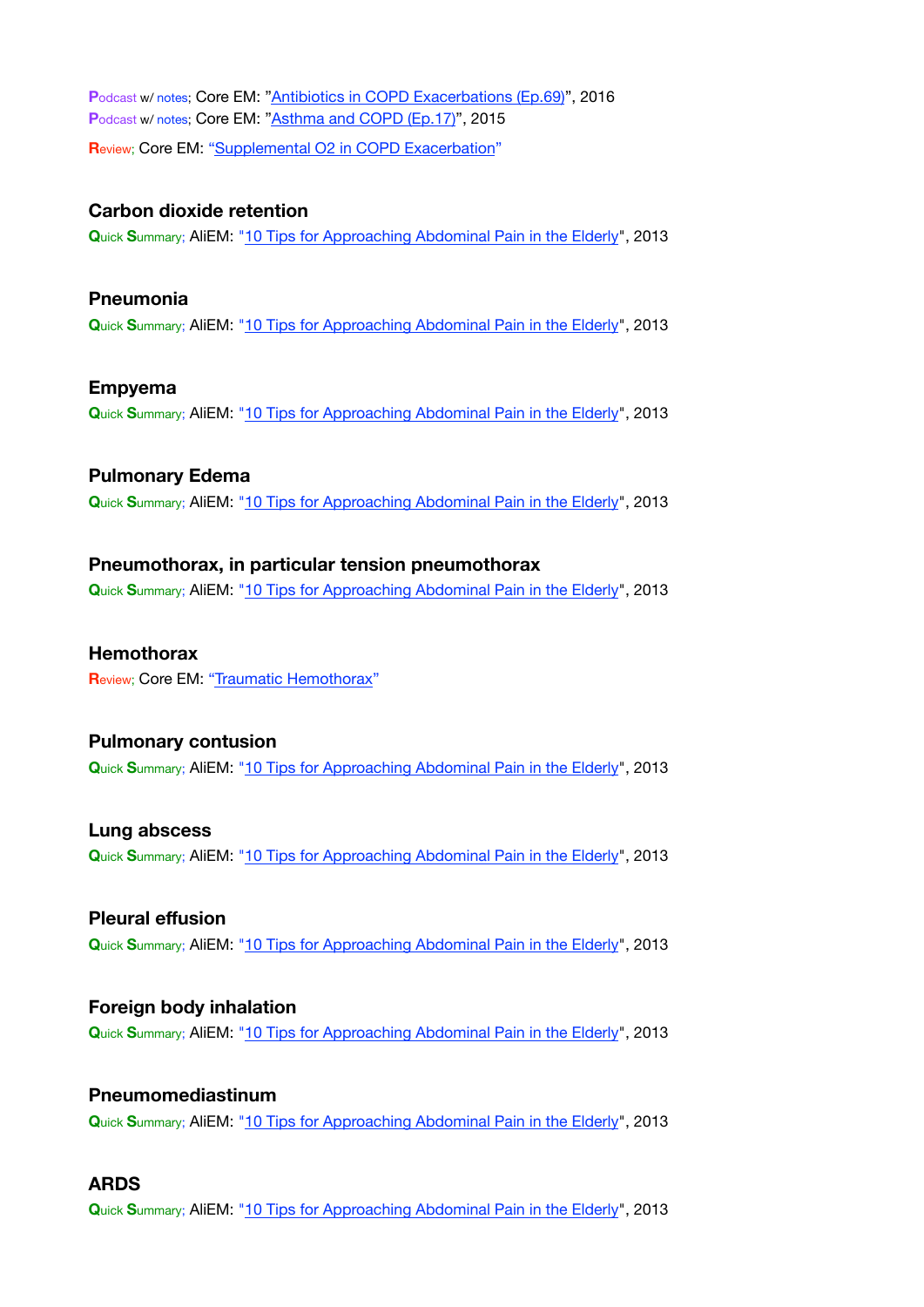**P**odcast w/ notes; Core EM: ["Antibiotics in COPD Exacerbations \(Ep.69\)](https://coreem.net/podcast/episode-69-0/)", 2016 Podcast w/ notes; Core EM: ["Asthma and COPD \(Ep.17\)"](https://coreem.net/podcast/episode-17-0-asthma-and-copd/), 2015 **R**eview; Core EM: ["Supplemental O2 in COPD Exacerbation](https://coreem.net/core/supplemental-o2-in-copd/)"

#### **Carbon dioxide retention**

**Q**uick **S**ummary; AliEM: ["10 Tips for Approaching Abdominal Pain in the Elderly](https://www.aliem.com/2013/10/ten-tips-for-approaching-abdominal-pain-in-the-elderly/)", 2013

#### **Pneumonia**

**Q**uick **S**ummary; AliEM: ["10 Tips for Approaching Abdominal Pain in the Elderly](https://www.aliem.com/2013/10/ten-tips-for-approaching-abdominal-pain-in-the-elderly/)", 2013

#### **Empyema**

**Q**uick **S**ummary; AliEM: ["10 Tips for Approaching Abdominal Pain in the Elderly](https://www.aliem.com/2013/10/ten-tips-for-approaching-abdominal-pain-in-the-elderly/)", 2013

#### **Pulmonary Edema**

**Q**uick **S**ummary; AliEM: ["10 Tips for Approaching Abdominal Pain in the Elderly](https://www.aliem.com/2013/10/ten-tips-for-approaching-abdominal-pain-in-the-elderly/)", 2013

#### **Pneumothorax, in particular tension pneumothorax**

**Q**uick **S**ummary; AliEM: ["10 Tips for Approaching Abdominal Pain in the Elderly](https://www.aliem.com/2013/10/ten-tips-for-approaching-abdominal-pain-in-the-elderly/)", 2013

#### **Hemothorax**

**R**eview; Core EM: ["Traumatic Hemothorax](https://coreem.net/core/traumatic-hemothorax/)"

#### **Pulmonary contusion Q**uick **S**ummary; AliEM: ["10 Tips for Approaching Abdominal Pain in the Elderly](https://www.aliem.com/2013/10/ten-tips-for-approaching-abdominal-pain-in-the-elderly/)", 2013

**Lung abscess Q**uick **S**ummary; AliEM: ["10 Tips for Approaching Abdominal Pain in the Elderly](https://www.aliem.com/2013/10/ten-tips-for-approaching-abdominal-pain-in-the-elderly/)", 2013

### **Pleural effusion Q**uick **S**ummary; AliEM: ["10 Tips for Approaching Abdominal Pain in the Elderly](https://www.aliem.com/2013/10/ten-tips-for-approaching-abdominal-pain-in-the-elderly/)", 2013

#### **Foreign body inhalation Q**uick **S**ummary; AliEM: ["10 Tips for Approaching Abdominal Pain in the Elderly](https://www.aliem.com/2013/10/ten-tips-for-approaching-abdominal-pain-in-the-elderly/)", 2013

### **Pneumomediastinum**

**Q**uick **S**ummary; AliEM: ["10 Tips for Approaching Abdominal Pain in the Elderly](https://www.aliem.com/2013/10/ten-tips-for-approaching-abdominal-pain-in-the-elderly/)", 2013

#### **ARDS**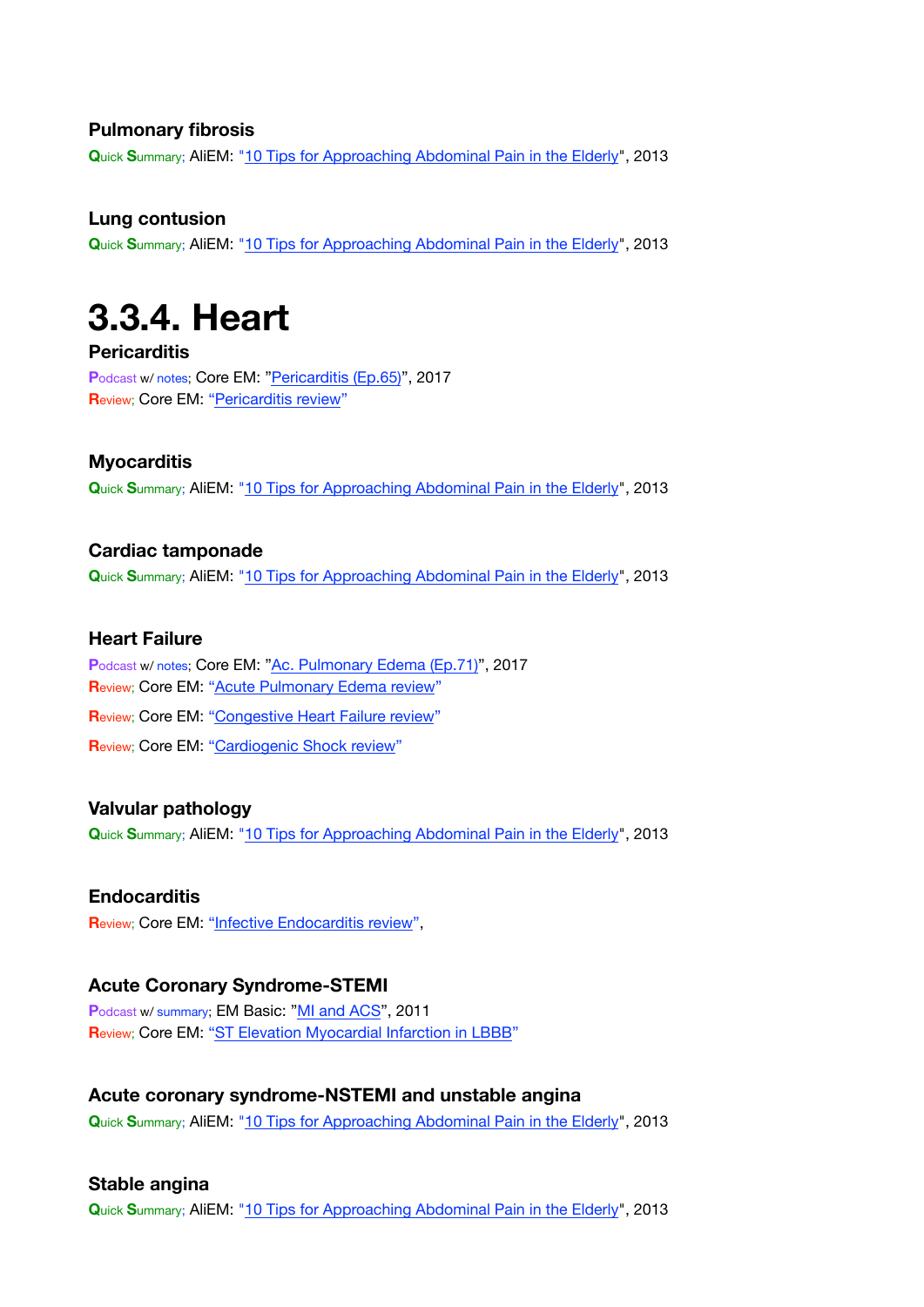#### **Pulmonary fibrosis**

**Q**uick **S**ummary; AliEM: ["10 Tips for Approaching Abdominal Pain in the Elderly](https://www.aliem.com/2013/10/ten-tips-for-approaching-abdominal-pain-in-the-elderly/)", 2013

#### **Lung contusion**

**Q**uick **S**ummary; AliEM: ["10 Tips for Approaching Abdominal Pain in the Elderly](https://www.aliem.com/2013/10/ten-tips-for-approaching-abdominal-pain-in-the-elderly/)", 2013

### <span id="page-12-0"></span>**3.3.4. Heart**

#### **Pericarditis**

**P**odcast w/ notes; Core EM: ["Pericarditis \(Ep.65\)](https://coreem.net/podcast/episode-65-0-pericarditis/)", 2017 **R**eview; Core EM: ["Pericarditis review"](https://coreem.net/core/pericarditis/)

#### **Myocarditis**

**Q**uick **S**ummary; AliEM: ["10 Tips for Approaching Abdominal Pain in the Elderly](https://www.aliem.com/2013/10/ten-tips-for-approaching-abdominal-pain-in-the-elderly/)", 2013

### **Cardiac tamponade**

**Q**uick **S**ummary; AliEM: ["10 Tips for Approaching Abdominal Pain in the Elderly](https://www.aliem.com/2013/10/ten-tips-for-approaching-abdominal-pain-in-the-elderly/)", 2013

#### **Heart Failure**

Podcast w/ notes; Core EM: ["Ac. Pulmonary Edema \(Ep.71\)](https://coreem.net/podcast/episode-71-0/)", 2017 **Review; Core EM: ["Acute Pulmonary Edema review](https://coreem.net/core/ape/)" Review; Core EM: ["Congestive Heart Failure review](https://coreem.net/core/congestive-heart-failure/)" R**eview; Core EM: ["Cardiogenic Shock review](https://coreem.net/core/cardiogenic-shock/)"

#### **Valvular pathology**

**Q**uick **S**ummary; AliEM: ["10 Tips for Approaching Abdominal Pain in the Elderly](https://www.aliem.com/2013/10/ten-tips-for-approaching-abdominal-pain-in-the-elderly/)", 2013

#### **Endocarditis**

**R**eview; Core EM: ["Infective Endocarditis review](https://coreem.net/core/infective-endocarditis/)",

#### **Acute Coronary Syndrome-STEMI**

Podcast w/ summary; EM Basic: ["MI and ACS](http://embasic.org/mi-and-acs/)", 2011 **R**eview; Core EM: ["ST Elevation Myocardial Infarction in LBBB](https://coreem.net/core/stemi-lbbb/)"

#### **Acute coronary syndrome-NSTEMI and unstable angina**

**Q**uick **S**ummary; AliEM: ["10 Tips for Approaching Abdominal Pain in the Elderly](https://www.aliem.com/2013/10/ten-tips-for-approaching-abdominal-pain-in-the-elderly/)", 2013

#### **Stable angina**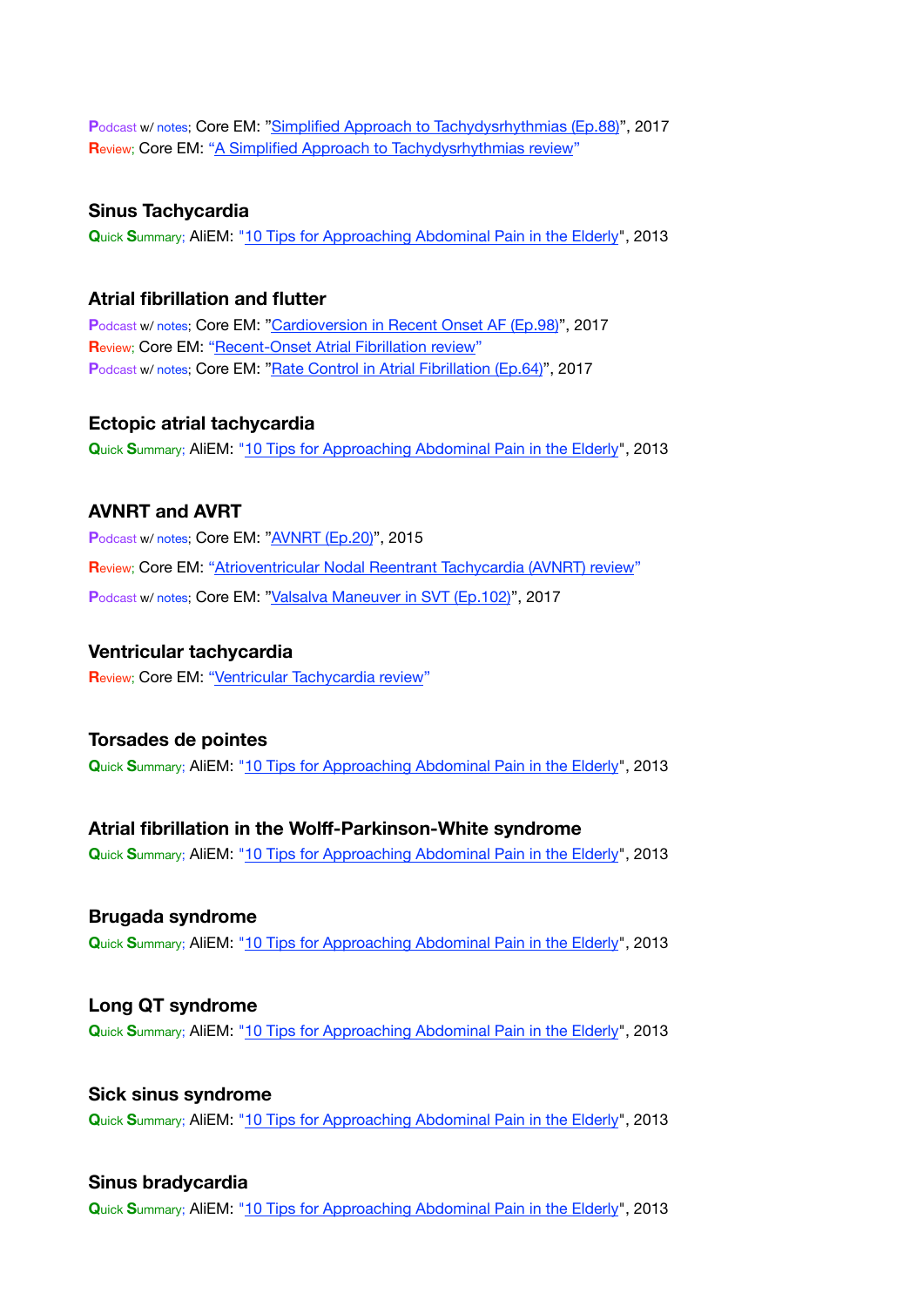Podcast w/ notes; Core EM: ["Simplified Approach to Tachydysrhythmias \(Ep.88\)](https://coreem.net/podcast/episode-88-0/)", 2017 **R**eview; Core EM: ["A Simplified Approach to Tachydysrhythmias review](https://coreem.net/core/a-simplified-approach-to-tachydysrhythmias/)"

#### **Sinus Tachycardia**

**Q**uick **S**ummary; AliEM: ["10 Tips for Approaching Abdominal Pain in the Elderly](https://www.aliem.com/2013/10/ten-tips-for-approaching-abdominal-pain-in-the-elderly/)", 2013

#### **Atrial fibrillation and flutter**

Podcast w/ notes; Core EM: ["Cardioversion in Recent Onset AF \(Ep.98\)](https://coreem.net/podcast/episode-98-0/)", 2017 **Review; Core EM: ["Recent-Onset Atrial Fibrillation review](https://coreem.net/core/recent-onset-atrial-fibrillation/)"** Podcast w/ notes; Core EM: ["Rate Control in Atrial Fibrillation \(Ep.64\)](https://coreem.net/podcast/episode-64-0/)", 2017

#### **Ectopic atrial tachycardia**

**Q**uick **S**ummary; AliEM: ["10 Tips for Approaching Abdominal Pain in the Elderly](https://www.aliem.com/2013/10/ten-tips-for-approaching-abdominal-pain-in-the-elderly/)", 2013

#### **AVNRT and AVRT**

**P**odcast w/ notes; Core EM: ["AVNRT \(Ep.20\)](https://coreem.net/podcast/episode-20-0-avnrt/)", 2015 **R**eview; Core EM: ["Atrioventricular Nodal Reentrant Tachycardia \(AVNRT\) review](https://coreem.net/core/avnrt/)" Podcast w/ notes; Core EM: ["Valsalva Maneuver in SVT \(Ep.102\)](https://coreem.net/podcast/episode-102-0/)", 2017

#### **Ventricular tachycardia**

**R**eview; Core EM: ["Ventricular Tachycardia review](https://coreem.net/core/ventricular-tachycardia/)"

#### **Torsades de pointes**

**Q**uick **S**ummary; AliEM: ["10 Tips for Approaching Abdominal Pain in the Elderly](https://www.aliem.com/2013/10/ten-tips-for-approaching-abdominal-pain-in-the-elderly/)", 2013

#### **Atrial fibrillation in the Wolff-Parkinson-White syndrome**

**Q**uick **S**ummary; AliEM: ["10 Tips for Approaching Abdominal Pain in the Elderly](https://www.aliem.com/2013/10/ten-tips-for-approaching-abdominal-pain-in-the-elderly/)", 2013

#### **Brugada syndrome Q**uick **S**ummary; AliEM: ["10 Tips for Approaching Abdominal Pain in the Elderly](https://www.aliem.com/2013/10/ten-tips-for-approaching-abdominal-pain-in-the-elderly/)", 2013

**Long QT syndrome Q**uick **S**ummary; AliEM: ["10 Tips for Approaching Abdominal Pain in the Elderly](https://www.aliem.com/2013/10/ten-tips-for-approaching-abdominal-pain-in-the-elderly/)", 2013

**Sick sinus syndrome Q**uick **S**ummary; AliEM: ["10 Tips for Approaching Abdominal Pain in the Elderly](https://www.aliem.com/2013/10/ten-tips-for-approaching-abdominal-pain-in-the-elderly/)", 2013

#### **Sinus bradycardia**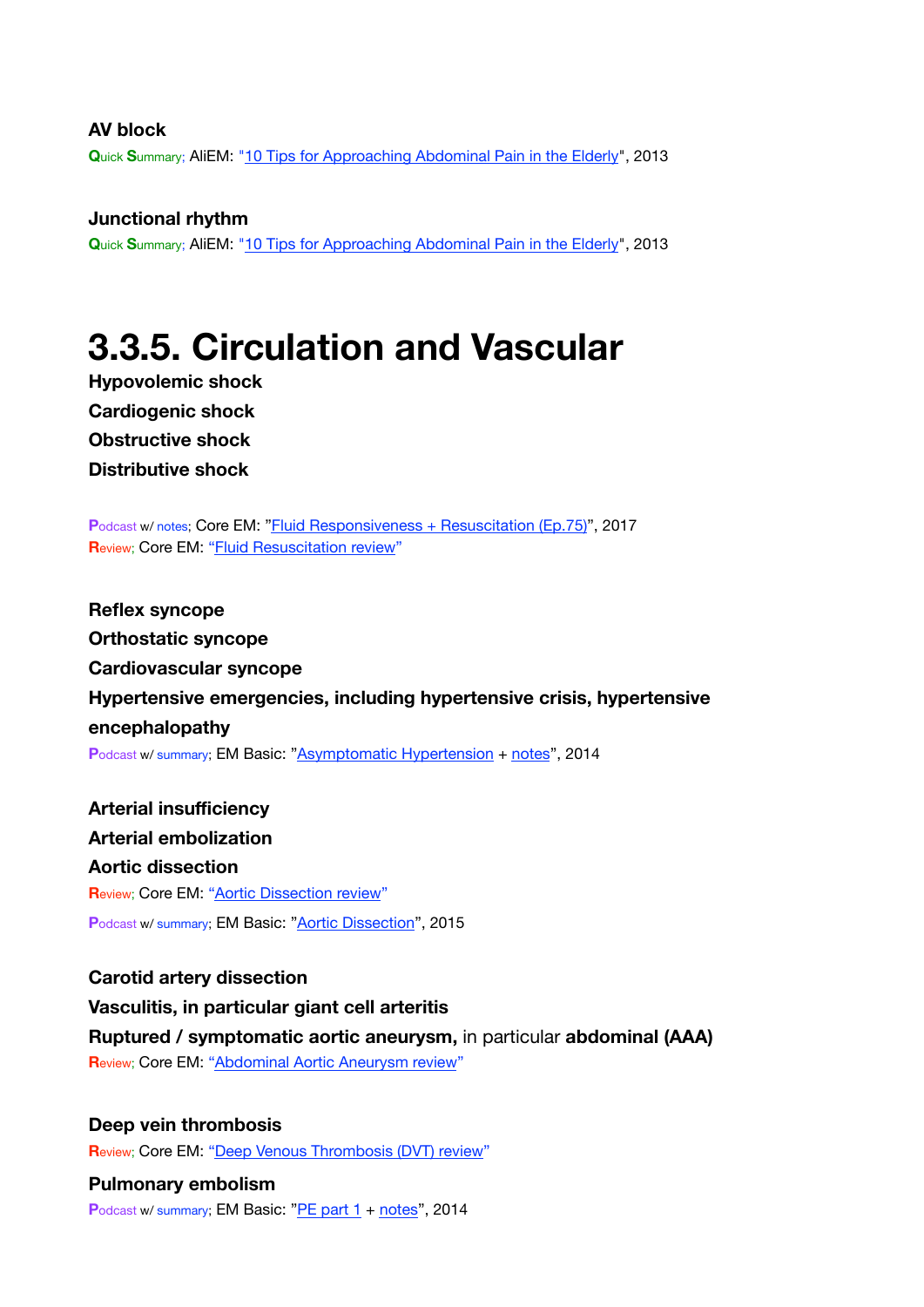#### **AV block**

**Q**uick **S**ummary; AliEM: ["10 Tips for Approaching Abdominal Pain in the Elderly](https://www.aliem.com/2013/10/ten-tips-for-approaching-abdominal-pain-in-the-elderly/)", 2013

**Junctional rhythm Q**uick **S**ummary; AliEM: ["10 Tips for Approaching Abdominal Pain in the Elderly](https://www.aliem.com/2013/10/ten-tips-for-approaching-abdominal-pain-in-the-elderly/)", 2013

### <span id="page-14-0"></span>**3.3.5. Circulation and Vascular**

**Hypovolemic shock Cardiogenic shock Obstructive shock Distributive shock**

**P**odcast w/ notes; Core EM: ["Fluid Responsiveness + Resuscitation \(Ep.75\)](https://coreem.net/podcast/episode-75-0/)", 2017 **R**eview; Core EM: ["Fluid Resuscitation review](https://coreem.net/core/fluid-resuscitation/)"

**Reflex syncope Orthostatic syncope Cardiovascular syncope Hypertensive emergencies, including hypertensive crisis, hypertensive encephalopathy P**odcast w/ summary; EM Basic: ["Asymptomatic Hypertension](http://embasic.org/asymptomatic-hypertension/) + [notes](http://embasic.org/pe-part-2-show-notes-posted/)", 2014

**Arterial insufficiency Arterial embolization Aortic dissection R**eview; Core EM: ["Aortic Dissection review](https://coreem.net/core/aortic-dissection/)" Podcast w/ summary; EM Basic: ["Aortic Dissection](http://embasic.org/aortic-dissection/)", 2015

**Carotid artery dissection Vasculitis, in particular giant cell arteritis Ruptured / symptomatic aortic aneurysm,** in particular **abdominal (AAA) R**eview; Core EM: ["Abdominal Aortic Aneurysm review](https://coreem.net/core/abdominal-aortic-aneurysm/)"

**Deep vein thrombosis R**eview; Core EM: ["Deep Venous Thrombosis \(DVT\) review](https://coreem.net/core/deep-venous-thrombosis-dvt/)"

**Pulmonary embolism** Podcast w/ summary; EM Basic: ["PE part 1](http://embasic.org/pe-part-1/) + [notes](http://embasic.org/pe-part-1-show-notes-posted/)", 2014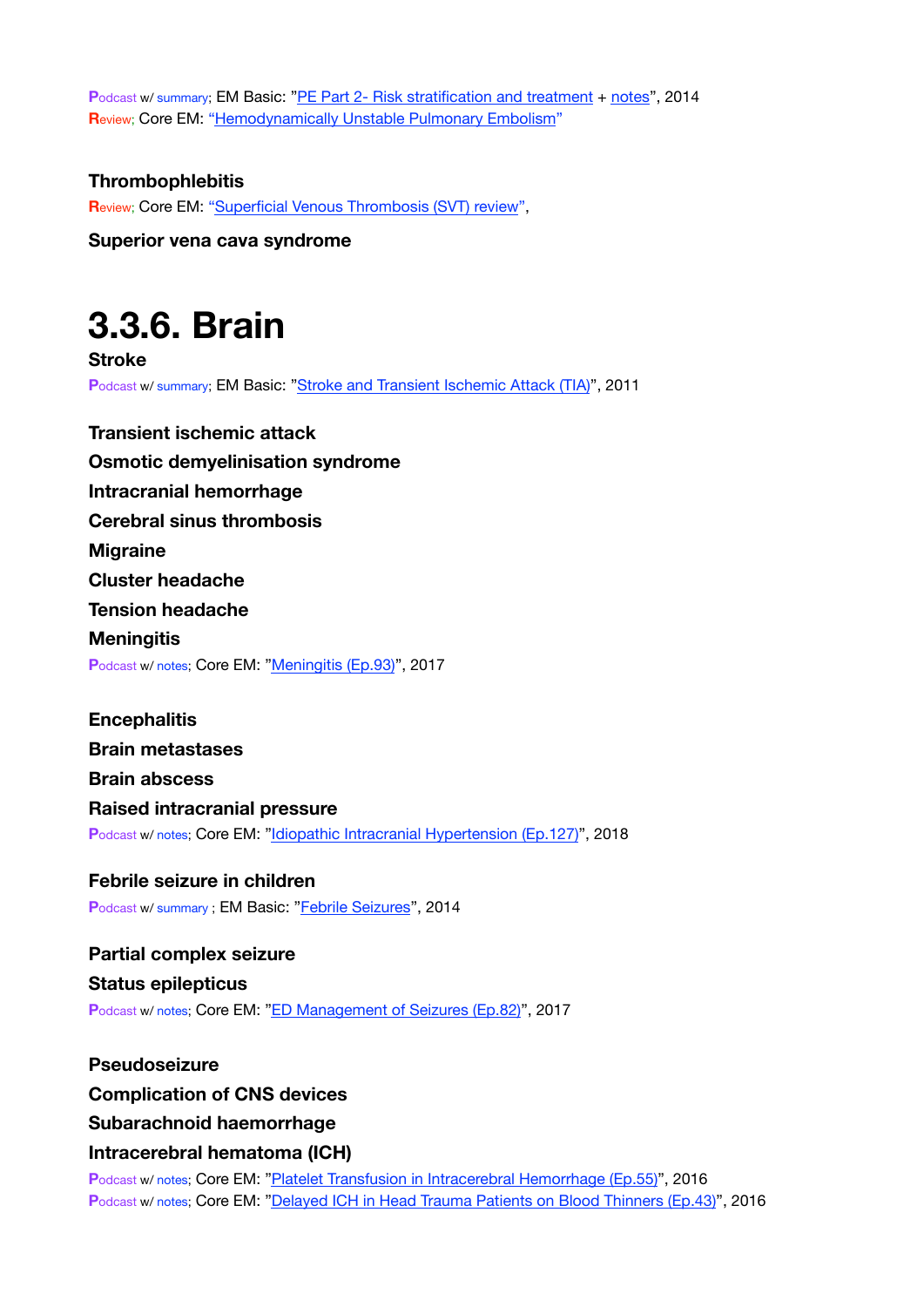**P**odcast w/ summary; EM Basic: ["PE Part 2- Risk stratification and treatment](http://embasic.org/pe-part-2-risk-stratification-and-treatment/) + [notes](http://embasic.org/pe-part-2-show-notes-posted/)", 2014 **R**eview; Core EM: ["Hemodynamically Unstable Pulmonary Embolism](https://coreem.net/core/hd-unstable-pe/)"

#### **Thrombophlebitis**

**R**eview; Core EM: ["Superficial Venous Thrombosis \(SVT\) review](https://coreem.net/core/superficial-venous-thrombosis/)",

**Superior vena cava syndrome**

## <span id="page-15-0"></span>**3.3.6. Brain**

**Stroke P**odcast w/ summary; EM Basic: ["Stroke and Transient Ischemic Attack \(TIA\)](http://embasic.org/stroke-and-transient-ischemic-attack-tia/)", 2011

**Transient ischemic attack Osmotic demyelinisation syndrome Intracranial hemorrhage Cerebral sinus thrombosis Migraine Cluster headache Tension headache Meningitis** Podcast w/ notes; Core EM: ["Meningitis \(Ep.93\)](https://coreem.net/podcast/episode-93-0/)", 2017

**Encephalitis Brain metastases Brain abscess Raised intracranial pressure** Podcast w/ notes; Core EM: ["Idiopathic Intracranial Hypertension \(Ep.127\)](https://coreem.net/podcast/episode-127-0/)", 2018

**Febrile seizure in children** Podcast w/ summary ; EM Basic: "[Febrile Seizures](http://embasic.org/febrile-seizures/)", 2014

**Partial complex seizure Status epilepticus** Podcast w/ notes; Core EM: ["ED Management of Seizures \(Ep.82\)"](https://coreem.net/podcast/episode-82-0/), 2017

#### **Pseudoseizure**

#### **Complication of CNS devices**

#### **Subarachnoid haemorrhage**

#### **Intracerebral hematoma (ICH)**

Podcast w/ notes; Core EM: ["Platelet Transfusion in Intracerebral Hemorrhage \(Ep.55\)"](https://coreem.net/podcast/episode-55-0/), 2016 **P**odcast w/ notes; Core EM: ["Delayed ICH in Head Trauma Patients on Blood Thinners \(Ep.43\)](https://coreem.net/podcast/episode-43-0-delayed-ich/)", 2016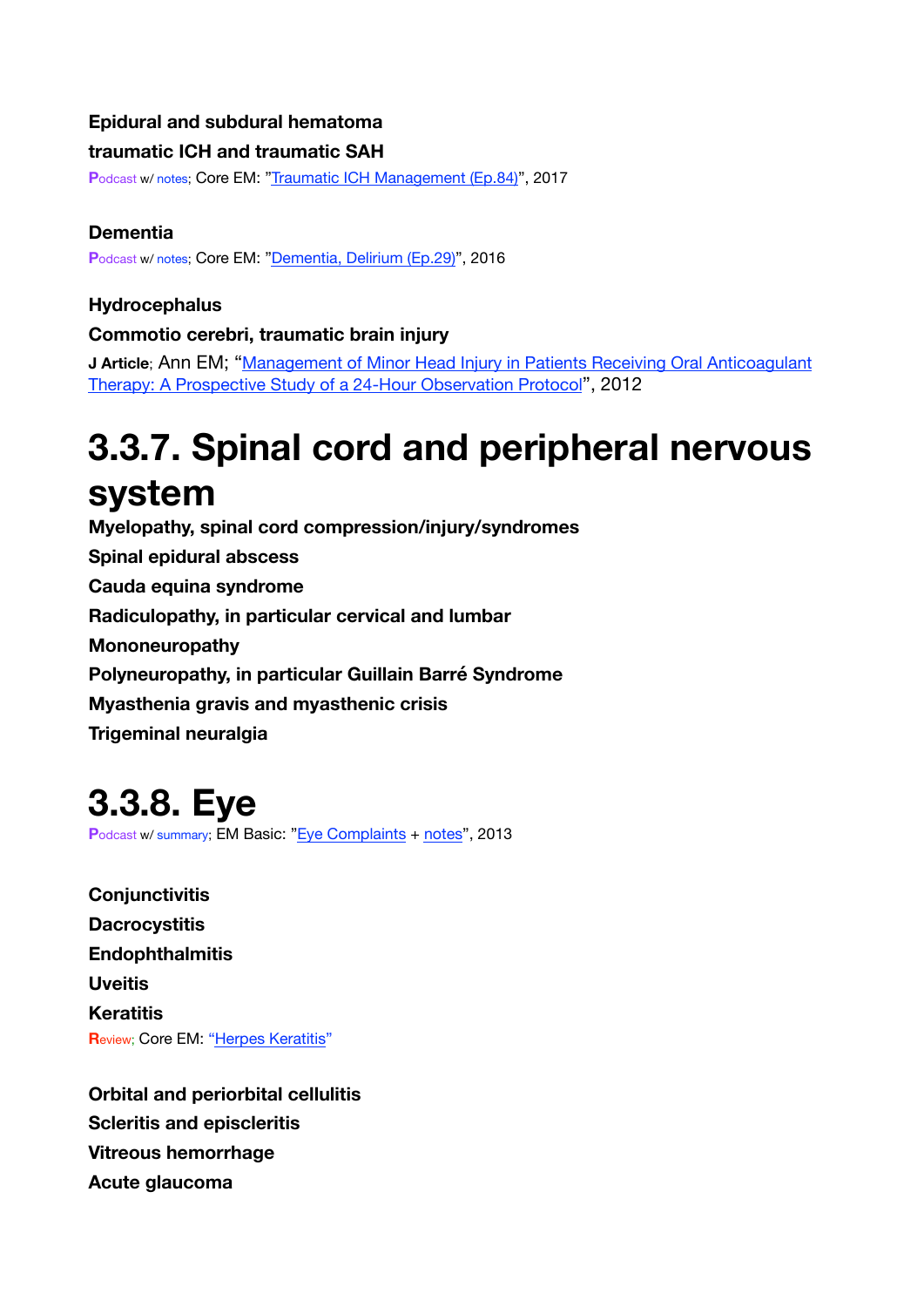### **Epidural and subdural hematoma**

#### **traumatic ICH and traumatic SAH**

Podcast w/ notes; Core EM: ["Traumatic ICH Management \(Ep.84\)"](https://coreem.net/podcast/episode-84-0/), 2017

### **Dementia**

Podcast w/ notes; Core EM: ["Dementia, Delirium \(Ep.29\)](https://coreem.net/podcast/episode-29-0/)", 2016

### **Hydrocephalus**

### **Commotio cerebri, traumatic brain injury**

**J Article**; Ann EM; "Management of Minor Head Injury in Patients Receiving Oral Anticoagulant [Therapy: A Prospective Study of a 24-Hour Observation Protocol](http://www.sciencedirect.com/science/article/pii/S0196064411018877?_rdoc=1&_fmt=high&_origin=gateway&_docanchor=&md5=b8429449ccfc9c30159a5f9aeaa92ffb)", 2012

# <span id="page-16-0"></span>**3.3.7. Spinal cord and peripheral nervous system**

**Myelopathy, spinal cord compression/injury/syndromes Spinal epidural abscess Cauda equina syndrome Radiculopathy, in particular cervical and lumbar Mononeuropathy Polyneuropathy, in particular Guillain Barré Syndrome Myasthenia gravis and myasthenic crisis Trigeminal neuralgia**

### <span id="page-16-1"></span>**3.3.8. Eye**

Podcast w/ summary; EM Basic: ["Eye Complaints](http://embasic.org/eye-complaints/) + [notes](http://embasic.org/eye-complaints-show-notes-and-links/)", 2013

**Conjunctivitis Dacrocystitis Endophthalmitis Uveitis Keratitis Review; Core EM: ["Herpes Keratitis](https://coreem.net/core/herpes-keratitis/)"** 

**Orbital and periorbital cellulitis Scleritis and episcleritis Vitreous hemorrhage Acute glaucoma**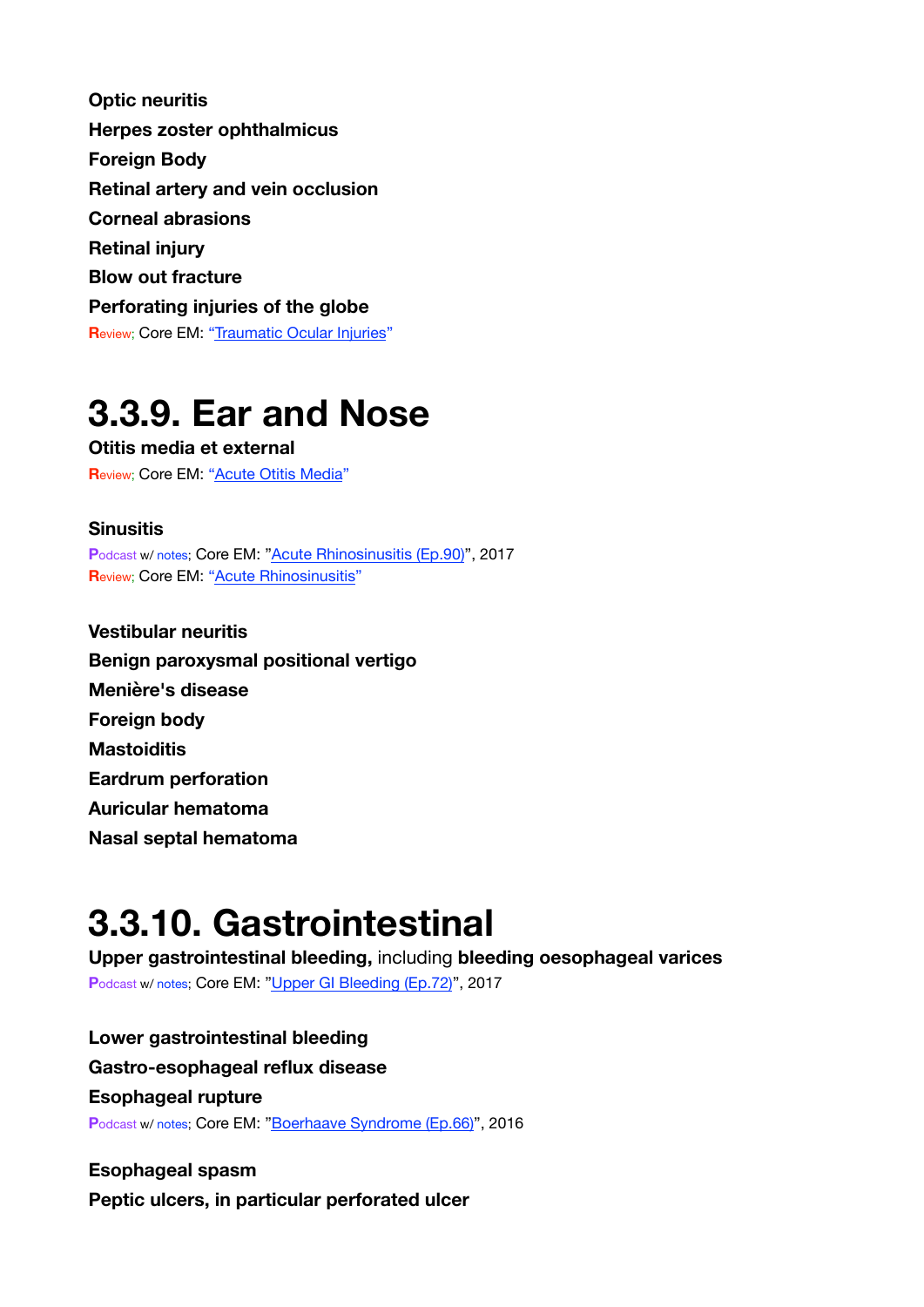**Optic neuritis Herpes zoster ophthalmicus Foreign Body Retinal artery and vein occlusion Corneal abrasions Retinal injury Blow out fracture Perforating injuries of the globe R**eview; Core EM: ["Traumatic Ocular Injuries](https://coreem.net/core/traumatic-ocular-injuries/)"

### <span id="page-17-0"></span>**3.3.9. Ear and Nose**

**Otitis media et external R**eview; Core EM: ["Acute Otitis Media"](https://coreem.net/core/acute-otitis-media/)

#### **Sinusitis**

Podcast w/ notes; Core EM: ["Acute Rhinosinusitis \(Ep.90\)](https://coreem.net/podcast/episode-90-0/)", 2017 **R**eview; Core EM: ["Acute Rhinosinusitis](https://coreem.net/core/acute-rhinosinusitis/)"

**Vestibular neuritis Benign paroxysmal positional vertigo Menière's disease Foreign body Mastoiditis Eardrum perforation Auricular hematoma Nasal septal hematoma**

### <span id="page-17-1"></span>**3.3.10. Gastrointestinal**

**Upper gastrointestinal bleeding,** including **bleeding oesophageal varices** Podcast w/ notes; Core EM: ["Upper GI Bleeding \(Ep.72\)](https://coreem.net/podcast/episode-72-0/)", 2017

**Lower gastrointestinal bleeding Gastro-esophageal reflux disease Esophageal rupture** Podcast w/ notes; Core EM: ["Boerhaave Syndrome \(Ep.66\)](https://coreem.net/podcast/episode-66-0/)", 2016

**Esophageal spasm Peptic ulcers, in particular perforated ulcer**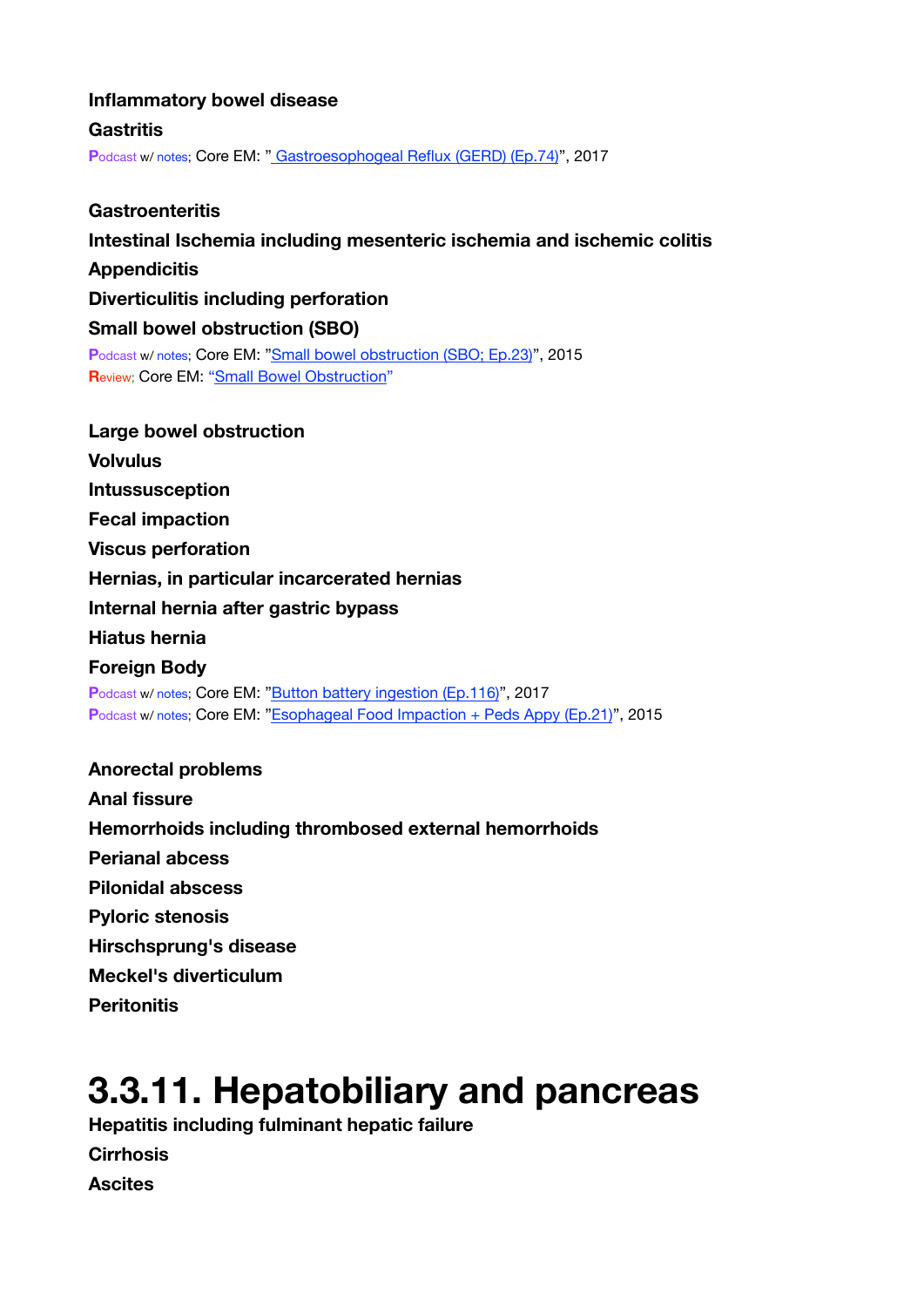#### **Inflammatory bowel disease**

**Gastritis**

Podcast w/ notes; Core EM: [" Gastroesophogeal Reflux \(GERD\) \(Ep.74\)](https://coreem.net/podcast/episode-74-0/)", 2017

**Gastroenteritis Intestinal Ischemia including mesenteric ischemia and ischemic colitis Appendicitis Diverticulitis including perforation Small bowel obstruction (SBO) P**odcast w/ notes; Core EM: ["Small bowel obstruction \(SBO; Ep.23\)](https://coreem.net/podcast/episode-23-0-sbo/)", 2015 **R**eview; Core EM: ["Small Bowel Obstruction](https://coreem.net/core/small-bowel-obstruction/)"

**Large bowel obstruction Volvulus Intussusception Fecal impaction Viscus perforation Hernias, in particular incarcerated hernias Internal hernia after gastric bypass Hiatus hernia Foreign Body** Podcast w/ notes; Core EM: ["Button battery ingestion \(Ep.116\)"](https://coreem.net/podcast/episode-116-0/), 2017 Podcast w/ notes; Core EM: ["Esophageal Food Impaction + Peds Appy \(Ep.21\)"](https://coreem.net/podcast/podcast-21-0/), 2015 **Anorectal problems Anal fissure** 

**Hemorrhoids including thrombosed external hemorrhoids Perianal abcess Pilonidal abscess Pyloric stenosis Hirschsprung's disease Meckel's diverticulum Peritonitis**

### <span id="page-18-0"></span>**3.3.11. Hepatobiliary and pancreas**

**Hepatitis including fulminant hepatic failure Cirrhosis Ascites**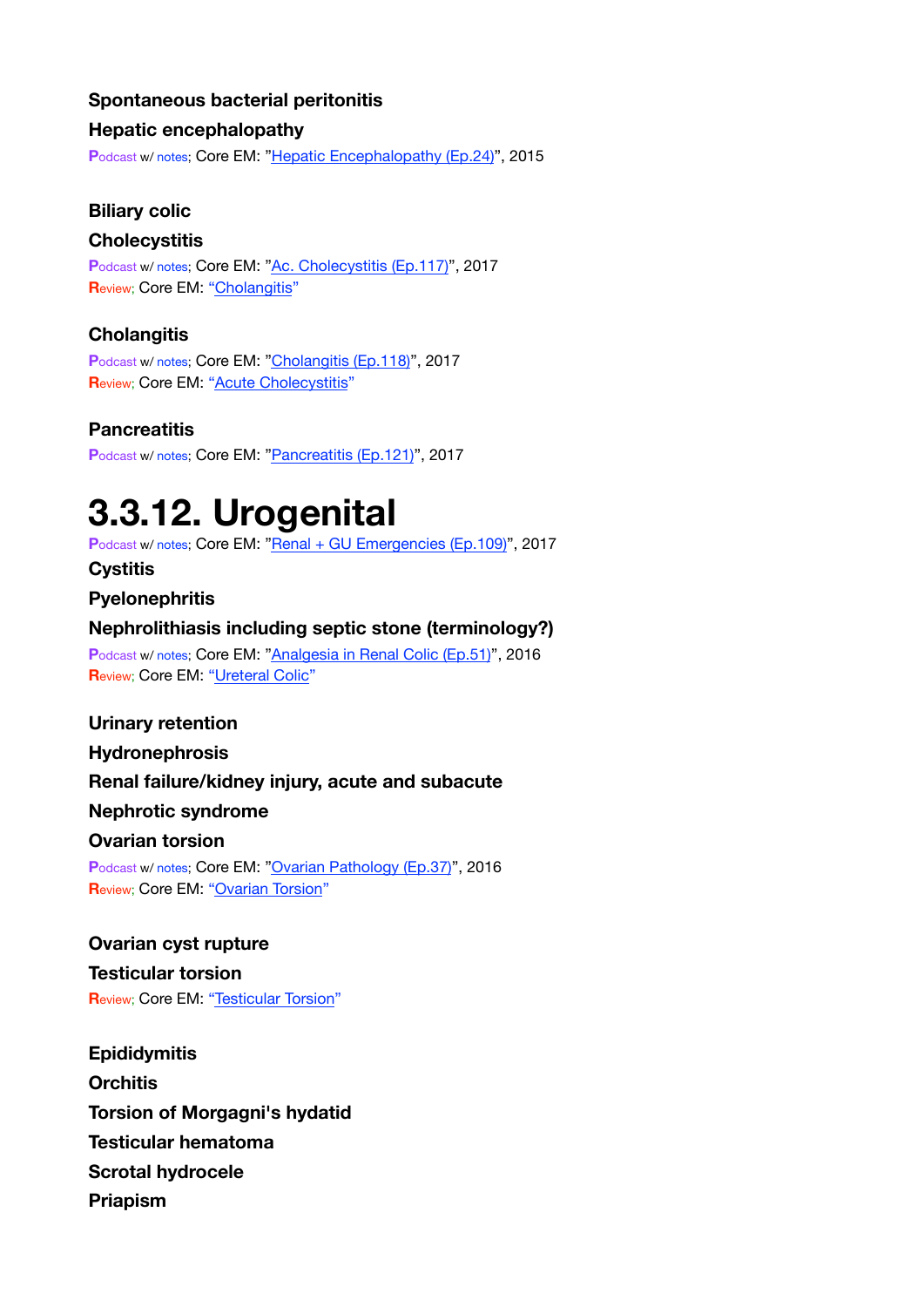#### **Spontaneous bacterial peritonitis**

#### **Hepatic encephalopathy**

**P**odcast w/ notes; Core EM: ["Hepatic Encephalopathy \(Ep.24\)](https://coreem.net/podcast/episode-24-0-hepatic-encephalopathy/)", 2015

#### **Biliary colic**

#### **Cholecystitis**

Podcast w/ notes; Core EM: ["Ac. Cholecystitis \(Ep.117\)](https://coreem.net/podcast/episode-117-0/)", 2017 **R**eview; Core EM: ["Cholangitis](https://coreem.net/core/cholangitis/)"

#### **Cholangitis**

Podcast w/ notes; Core EM: ["Cholangitis \(Ep.118\)](https://coreem.net/podcast/episode-118-0/)", 2017 **R**eview; Core EM: ["Acute Cholecystitis](https://coreem.net/core/acute-cholecystitis/)"

#### **Pancreatitis**

**P**odcast w/ notes; Core EM: ["Pancreatitis \(Ep.121\)"](https://coreem.net/podcast/episode-121-0/), 2017

### <span id="page-19-0"></span>**3.3.12. Urogenital**

Podcast w/ notes; Core EM: ["Renal + GU Emergencies \(Ep.109\)](https://coreem.net/podcast/episode-109-0/)", 2017

**Cystitis** 

#### **Pyelonephritis**

#### **Nephrolithiasis including septic stone (terminology?)**

Podcast w/ notes; Core EM: ["Analgesia in Renal Colic \(Ep.51\)](https://coreem.net/podcast/episode-51-0/)". 2016 **Review: Core EM: ["Ureteral Colic](https://coreem.net/core/ureteral-colic/)"** 

#### **Urinary retention**

**Hydronephrosis** 

#### **Renal failure/kidney injury, acute and subacute**

**Nephrotic syndrome** 

#### **Ovarian torsion**

Podcast w/ notes; Core EM: ["Ovarian Pathology \(Ep.37\)](https://coreem.net/podcast/episode-37-0-ovarian-pathology/)", 2016 **Review; Core EM: ["Ovarian Torsion](https://coreem.net/core/ovarian-torsion/)"** 

### **Ovarian cyst rupture**

**Testicular torsion R**eview; Core EM: ["Testicular Torsion](https://coreem.net/core/testicular-torsion/)"

**Epididymitis Orchitis Torsion of Morgagni's hydatid Testicular hematoma Scrotal hydrocele Priapism**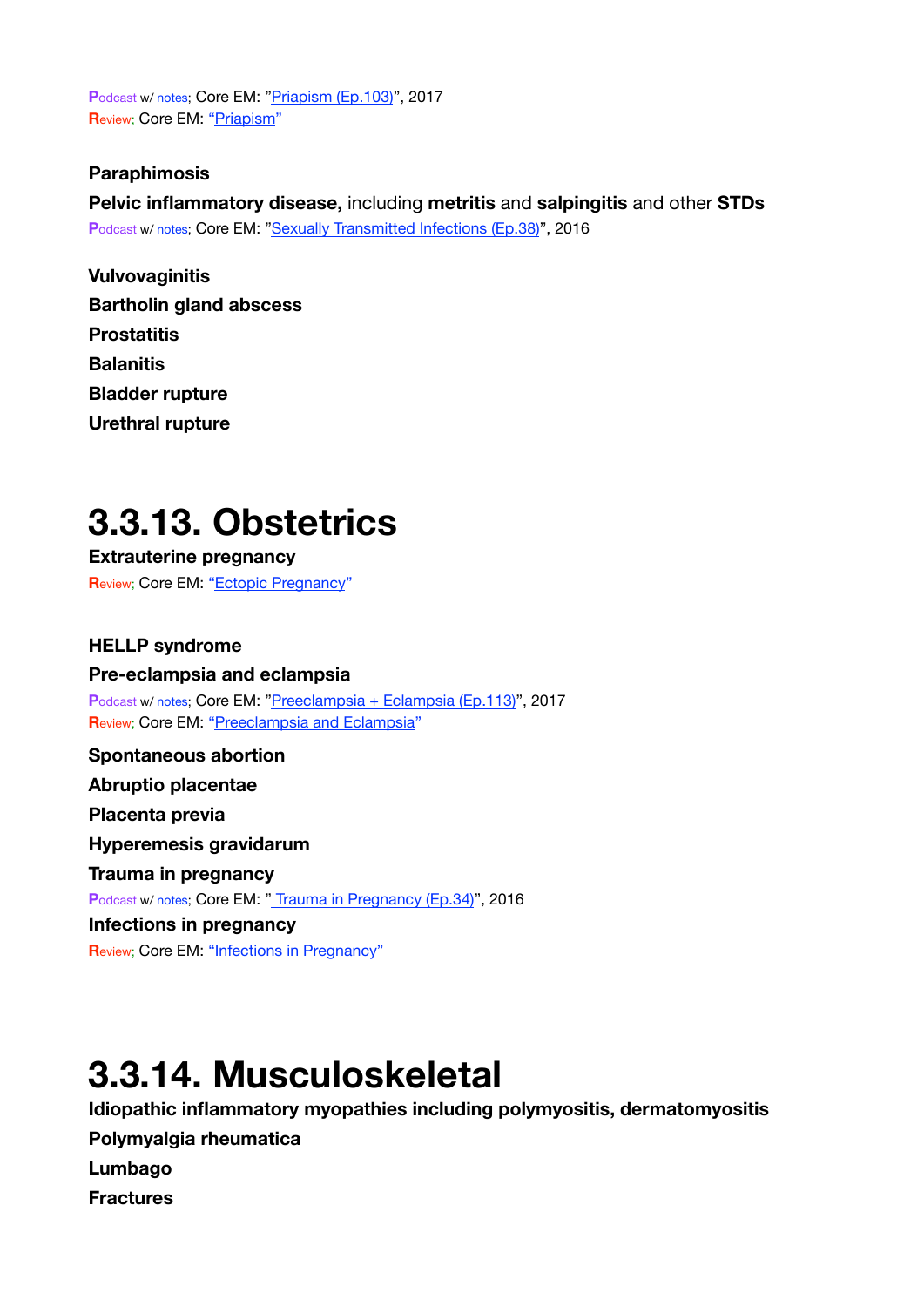**P**odcast w/ notes; Core EM: ["Priapism \(Ep.103\)](https://coreem.net/podcast/episode-103-0/)", 2017 **R**eview; Core EM: ["Priapism](https://coreem.net/core/priapism/)"

#### **Paraphimosis**

**Pelvic inflammatory disease,** including **metritis** and **salpingitis** and other **STDs**  Podcast w/ notes; Core EM: ["Sexually Transmitted Infections \(Ep.38\)"](https://coreem.net/podcast/episode-38-0-sexually-transmitted-infections/), 2016

**Vulvovaginitis Bartholin gland abscess Prostatitis Balanitis Bladder rupture Urethral rupture**

### <span id="page-20-0"></span>**3.3.13. Obstetrics**

**Extrauterine pregnancy R**eview; Core EM: ["Ectopic Pregnancy"](https://coreem.net/core/ectopic-pregnancy/)

**HELLP syndrome Pre-eclampsia and eclampsia** Podcast w/ notes; Core EM: ["Preeclampsia + Eclampsia \(Ep.113\)](https://coreem.net/podcast/episode-113-0/)", 2017 **R**eview; Core EM: ["Preeclampsia and Eclampsia](https://coreem.net/core/preeclampsia-and-eclampsia/)" **Spontaneous abortion Abruptio placentae Placenta previa Hyperemesis gravidarum Trauma in pregnancy**  Podcast w/ notes; Core EM: "**Trauma in Pregnancy (Ep.34)**", 2016 **Infections in pregnancy** 

**Review; Core EM: ["Infections in Pregnancy](https://coreem.net/core/infections-in-pregnancy/)"** 

### <span id="page-20-1"></span>**3.3.14. Musculoskeletal**

**Idiopathic inflammatory myopathies including polymyositis, dermatomyositis Polymyalgia rheumatica Lumbago Fractures**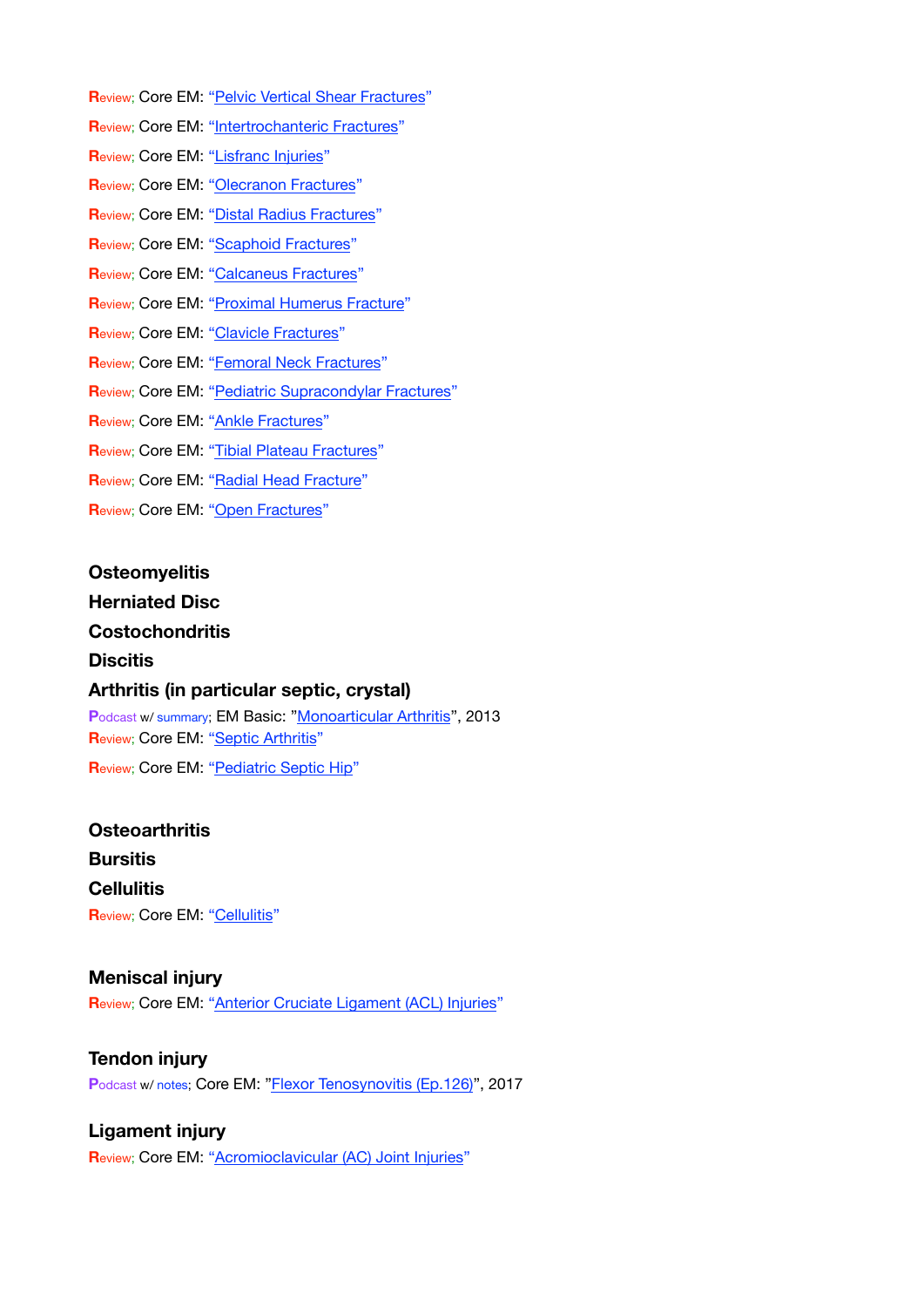- **R**eview; Core EM: ["Pelvic Vertical Shear Fractures](https://coreem.net/core/pelvic-vertical-shear-fractures/)"
- **R**eview; Core EM: ["Intertrochanteric Fractures](https://coreem.net/core/intertrochanteric-fractures/)"
- **R**eview; Core EM: ["Lisfranc Injuries](https://coreem.net/core/lisfranc-injuries/)"
- **Review**; Core EM: ["Olecranon Fractures](https://coreem.net/core/olecranon-fractures/)"
- **R**eview; Core EM: ["Distal Radius Fractures](https://coreem.net/core/distal-radius-fractures/)"
- **Review; Core EM: ["Scaphoid Fractures"](https://coreem.net/core/scaphoid-fractures/)**
- **R**eview; Core EM: ["Calcaneus Fractures](https://coreem.net/core/calcaneus-fractures/)"
- **R**eview; Core EM: ["Proximal Humerus Fracture](https://coreem.net/core/proximal-humerus-fracture/)"
- **R**eview; Core EM: ["Clavicle Fractures](https://coreem.net/core/clavicle-fractures/)"
- **R**eview; Core EM: ["Femoral Neck Fractures](https://coreem.net/core/femoral-neck-fractures/)"
- **R**eview; Core EM: ["Pediatric Supracondylar Fractures](https://coreem.net/core/pediatric-supracondylar-fractures/)"
- **R**eview; Core EM: ["Ankle Fractures](https://coreem.net/core/ankle-fractures/)"
- **R**eview; Core EM: ["Tibial Plateau Fractures](https://coreem.net/core/tibial-plateau-fractures/)"
- **Review; Core EM: ["Radial Head Fracture](https://coreem.net/core/radial-head-fracture/)"**
- **R**eview; Core EM: ["Open Fractures"](https://coreem.net/core/open-fractures/)

#### **Osteomyelitis**

#### **Herniated Disc**

#### **Costochondritis**

#### **Discitis**

#### **Arthritis (in particular septic, crystal)**

Podcast w/ summary; EM Basic: ["Monoarticular Arthritis](http://embasic.org/the-em-basic-project-monoarticular-arthritis/)", 2013 **Review; Core EM: ["Septic Arthritis](https://coreem.net/core/septic-arthritis/)" R**eview; Core EM: ["Pediatric Septic Hip](https://coreem.net/core/pediatric-septic-hip/)"

### **Osteoarthritis Bursitis Cellulitis Review; Core EM: ["Cellulitis"](https://coreem.net/core/cellulitis/)**

#### **Meniscal injury**

**R**eview; Core EM: ["Anterior Cruciate Ligament \(ACL\) Injuries](https://coreem.net/core/acl-injuries/)"

#### **Tendon injury**

**P**odcast w/ notes; Core EM: ["Flexor Tenosynovitis \(Ep.126\)](https://coreem.net/podcast/episode-126-0/)", 2017

#### **Ligament injury**

**R**eview; Core EM: ["Acromioclavicular \(AC\) Joint Injuries](https://coreem.net/core/ac-joint-injuries/)"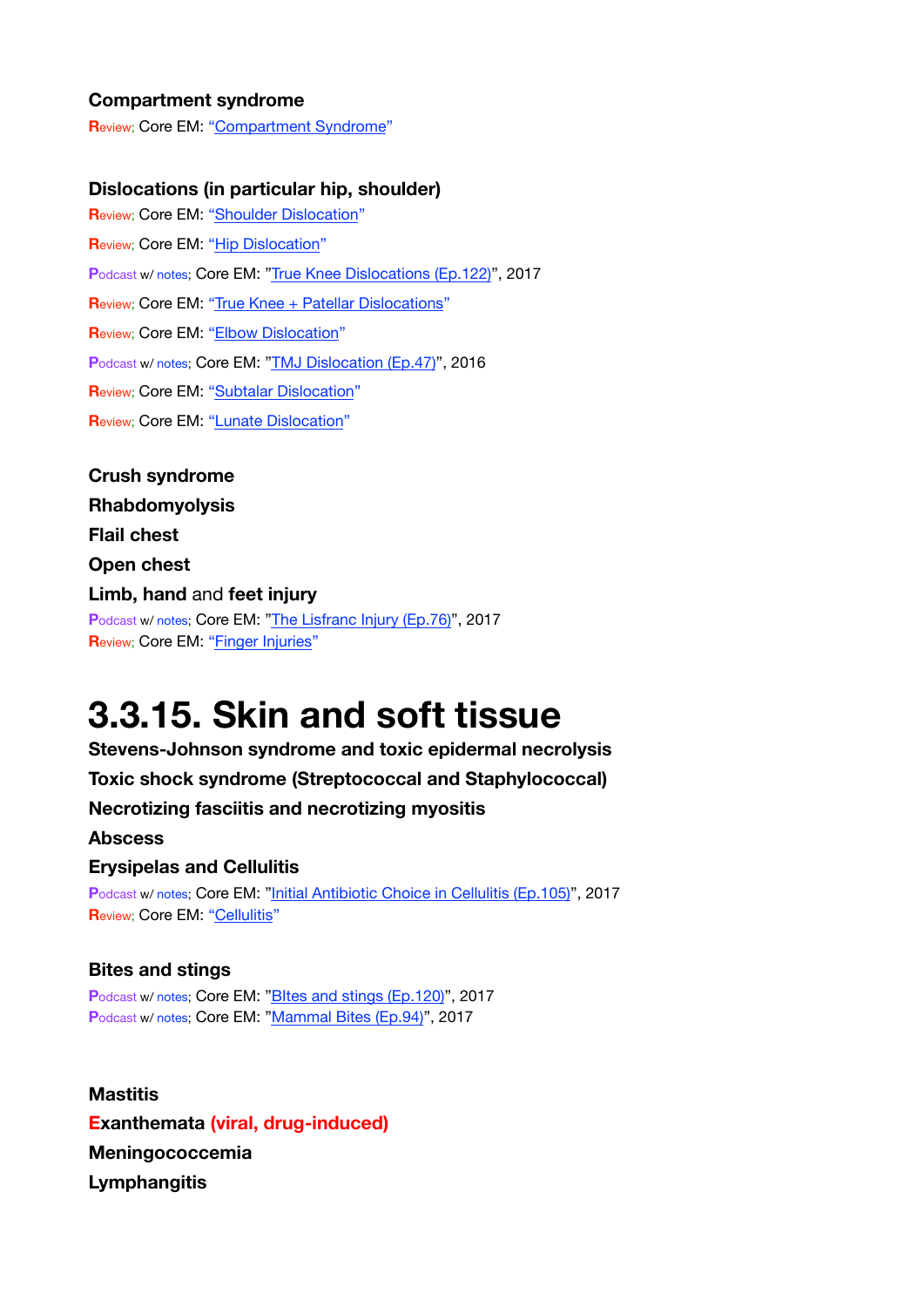#### **Compartment syndrome**

**R**eview; Core EM: ["Compartment Syndrome"](https://coreem.net/core/compartment-syndrome/)

#### **Dislocations (in particular hip, shoulder)**

**R**eview; Core EM: ["Shoulder Dislocation](https://coreem.net/core/shoulder-dislocation/)" **Review; Core EM: ["Hip Dislocation](https://coreem.net/core/hip-dislocation/)" P**odcast w/ notes; Core EM: ["True Knee Dislocations \(Ep.122\)](https://coreem.net/podcast/episode-122-0/)", 2017 **R**eview; Core EM: ["True Knee + Patellar Dislocations"](https://coreem.net/core/true-knee-patellar-dislocations/) **R**eview; Core EM: ["Elbow Dislocation](https://coreem.net/core/elbow-dislocation/)" **P**odcast w/ notes; Core EM: ["TMJ Dislocation \(Ep.47\)](https://coreem.net/podcast/episode-47-0/)", 2016 **R**eview; Core EM: ["Subtalar Dislocation](https://coreem.net/core/subtalar-dislocation/)" **R**eview; Core EM: ["Lunate Dislocation](https://coreem.net/core/lunate-dislocation/)"

**Crush syndrome Rhabdomyolysis Flail chest Open chest Limb, hand** and **feet injury**  Podcast w/ notes; Core EM: ["The Lisfranc Injury \(Ep.76\)](https://coreem.net/podcast/episode-76-0/)", 2017 **R**eview; Core EM: ["Finger Injuries](https://coreem.net/core/finger-injuries/)"

### <span id="page-22-0"></span>**3.3.15. Skin and soft tissue**

**Stevens-Johnson syndrome and toxic epidermal necrolysis** 

**Toxic shock syndrome (Streptococcal and Staphylococcal)** 

**Necrotizing fasciitis and necrotizing myositis** 

**Abscess** 

#### **Erysipelas and Cellulitis**

Podcast w/ notes; Core EM: ["Initial Antibiotic Choice in Cellulitis \(Ep.105\)](https://coreem.net/podcast/episode-105-0/)", 2017 **Review: Core EM: ["Cellulitis"](https://coreem.net/core/cellulitis/)** 

#### **Bites and stings**

Podcast w/ notes; Core EM: "Bltes and stings (Ep.120)", 2017 Podcast w/ notes; Core EM: ["Mammal Bites \(Ep.94\)](https://coreem.net/podcast/episode-94-0/)", 2017

**Mastitis Exanthemata (viral, drug-induced) Meningococcemia Lymphangitis**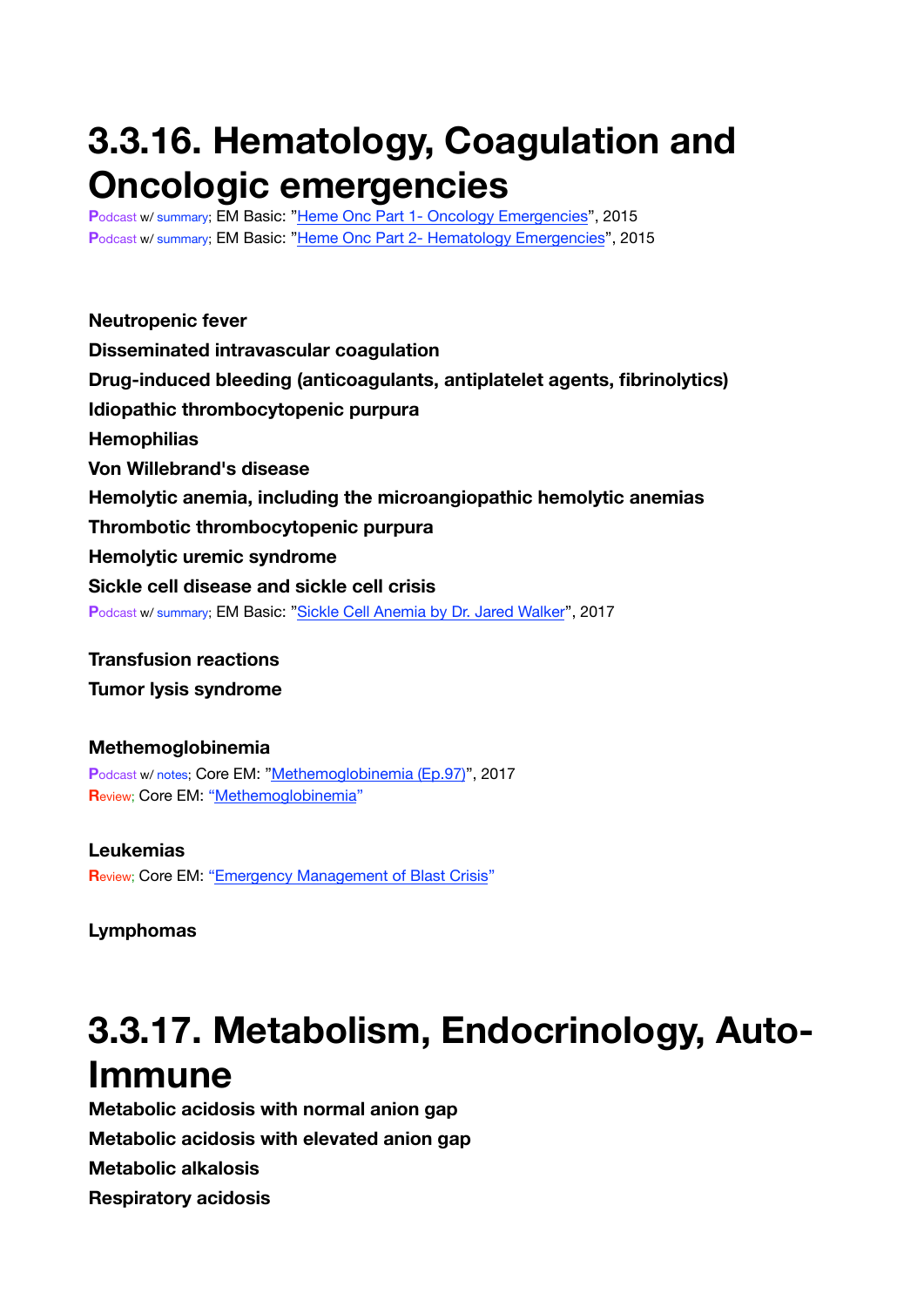## <span id="page-23-0"></span>**3.3.16. Hematology, Coagulation and Oncologic emergencies**

**P**odcast w/ summary; EM Basic: ["Heme Onc Part 1- Oncology Emergencies"](http://embasic.org/heme-onc-part-1/), 2015 Podcast w/ summary; EM Basic: ["Heme Onc Part 2- Hematology Emergencies](http://embasic.org/heme-onc-part-2/)", 2015

**Neutropenic fever Disseminated intravascular coagulation Drug-induced bleeding (anticoagulants, antiplatelet agents, fibrinolytics) Idiopathic thrombocytopenic purpura Hemophilias Von Willebrand's disease Hemolytic anemia, including the microangiopathic hemolytic anemias Thrombotic thrombocytopenic purpura Hemolytic uremic syndrome Sickle cell disease and sickle cell crisis P**odcast w/ summary; EM Basic: ["Sickle Cell Anemia by Dr. Jared Walker](http://embasic.org/sickle-cell-anemia/)", 2017

**Transfusion reactions** 

**Tumor lysis syndrome**

**Methemoglobinemia P**odcast w/ notes; Core EM: ["Methemoglobinemia \(Ep.97\)](https://coreem.net/podcast/podcast-episode-97-0/)", 2017 **R**eview; Core EM: ["Methemoglobinemia"](https://coreem.net/core/methemoglobinemia/)

**Leukemias R**eview; Core EM: ["Emergency Management of Blast Crisis](https://coreem.net/core/blast-crisis/)"

**Lymphomas**

## <span id="page-23-1"></span>**3.3.17. Metabolism, Endocrinology, Auto-Immune**

**Metabolic acidosis with normal anion gap Metabolic acidosis with elevated anion gap Metabolic alkalosis Respiratory acidosis**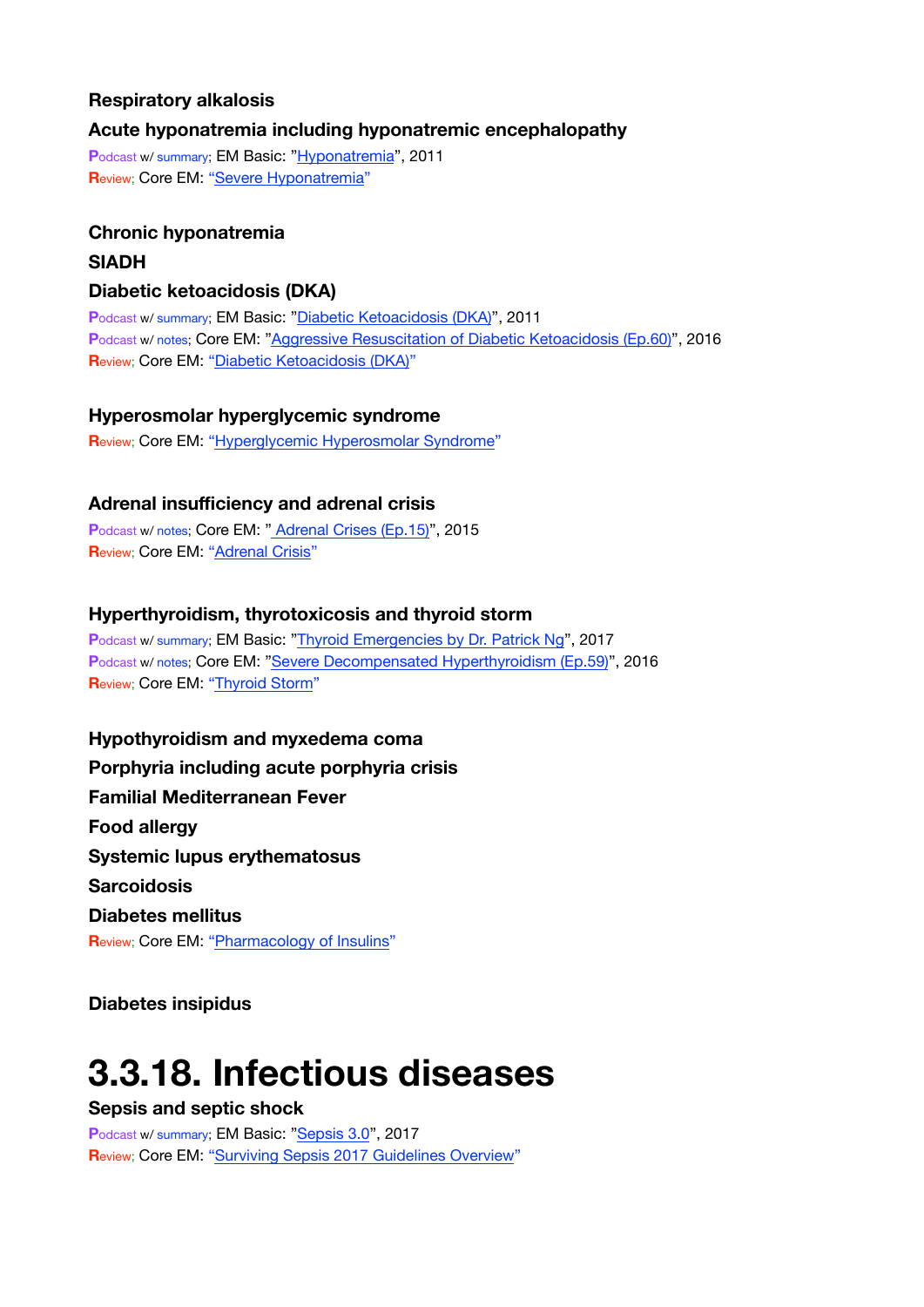#### **Respiratory alkalosis**

#### **Acute hyponatremia including hyponatremic encephalopathy**

**P**odcast w/ summary; EM Basic: ["Hyponatremia](http://embasic.org/hyponatremia/)", 2011 **R**eview; Core EM: ["Severe Hyponatremia](https://coreem.net/core/severe-hyponatremia/)"

#### **Chronic hyponatremia**

#### **SIADH**

#### **Diabetic ketoacidosis (DKA)**

**P**odcast w/ summary; EM Basic: ["Diabetic Ketoacidosis \(DKA\)"](http://embasic.org/diabetic-ketoacidosis-dka/), 2011 **P**odcast w/ notes; Core EM: ["Aggressive Resuscitation of Diabetic Ketoacidosis \(Ep.60\)"](https://coreem.net/podcast/episode-60-0/), 2016 **R**eview; Core EM: ["Diabetic Ketoacidosis \(DKA\)"](https://coreem.net/core/dka/)

#### **Hyperosmolar hyperglycemic syndrome**

**R**eview; Core EM: ["Hyperglycemic Hyperosmolar Syndrome"](https://coreem.net/core/hhs/)

#### **Adrenal insufficiency and adrenal crisis**

Podcast w/ notes; Core EM: [" Adrenal Crises \(Ep.15\)](https://coreem.net/podcast/episode-15-0-adrenal-crises-d-dimer-in-aortic-dissection/)", 2015 **Review; Core EM: ["Adrenal Crisis](https://coreem.net/core/adrenal-crisis/)"** 

#### **Hyperthyroidism, thyrotoxicosis and thyroid storm**

**P**odcast w/ summary; EM Basic: ["Thyroid Emergencies by Dr. Patrick Ng](http://embasic.org/thyroid/)", 2017 **P**odcast w/ notes; Core EM: ["Severe Decompensated Hyperthyroidism \(Ep.59\)](https://coreem.net/podcast/episode-59-0/)", 2016 **R**eview; Core EM: ["Thyroid Storm"](https://coreem.net/core/thyroid-storm/)

**Hypothyroidism and myxedema coma Porphyria including acute porphyria crisis Familial Mediterranean Fever Food allergy Systemic lupus erythematosus Sarcoidosis Diabetes mellitus Review; Core EM: ["Pharmacology of Insulins"](https://coreem.net/core/pharmacology-of-insulins/)** 

**Diabetes insipidus**

### <span id="page-24-0"></span>**3.3.18. Infectious diseases**

**Sepsis and septic shock**

Podcast w/ summary; EM Basic: ["Sepsis 3.0](http://embasic.org/sepsis-3-0/)", 2017 **Review; Core EM: ["Surviving Sepsis 2017 Guidelines Overview](https://coreem.net/core/surviving-sepsis-2017/)"**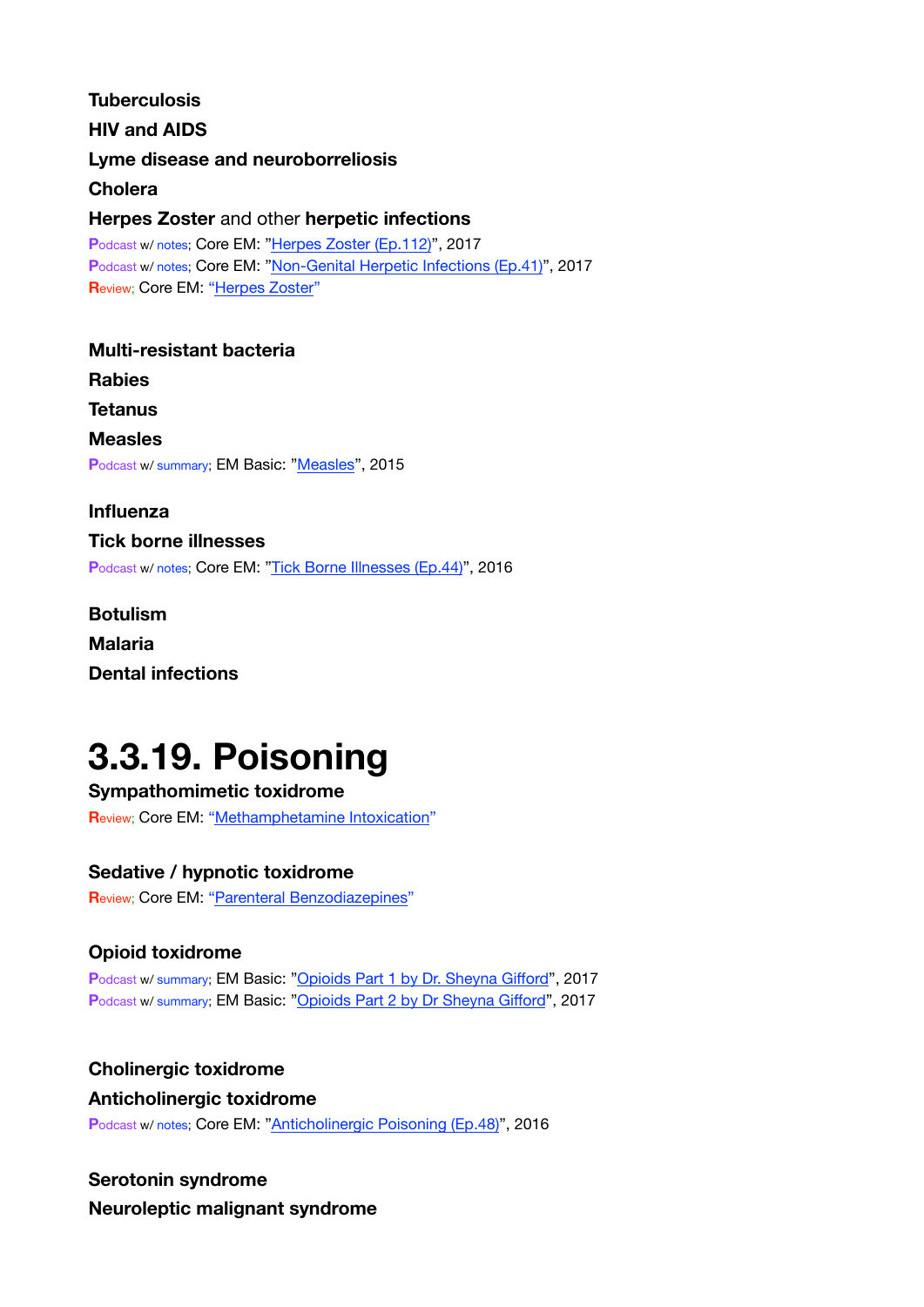**Tuberculosis HIV and AIDS Lyme disease and neuroborreliosis Cholera Herpes Zoster** and other **herpetic infections**  Podcast w/ notes; Core EM: ["Herpes Zoster \(Ep.112\)](https://coreem.net/podcast/episode-112-0/)", 2017 **P**odcast w/ notes; Core EM: ["Non-Genital Herpetic Infections \(Ep.41\)"](https://coreem.net/podcast/episode-41-0/), 2017 **R**eview; Core EM: ["Herpes Zoster](https://coreem.net/core/herpes-zoster/)" **Multi-resistant bacteria Rabies** 

**Tetanus Measles** Podcast w/ summary; EM Basic: ["Measles](http://embasic.org/measles/)", 2015

**Influenza Tick borne illnesses**  Podcast w/ notes; Core EM: ["Tick Borne Illnesses \(Ep.44\)](https://coreem.net/podcast/episode-44-0/)", 2016

**Botulism Malaria Dental infections**

# <span id="page-25-0"></span>**3.3.19. Poisoning**

**Sympathomimetic toxidrome R**eview; Core EM: ["Methamphetamine Intoxication"](https://coreem.net/core/methamphetamine-intoxication/)

#### **Sedative / hypnotic toxidrome**

Review; Core EM: ["Parenteral Benzodiazepines](https://coreem.net/core/parenteral-benzodiazepines/)"

### **Opioid toxidrome**

**P**odcast w/ summary; EM Basic: ["Opioids Part 1 by Dr. Sheyna Gi](http://embasic.org/opioids-part-1-by-dr-sheyna-gifford/)fford", 2017 Podcast w/ summary; EM Basic: ["Opioids Part 2 by Dr Sheyna Gi](http://embasic.org/opioids-part-2-by-dr-sheyna-gifford/)fford", 2017

#### **Cholinergic toxidrome**

#### **Anticholinergic toxidrome**

**P**odcast w/ notes; Core EM: ["Anticholinergic Poisoning \(Ep.48\)"](https://coreem.net/podcast/episode-48-0/), 2016

### **Serotonin syndrome**

**Neuroleptic malignant syndrome**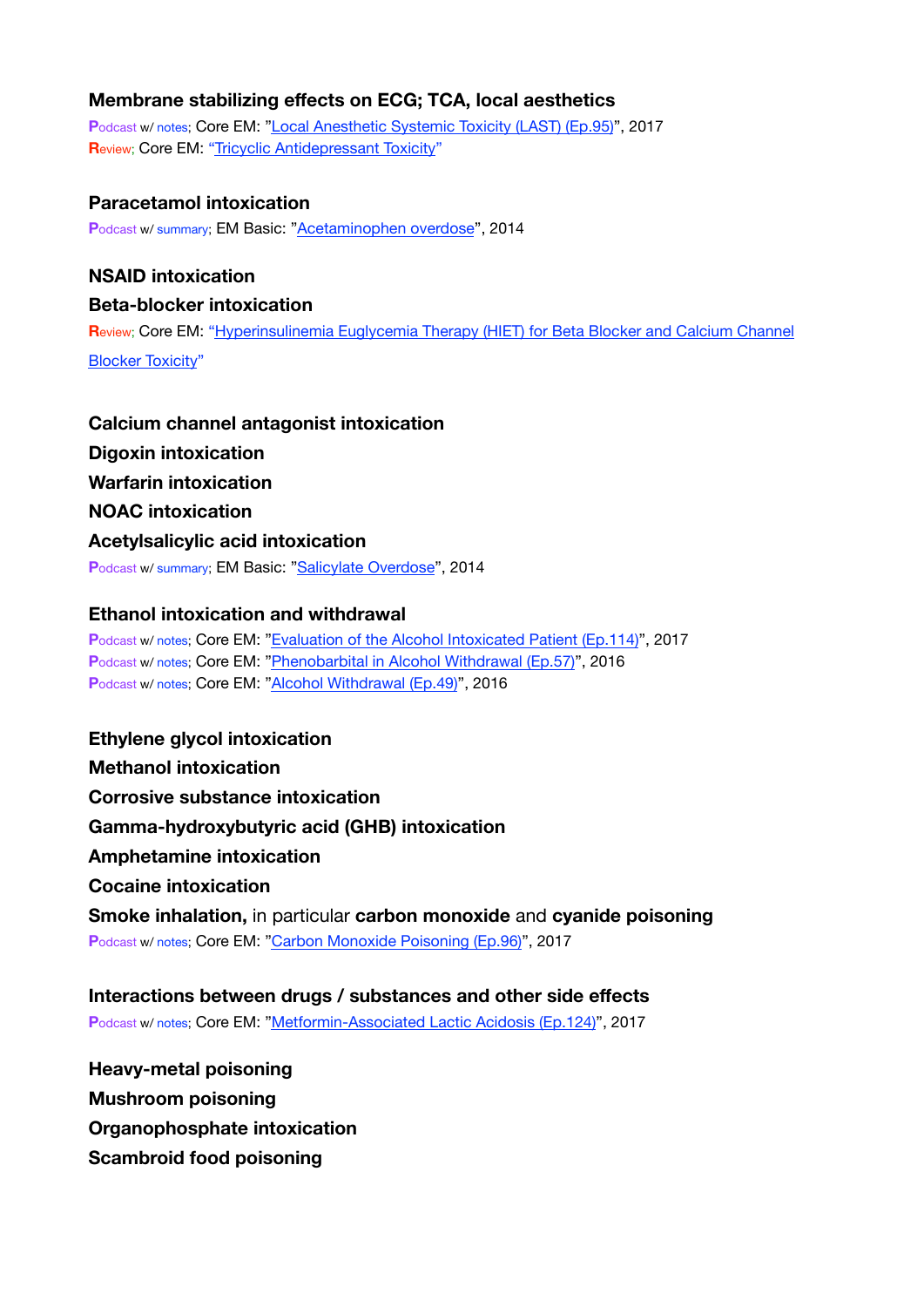#### **Membrane stabilizing effects on ECG; TCA, local aesthetics**

**P**odcast w/ notes; Core EM: ["Local Anesthetic Systemic Toxicity \(LAST\) \(Ep.95\)](https://coreem.net/podcast/episode-95-0/)", 2017 **R**eview; Core EM: ["Tricyclic Antidepressant Toxicity](https://coreem.net/core/tricyclic-antidepressant-toxicity/)"

#### **Paracetamol intoxication**

**P**odcast w/ summary; EM Basic: ["Acetaminophen overdose"](http://embasic.org/acetaminophen-overdose/), 2014

#### **NSAID intoxication**

#### **Beta-blocker intoxication**

**R**eview; Core EM: ["Hyperinsulinemia Euglycemia Therapy \(HIET\) for Beta Blocker and Calcium Channel](https://coreem.net/core/hiet/)  [Blocker Toxicity](https://coreem.net/core/hiet/)"

### **Calcium channel antagonist intoxication Digoxin intoxication Warfarin intoxication NOAC intoxication Acetylsalicylic acid intoxication P**odcast w/ summary; EM Basic: ["Salicylate Overdose](http://embasic.org/salicylate-overdose/)", 2014

#### **Ethanol intoxication and withdrawal**

**P**odcast w/ notes; Core EM: ["Evaluation of the Alcohol Intoxicated Patient \(Ep.114\)](https://coreem.net/podcast/episode-114-0/)", 2017 **P**odcast w/ notes; Core EM: ["Phenobarbital in Alcohol Withdrawal \(Ep.57\)](https://coreem.net/podcast/episode-57-0/)", 2016 **P**odcast w/ notes; Core EM: ["Alcohol Withdrawal \(Ep.49\)](https://coreem.net/podcast/episode-49-0/)", 2016

**Ethylene glycol intoxication Methanol intoxication Corrosive substance intoxication Gamma-hydroxybutyric acid (GHB) intoxication Amphetamine intoxication Cocaine intoxication Smoke inhalation,** in particular **carbon monoxide** and **cyanide poisoning** Podcast w/ notes; Core EM: ["Carbon Monoxide Poisoning \(Ep.96\)](https://coreem.net/podcast/episode-96-0-co-tox/)", 2017

**Interactions between drugs / substances and other side effects P**odcast w/ notes; Core EM: ["Metformin-Associated Lactic Acidosis \(Ep.124\)](https://coreem.net/podcast/episode-124-0/)", 2017

**Heavy-metal poisoning Mushroom poisoning Organophosphate intoxication Scambroid food poisoning**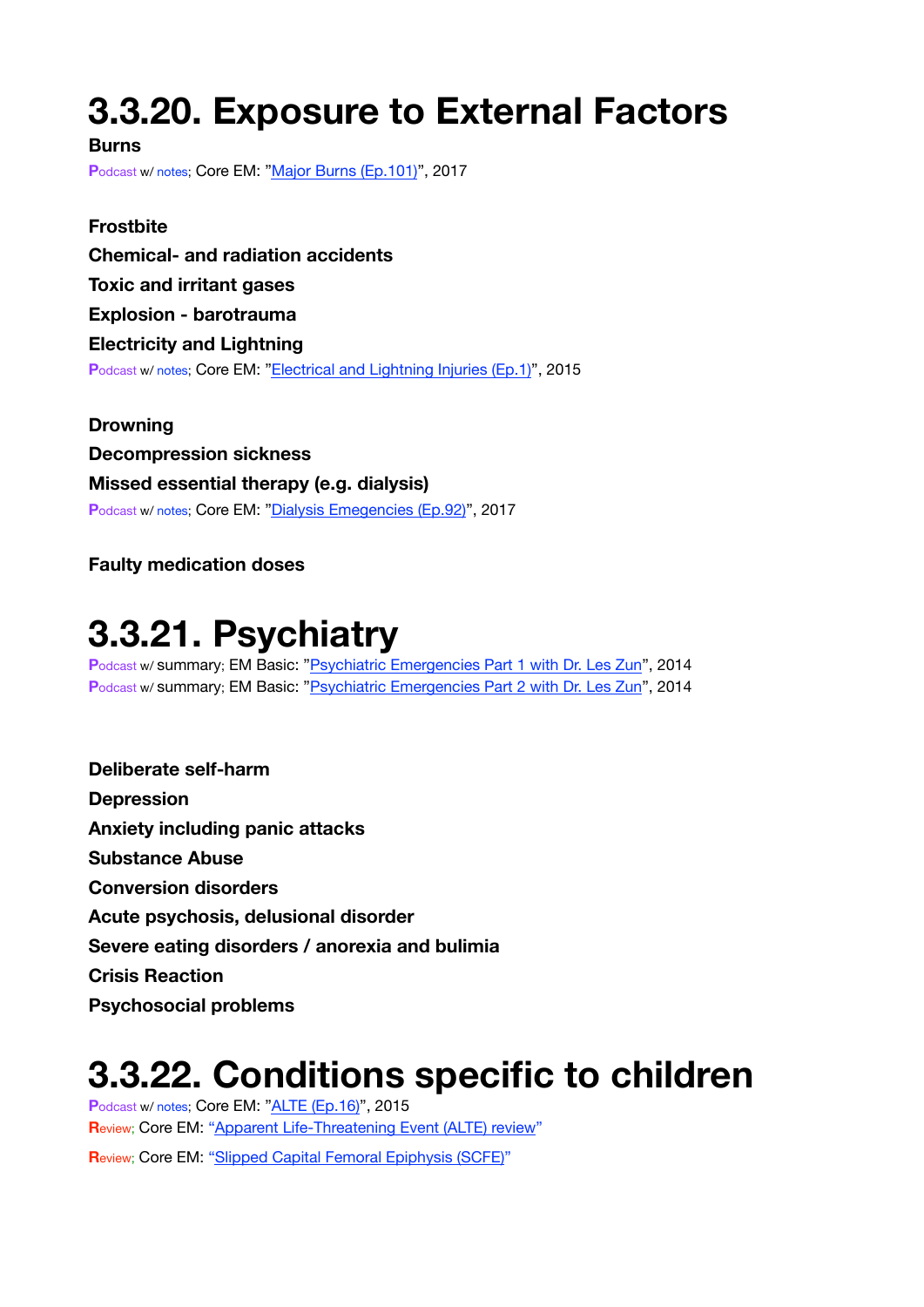# <span id="page-27-0"></span>**3.3.20. Exposure to External Factors**

**Burns**

**P**odcast w/ notes; Core EM: ["Major Burns \(Ep.101\)](https://coreem.net/podcast/episode-101-0-major-burns/)", 2017

**Frostbite Chemical- and radiation accidents Toxic and irritant gases Explosion - barotrauma Electricity and Lightning** Podcast w/ notes; Core EM: ["Electrical and Lightning Injuries \(Ep.1\)](https://coreem.net/podcast/episode-1-0-electrical-and-lightning-injuries/)", 2015

**Drowning Decompression sickness Missed essential therapy (e.g. dialysis) P**odcast w/ notes; Core EM: ["Dialysis Emegencies \(Ep.92\)](https://coreem.net/podcast/episode-92-0/)", 2017

**Faulty medication doses**

### <span id="page-27-1"></span>**3.3.21. Psychiatry**

Podcast w/ summary; EM Basic: "[Psychiatric Emergencies Part 1 with Dr. Les Zun"](http://embasic.org/psychiatric-emergencies-part-1/), 2014 Podcast w/ summary; EM Basic: "[Psychiatric Emergencies Part 2 with Dr. Les Zun"](http://embasic.org/psychiatric-emergencies-part-2/), 2014

**Deliberate self-harm Depression Anxiety including panic attacks Substance Abuse Conversion disorders Acute psychosis, delusional disorder Severe eating disorders / anorexia and bulimia Crisis Reaction Psychosocial problems**

### **3.3.22. Conditions specific to children**

**P**odcast w/ notes; Core EM: ["ALTE \(Ep.16\)"](https://coreem.net/podcast/episode-16-alte/), 2015 **Review; Core EM: ["Apparent Life-Threatening Event \(ALTE\) review](https://coreem.net/core/alte/)" R**eview; Core EM: ["Slipped Capital Femoral Epiphysis \(SCFE\)](https://coreem.net/core/scfe/)"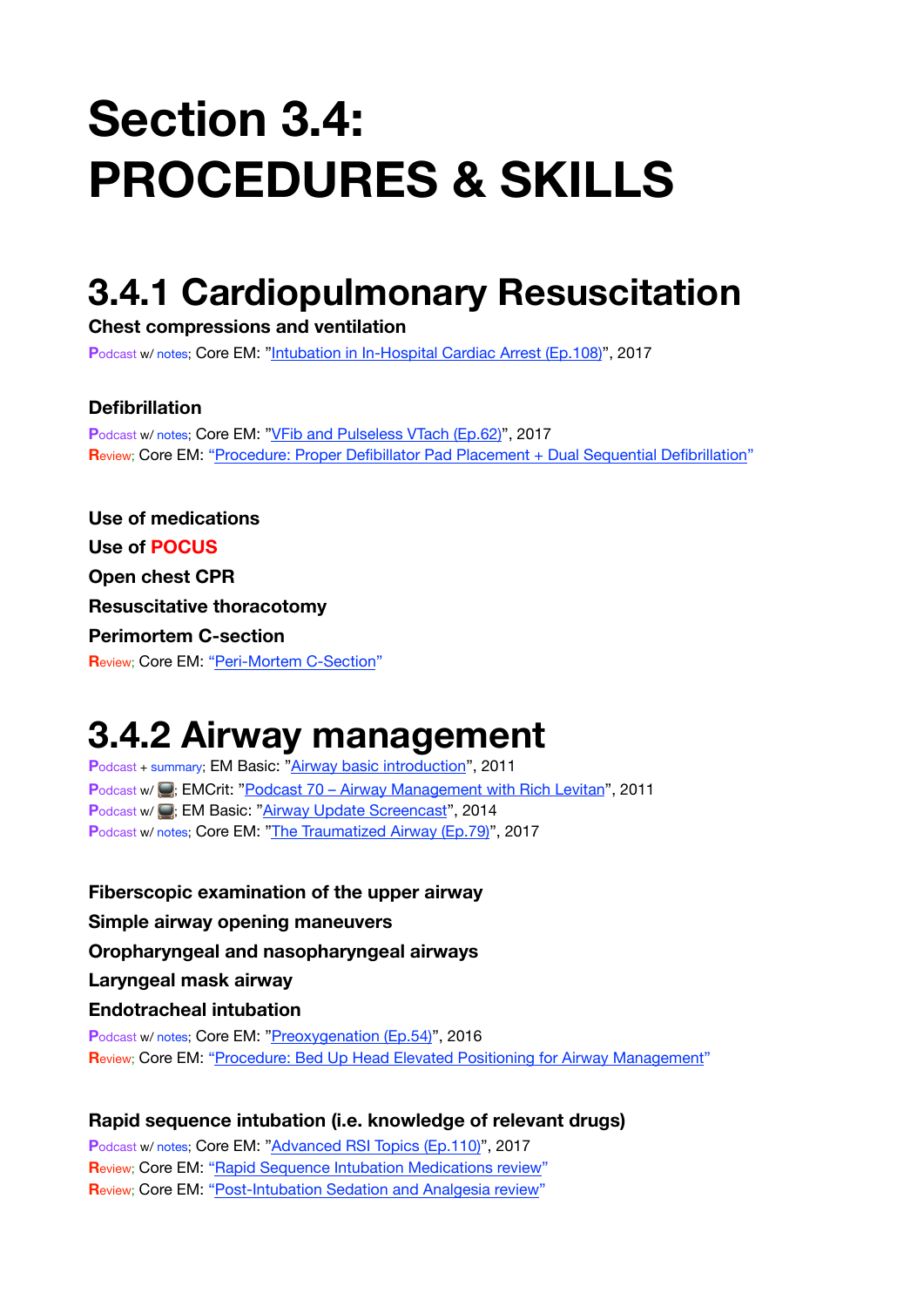# **Section 3.4: PROCEDURES & SKILLS**

# <span id="page-28-0"></span>**3.4.1 Cardiopulmonary Resuscitation**

**Chest compressions and ventilation**

**P**odcast w/ notes; Core EM: ["Intubation in In-Hospital Cardiac Arrest \(Ep.108\)](https://coreem.net/podcast/episode-108-0/)", 2017

#### **Defibrillation**

Podcast w/ notes; Core EM: ["VFib and Pulseless VTach \(Ep.62\)](https://coreem.net/podcast/episode-62-0/)", 2017 **R**eview; Core EM: ["Procedure: Proper Defibillator Pad Placement + Dual Sequential Defibrillation](https://coreem.net/procedures/defib-pads/)"

**Use of medications Use of POCUS Open chest CPR Resuscitative thoracotomy Perimortem C-section R**eview; Core EM: ["Peri-Mortem C-Section](https://coreem.net/core/peri-mortem-c-section/)"

### <span id="page-28-1"></span>**3.4.2 Airway management**

**P**odcast + summary; EM Basic: ["Airway basic introduction](http://embasic.org/airway/)", 2011 **Podcast w/ : EMCrit: "[Podcast 70 – Airway Management with Rich Levitan"](https://emcrit.org/racc/rich-levitan-airway-lecture/), 2011 Podcast w/ <b>Q**: EM Basic: ["Airway Update Screencast](http://embasic.org/airway-update/)", 2014 **P**odcast w/ notes; Core EM: ["The Traumatized Airway \(Ep.79\)](https://coreem.net/podcast/episode-79-0/)", 2017

**Fiberscopic examination of the upper airway Simple airway opening maneuvers Oropharyngeal and nasopharyngeal airways Laryngeal mask airway Endotracheal intubation P**odcast w/ notes; Core EM: ["Preoxygenation \(Ep.54\)](https://coreem.net/podcast/episode-54-0/)", 2016 **R**eview; Core EM: ["Procedure: Bed Up Head Elevated Positioning for Airway Management](https://coreem.net/procedures/buhe-position/)"

#### **Rapid sequence intubation (i.e. knowledge of relevant drugs)**

**P**odcast w/ notes; Core EM: ["Advanced RSI Topics \(Ep.110\)"](https://coreem.net/podcast/podcast-episode-110-0/), 2017 **Review: Core EM: ["Rapid Sequence Intubation Medications review](https://coreem.net/core/rapid-sequence-intubation-medications/)" R**eview; Core EM: ["Post-Intubation Sedation and Analgesia review](https://coreem.net/core/post-intubation/)"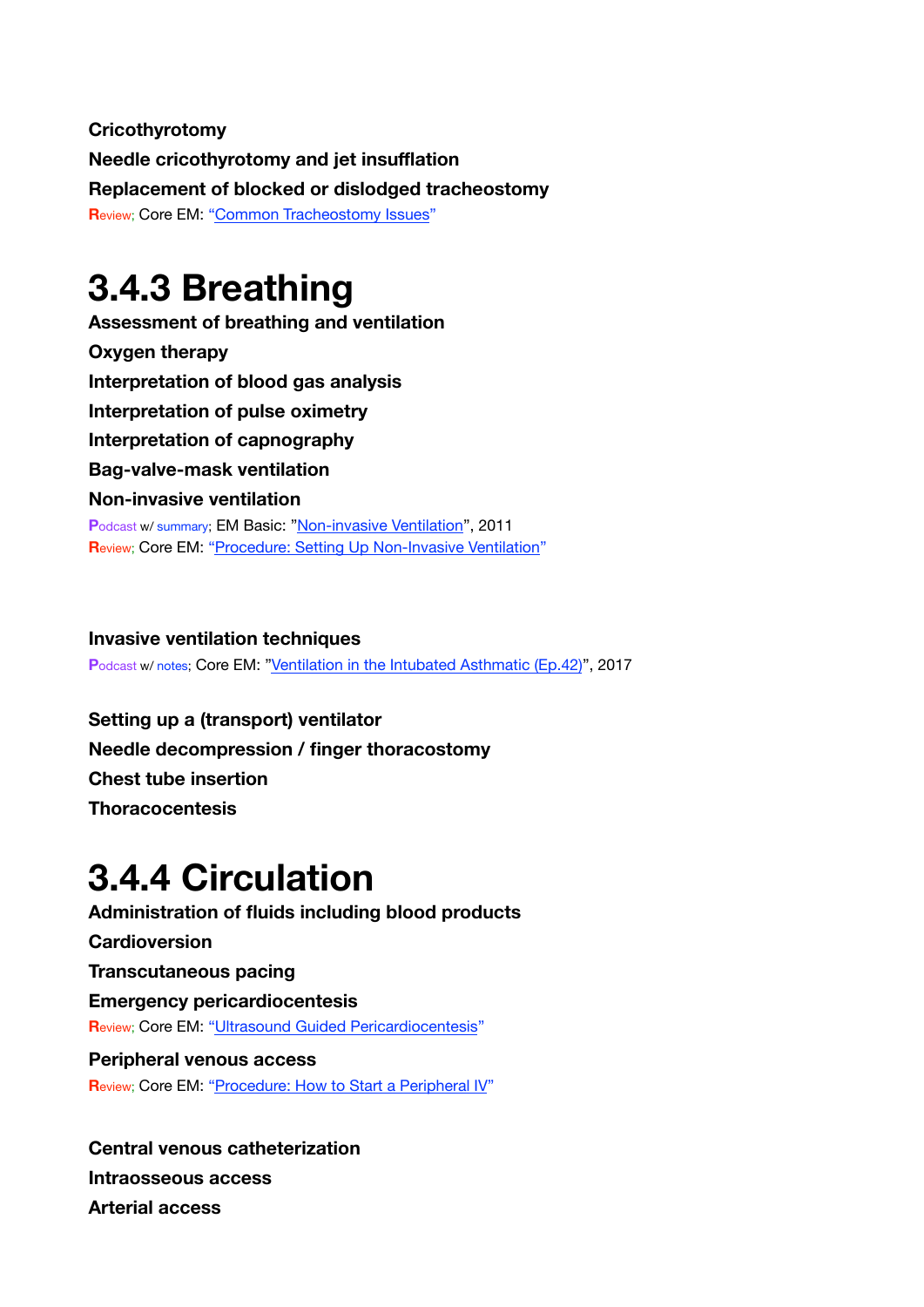**Cricothyrotomy Needle cricothyrotomy and jet insufflation Replacement of blocked or dislodged tracheostomy Review: Core EM: ["Common Tracheostomy Issues"](https://coreem.net/core/common-tracheostomy-issues/)** 

### <span id="page-29-0"></span>**3.4.3 Breathing**

**Assessment of breathing and ventilation Oxygen therapy Interpretation of blood gas analysis Interpretation of pulse oximetry Interpretation of capnography Bag-valve-mask ventilation Non-invasive ventilation P**odcast w/ summary; EM Basic: ["Non-invasive Ventilation](http://embasic.org/non-invasive-ventilation/)", 2011 **R**eview; Core EM: ["Procedure: Setting Up Non-Invasive Ventilation](https://coreem.net/procedures/setting-up-nippv/)"

**Invasive ventilation techniques** Podcast w/ notes; Core EM: ["Ventilation in the Intubated Asthmatic \(Ep.42\)](https://coreem.net/podcast/episode-42-0/)", 2017

**Setting up a (transport) ventilator Needle decompression / finger thoracostomy Chest tube insertion Thoracocentesis**

# <span id="page-29-1"></span>**3.4.4 Circulation**

**Administration of fluids including blood products Cardioversion Transcutaneous pacing Emergency pericardiocentesis R**eview; Core EM: ["Ultrasound Guided Pericardiocentesis](https://coreem.net/core/ultrasound-guided-pericardiocentesis/)" **Peripheral venous access**

**R**eview; Core EM: ["Procedure: How to Start a Peripheral IV](https://coreem.net/procedures/how-to-start-a-peripheral-iv/)"

**Central venous catheterization Intraosseous access Arterial access**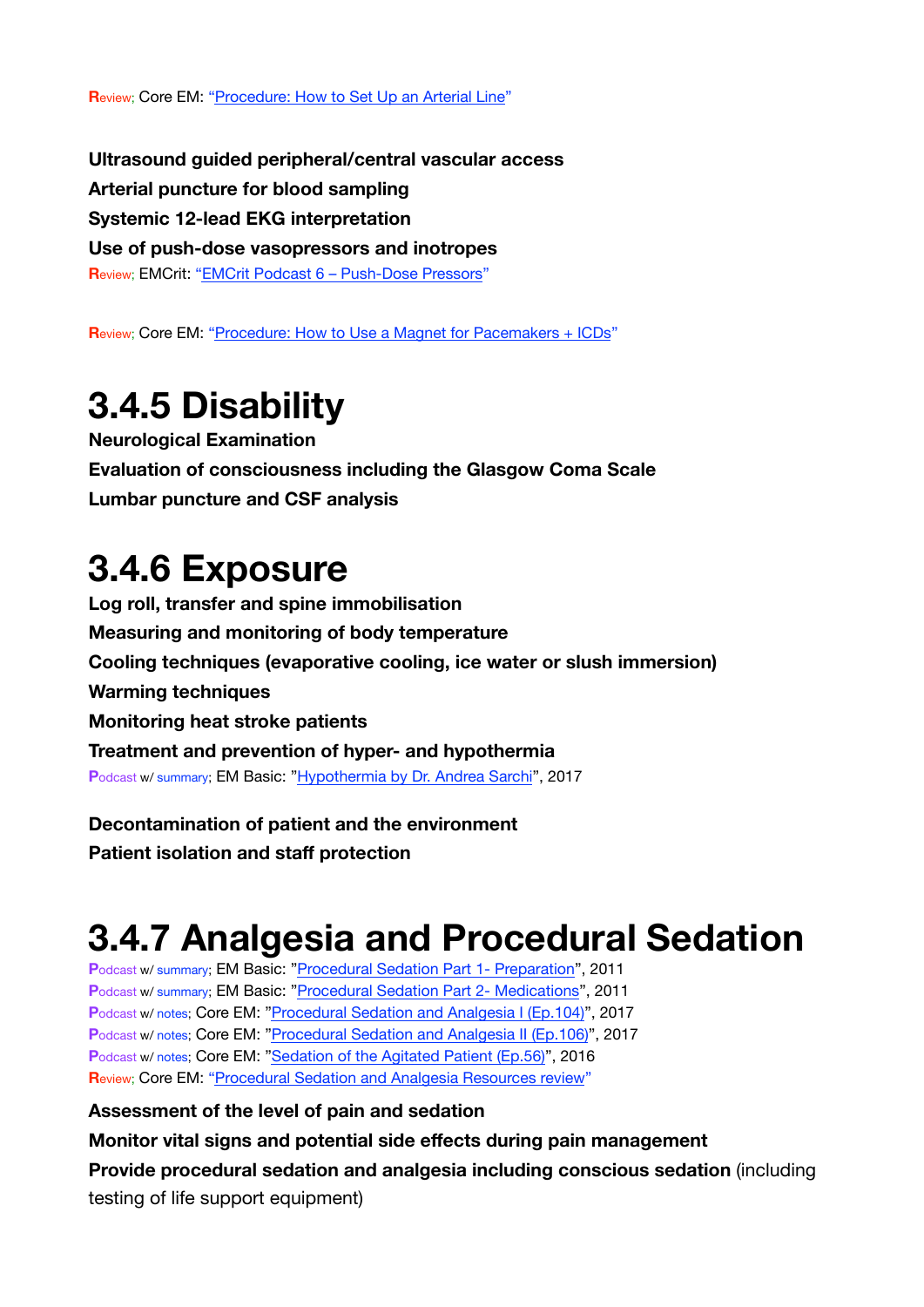**R**eview; Core EM: ["Procedure: How to Set Up an Arterial Line](https://coreem.net/procedures/how-to-set-up-an-arterial-line/)"

**Ultrasound guided peripheral/central vascular access Arterial puncture for blood sampling Systemic 12-lead EKG interpretation Use of push-dose vasopressors and inotropes R**eview; EMCrit: ["EMCrit Podcast 6 – Push-Dose Pressors](https://emcrit.org/racc/bolus-dose-pressors/)"

**Review; Core EM: ["Procedure: How to Use a Magnet for Pacemakers + ICDs](https://coreem.net/procedures/how-to-use-a-magnet/)"** 

# <span id="page-30-0"></span>**3.4.5 Disability**

**Neurological Examination Evaluation of consciousness including the Glasgow Coma Scale Lumbar puncture and CSF analysis**

### <span id="page-30-1"></span>**3.4.6 Exposure**

**Log roll, transfer and spine immobilisation Measuring and monitoring of body temperature Cooling techniques (evaporative cooling, ice water or slush immersion) Warming techniques Monitoring heat stroke patients Treatment and prevention of hyper- and hypothermia P**odcast w/ summary; EM Basic: ["Hypothermia by Dr. Andrea Sarchi](http://embasic.org/hypothermia-by-dr-andrea-sarchi/)", 2017

**Decontamination of patient and the environment Patient isolation and staff protection**

# <span id="page-30-2"></span>**3.4.7 Analgesia and Procedural Sedation**

**P**odcast w/ summary; EM Basic: ["Procedural Sedation Part 1- Preparation](http://embasic.org/procedural-sedation-part-1-preparation/)", 2011 **P**odcast w/ summary; EM Basic: ["Procedural Sedation Part 2- Medications](http://embasic.org/procedural-sedation-part-2-medications/)", 2011 **P**odcast w/ notes; Core EM: ["Procedural Sedation and Analgesia I \(Ep.104\)](https://coreem.net/podcast/episode-104-0/)", 2017 **P**odcast w/ notes; Core EM: ["Procedural Sedation and Analgesia II \(Ep.106\)](https://coreem.net/podcast/episode-106-0/)", 2017 Podcast w/ notes; Core EM: ["Sedation of the Agitated Patient \(Ep.56\)](https://coreem.net/podcast/episode-56-0/)", 2016 **R**eview; Core EM: ["Procedural Sedation and Analgesia Resources review](https://coreem.net/core/procedural-sedation-and-analgesia-resources/)"

**Assessment of the level of pain and sedation** 

**Monitor vital signs and potential side effects during pain management Provide procedural sedation and analgesia including conscious sedation** (including testing of life support equipment)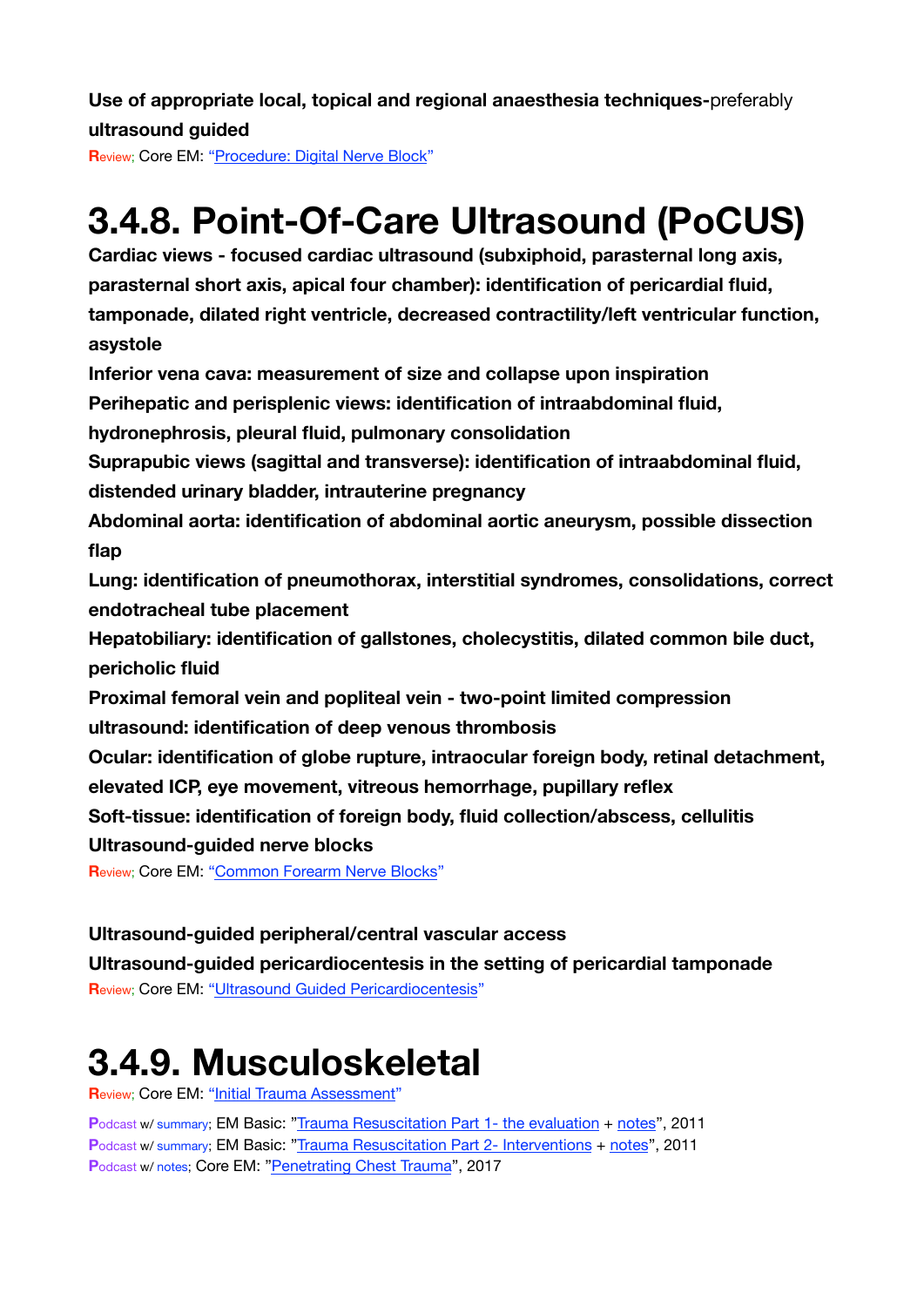**Use of appropriate local, topical and regional anaesthesia techniques-**preferably **ultrasound guided**

**R**eview; Core EM: ["Procedure: Digital Nerve Block](https://coreem.net/procedures/digital-nerve-block/)"

# <span id="page-31-0"></span>**3.4.8. Point-Of-Care Ultrasound (PoCUS)**

**Cardiac views - focused cardiac ultrasound (subxiphoid, parasternal long axis, parasternal short axis, apical four chamber): identification of pericardial fluid, tamponade, dilated right ventricle, decreased contractility/left ventricular function, asystole** 

**Inferior vena cava: measurement of size and collapse upon inspiration** 

**Perihepatic and perisplenic views: identification of intraabdominal fluid,** 

**hydronephrosis, pleural fluid, pulmonary consolidation** 

**Suprapubic views (sagittal and transverse): identification of intraabdominal fluid, distended urinary bladder, intrauterine pregnancy** 

**Abdominal aorta: identification of abdominal aortic aneurysm, possible dissection flap** 

**Lung: identification of pneumothorax, interstitial syndromes, consolidations, correct endotracheal tube placement** 

**Hepatobiliary: identification of gallstones, cholecystitis, dilated common bile duct, pericholic fluid** 

**Proximal femoral vein and popliteal vein - two-point limited compression ultrasound: identification of deep venous thrombosis** 

**Ocular: identification of globe rupture, intraocular foreign body, retinal detachment, elevated ICP, eye movement, vitreous hemorrhage, pupillary reflex** 

**Soft-tissue: identification of foreign body, fluid collection/abscess, cellulitis** 

**Ultrasound-guided nerve blocks**

**Review; Core EM: ["Common Forearm Nerve Blocks](https://coreem.net/core/common-forearm-nerve-blocks/)"** 

#### **Ultrasound-guided peripheral/central vascular access**

**Ultrasound-guided pericardiocentesis in the setting of pericardial tamponade R**eview; Core EM: ["Ultrasound Guided Pericardiocentesis](https://coreem.net/core/ultrasound-guided-pericardiocentesis/)"

# <span id="page-31-1"></span>**3.4.9. Musculoskeletal**

**R**eview; Core EM: ["Initial Trauma Assessment"](https://coreem.net/core/initial-trauma-assessment/)

**P**odcast w/ summary; EM Basic: ["Trauma Resuscitation Part 1- the evaluation](http://embasic.org/trauma-resuscitation-part-1-the-evaluation/) + [notes"](http://embasic.org/show-notes-posted-trauma-resuscitation-part-1/), 2011 **P**odcast w/ summary; EM Basic: ["Trauma Resuscitation Part 2- Interventions](http://embasic.org/trauma-resuscitation-part-2-interventions/) + [notes](http://embasic.org/trauma-resuscitation-part-2-show-notes-posted/)", 2011 **P**odcast w/ notes; Core EM: ["Penetrating Chest Trauma](https://coreem.net/podcast/episode-80-0/)", 2017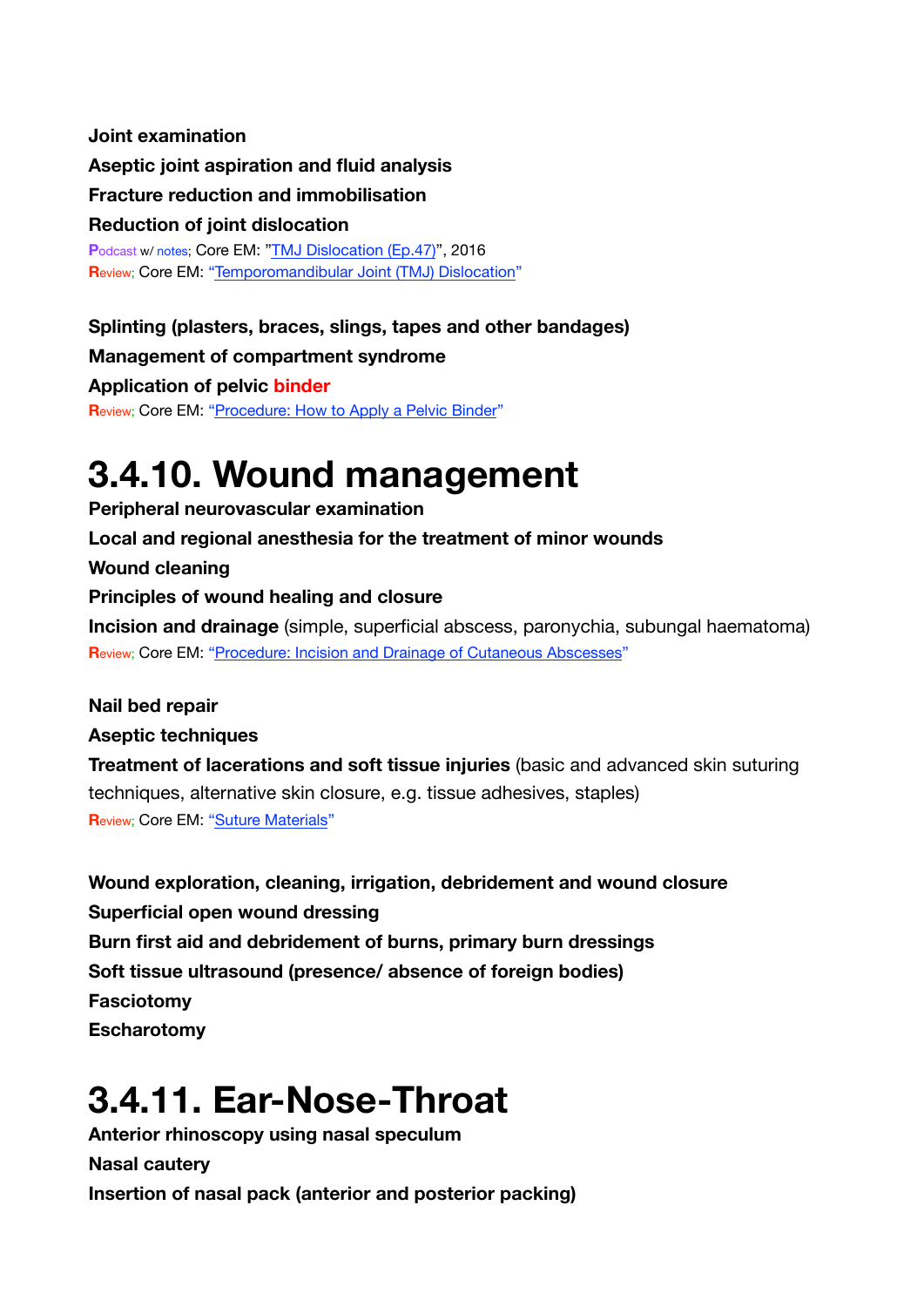**Joint examination Aseptic joint aspiration and fluid analysis Fracture reduction and immobilisation Reduction of joint dislocation** Podcast w/ notes; Core EM: ["TMJ Dislocation \(Ep.47\)](https://coreem.net/podcast/episode-47-0/)", 2016 **R**eview; Core EM: ["Temporomandibular Joint \(TMJ\) Dislocation](https://coreem.net/core/tmj-dislocation/)"

**Splinting (plasters, braces, slings, tapes and other bandages) Management of compartment syndrome Application of pelvic binder R**eview; Core EM: ["Procedure: How to Apply a Pelvic Binder](https://coreem.net/procedures/how-to-apply-a-pelvic-binder/)"

### <span id="page-32-0"></span>**3.4.10. Wound management**

**Peripheral neurovascular examination Local and regional anesthesia for the treatment of minor wounds Wound cleaning Principles of wound healing and closure Incision and drainage** (simple, superficial abscess, paronychia, subungal haematoma) **R**eview; Core EM: ["Procedure: Incision and Drainage of Cutaneous Abscesses](https://coreem.net/procedures/i-and-d/)"

**Nail bed repair Aseptic techniques Treatment of lacerations and soft tissue injuries** (basic and advanced skin suturing techniques, alternative skin closure, e.g. tissue adhesives, staples) **R**eview; Core EM: ["Suture Materials](https://coreem.net/core/suture-materials/)"

**Wound exploration, cleaning, irrigation, debridement and wound closure Superficial open wound dressing Burn first aid and debridement of burns, primary burn dressings Soft tissue ultrasound (presence/ absence of foreign bodies) Fasciotomy Escharotomy**

# <span id="page-32-1"></span>**3.4.11. Ear-Nose-Throat**

**Anterior rhinoscopy using nasal speculum Nasal cautery Insertion of nasal pack (anterior and posterior packing)**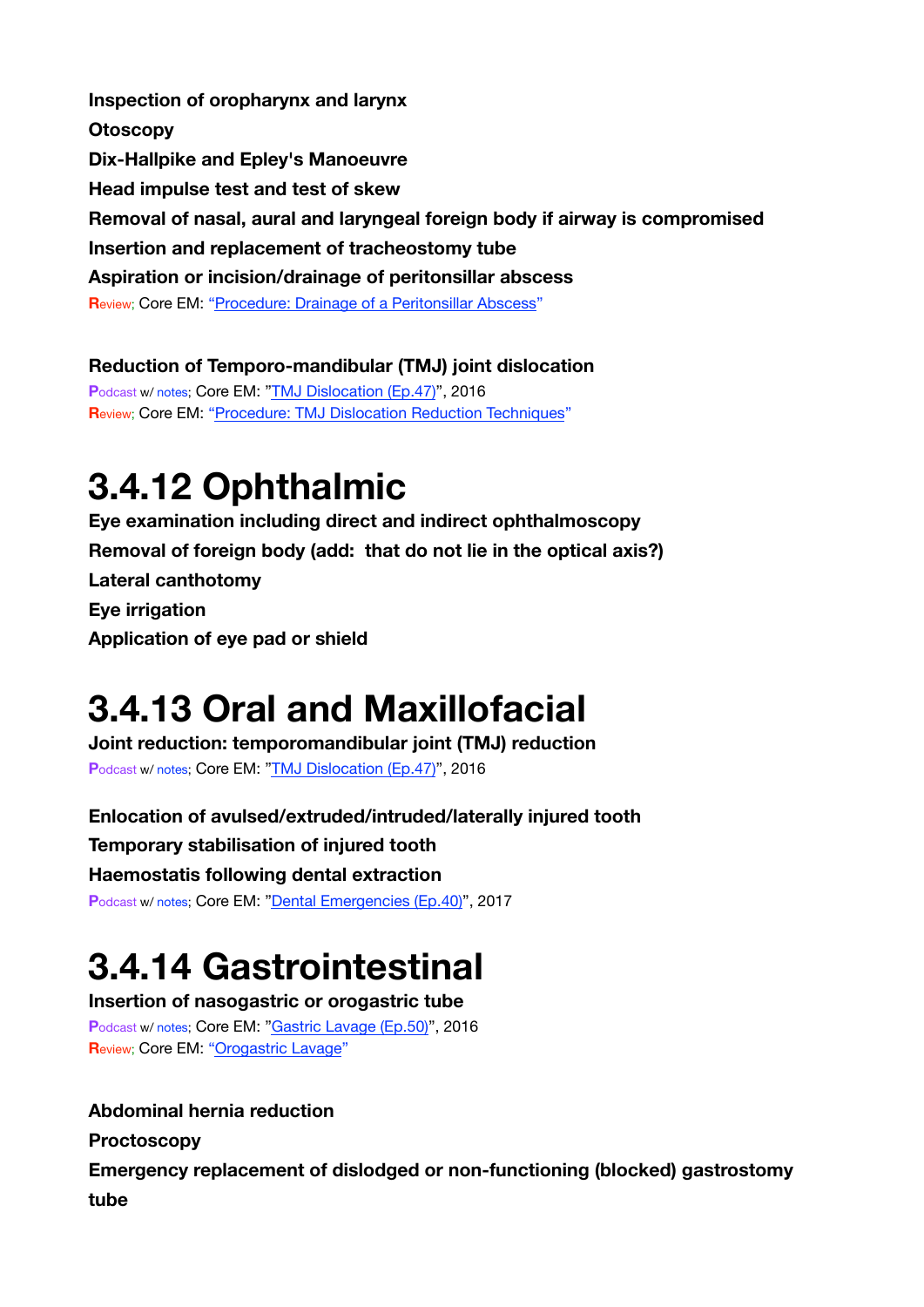**Inspection of oropharynx and larynx Otoscopy Dix-Hallpike and Epley's Manoeuvre Head impulse test and test of skew Removal of nasal, aural and laryngeal foreign body if airway is compromised Insertion and replacement of tracheostomy tube Aspiration or incision/drainage of peritonsillar abscess R**eview; Core EM: ["Procedure: Drainage of a Peritonsillar Abscess](https://coreem.net/procedures/drainage-of-a-peritonsillar-abscess/)"

**Reduction of Temporo-mandibular (TMJ) joint dislocation P**odcast w/ notes; Core EM: ["TMJ Dislocation \(Ep.47\)](https://coreem.net/podcast/episode-47-0/)", 2016 **R**eview; Core EM: ["Procedure: TMJ Dislocation Reduction Techniques](https://coreem.net/procedures/tmj-reduction/)"

### <span id="page-33-0"></span>**3.4.12 Ophthalmic**

**Eye examination including direct and indirect ophthalmoscopy Removal of foreign body (add: that do not lie in the optical axis?) Lateral canthotomy Eye irrigation Application of eye pad or shield**

### <span id="page-33-1"></span>**3.4.13 Oral and Maxillofacial**

**Joint reduction: temporomandibular joint (TMJ) reduction** Podcast w/ notes; Core EM: ["TMJ Dislocation \(Ep.47\)](https://coreem.net/podcast/episode-47-0/)", 2016

**Enlocation of avulsed/extruded/intruded/laterally injured tooth Temporary stabilisation of injured tooth Haemostatis following dental extraction** Podcast w/ notes; Core EM: ["Dental Emergencies \(Ep.40\)](https://coreem.net/podcast/episode-40-0/)", 2017

# <span id="page-33-2"></span>**3.4.14 Gastrointestinal**

**Insertion of nasogastric or orogastric tube P**odcast w/ notes; Core EM: ["Gastric Lavage \(Ep.50\)](https://coreem.net/podcast/episode-50-0/)", 2016 **R**eview; Core EM: ["Orogastric Lavage](https://coreem.net/core/orogastric-lavage/)"

### **Abdominal hernia reduction**

**Proctoscopy** 

**Emergency replacement of dislodged or non-functioning (blocked) gastrostomy tube**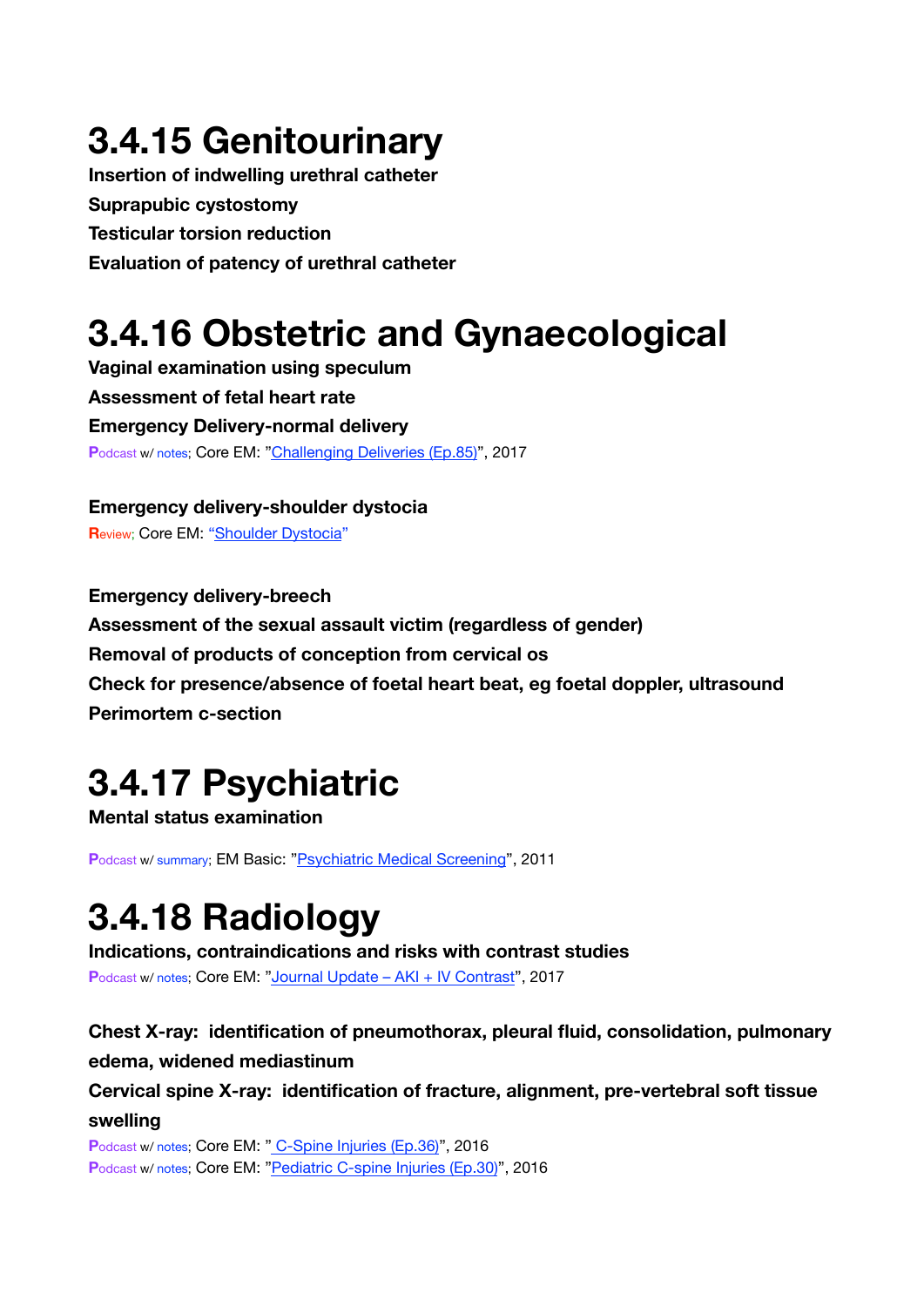# <span id="page-34-0"></span>**3.4.15 Genitourinary**

**Insertion of indwelling urethral catheter Suprapubic cystostomy Testicular torsion reduction Evaluation of patency of urethral catheter**

# <span id="page-34-1"></span>**3.4.16 Obstetric and Gynaecological**

**Vaginal examination using speculum Assessment of fetal heart rate Emergency Delivery-normal delivery P**odcast w/ notes; Core EM: ["Challenging Deliveries \(Ep.85\)](https://coreem.net/podcast/episode-85-0/)", 2017

**Emergency delivery-shoulder dystocia R**eview; Core EM: ["Shoulder Dystocia](https://coreem.net/core/shoulder-dystocia/)"

**Emergency delivery-breech Assessment of the sexual assault victim (regardless of gender) Removal of products of conception from cervical os Check for presence/absence of foetal heart beat, eg foetal doppler, ultrasound Perimortem c-section**

# <span id="page-34-2"></span>**3.4.17 Psychiatric**

**Mental status examination** 

**P**odcast w/ summary; EM Basic: ["Psychiatric Medical Screening](http://embasic.org/psychiatric-medical-screening/)", 2011

# <span id="page-34-3"></span>**3.4.18 Radiology**

**Indications, contraindications and risks with contrast studies** Podcast w/ notes; Core EM: ["Journal Update – AKI + IV Contrast"](https://coreem.net/podcast/episode-91-0/), 2017

### **Chest X-ray: identification of pneumothorax, pleural fluid, consolidation, pulmonary**

### **edema, widened mediastinum**

**Cervical spine X-ray: identification of fracture, alignment, pre-vertebral soft tissue swelling**

Podcast w/ notes; Core EM: [" C-Spine Injuries \(Ep.36\)](https://coreem.net/podcast/episode-36-0/)", 2016 Podcast w/ notes: Core EM: ["Pediatric C-spine Injuries \(Ep.30\)"](https://coreem.net/podcast/episode-30-0/), 2016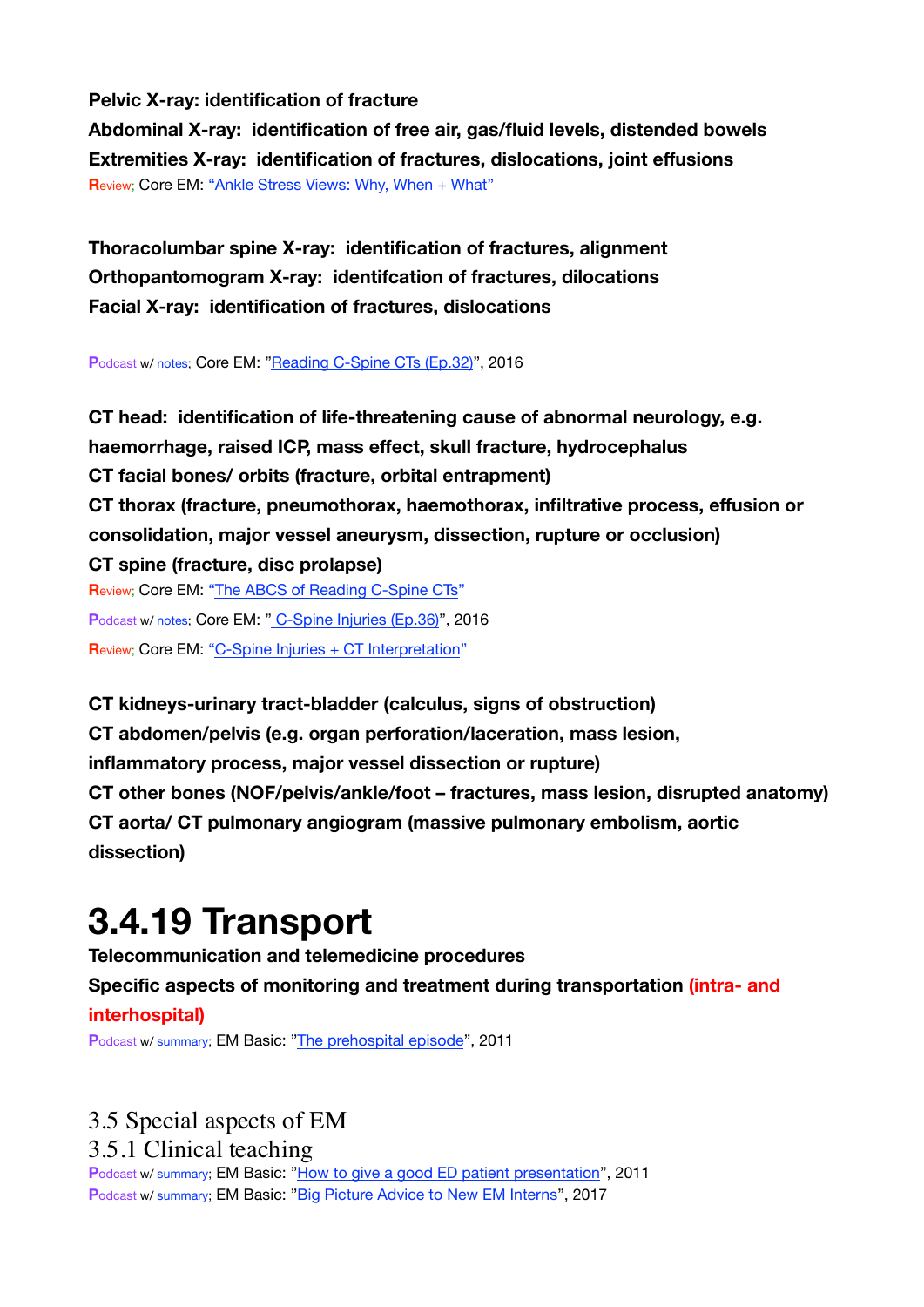#### **Pelvic X-ray: identification of fracture**

**Abdominal X-ray: identification of free air, gas/fluid levels, distended bowels Extremities X-ray: identification of fractures, dislocations, joint effusions R**eview; Core EM: ["Ankle Stress Views: Why, When + What](https://coreem.net/core/ankle-stress-views/)"

**Thoracolumbar spine X-ray: identification of fractures, alignment Orthopantomogram X-ray: identifcation of fractures, dilocations Facial X-ray: identification of fractures, dislocations** 

**P**odcast w/ notes; Core EM: ["Reading C-Spine CTs \(Ep.32\)](https://coreem.net/podcast/episode-32-0/)", 2016

**CT head: identification of life-threatening cause of abnormal neurology, e.g. haemorrhage, raised ICP, mass effect, skull fracture, hydrocephalus CT facial bones/ orbits (fracture, orbital entrapment) CT thorax (fracture, pneumothorax, haemothorax, infiltrative process, effusion or consolidation, major vessel aneurysm, dissection, rupture or occlusion) CT spine (fracture, disc prolapse) R**eview; Core EM: ["The ABCS of Reading C-Spine CTs](https://coreem.net/core/the-abcs-of-reading-c-spine-cts/)" Podcast w/ notes; Core EM: [" C-Spine Injuries \(Ep.36\)](https://coreem.net/podcast/episode-36-0/)", 2016

**R**eview; Core EM: ["C-Spine Injuries + CT Interpretation](https://coreem.net/core/c-spine-injuries/)"

**CT kidneys-urinary tract-bladder (calculus, signs of obstruction) CT abdomen/pelvis (e.g. organ perforation/laceration, mass lesion, inflammatory process, major vessel dissection or rupture) CT other bones (NOF/pelvis/ankle/foot – fractures, mass lesion, disrupted anatomy) CT aorta/ CT pulmonary angiogram (massive pulmonary embolism, aortic dissection)**

### <span id="page-35-0"></span>**3.4.19 Transport**

**Telecommunication and telemedicine procedures Specific aspects of monitoring and treatment during transportation (intra- and interhospital)**

**P**odcast w/ summary; EM Basic: ["The prehospital episode](http://embasic.org/the-prehospital-episode/)", 2011

### 3.5 Special aspects of EM 3.5.1 Clinical teaching

**P**odcast w/ summary; EM Basic: ["How to give a good ED patient presentation](http://embasic.org/how-to-give-a-good-ed-patient-presentation/)", 2011 **Podcast w/ summary; EM Basic: ["Big Picture Advice to New EM Interns](http://embasic.org/big-picture-advice-to-new-em-interns/)", 2017**